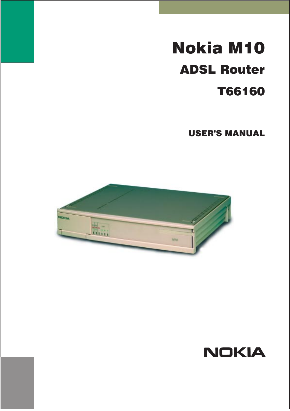# **Nokia M10 ADSL Router T66160**

**USER'S MANUAL** 



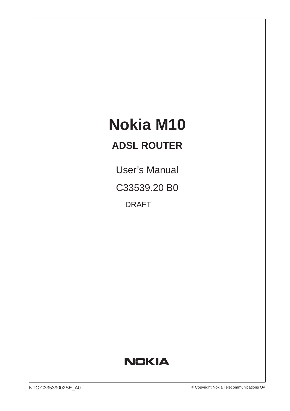# **Nokia M10**

# **ADSL ROUTER**

User's Manual C33539.20 B0 DRAFT

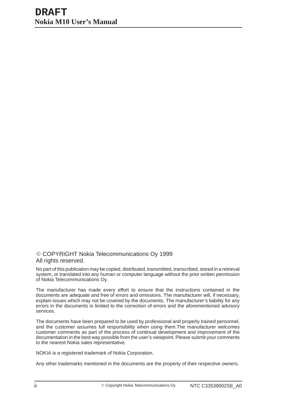COPYRIGHT Nokia Telecommunications Oy 1999 All rights reserved.

No part of this publication may be copied, distributed, transmitted, transcribed, stored in a retrieval system, or translated into any human or computer language without the prior written permission of Nokia Telecommunications Oy.

The manufacturer has made every effort to ensure that the instructions contained in the documents are adequate and free of errors and omissions. The manufacturer will, if necessary, explain issues which may not be covered by the documents. The manufacturer's liability for any errors in the documents is limited to the correction of errors and the aforementioned advisory services.

The documents have been prepared to be used by professional and properly trained personnel, and the customer assumes full responsibility when using them.The manufacturer welcomes customer comments as part of the process of continual development and improvement of the documentation in the best way possible from the user's viewpoint. Please submit your comments to the nearest Nokia sales representative.

NOKIA is a registered trademark of Nokia Corporation.

Any other trademarks mentioned in the documents are the property of their respective owners.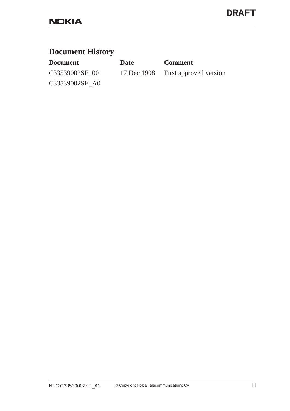## **Document History**

| <b>Document</b> | Date | <b>Comment</b>                     |
|-----------------|------|------------------------------------|
| C33539002SE 00  |      | 17 Dec 1998 First approved version |
| C33539002SE_A0  |      |                                    |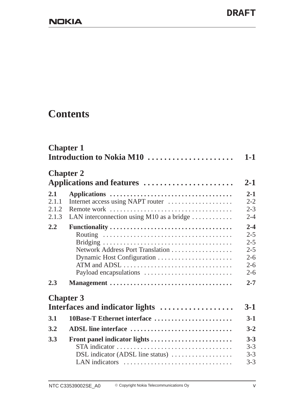## **Contents**

|                                | <b>Chapter 1</b><br>Introduction to Nokia M10                                                         | $1-1$                                                                     |
|--------------------------------|-------------------------------------------------------------------------------------------------------|---------------------------------------------------------------------------|
|                                | <b>Chapter 2</b><br>Applications and features                                                         | $2 - 1$                                                                   |
| 2.1<br>2.1.1<br>2.1.2<br>2.1.3 | Internet access using NAPT router<br>LAN interconnection using M10 as a bridge $\dots\dots\dots\dots$ | $2 - 1$<br>$2 - 2$<br>$2 - 3$<br>$2 - 4$                                  |
| 2.2                            | Network Address Port Translation                                                                      | $2 - 4$<br>$2 - 5$<br>$2 - 5$<br>$2 - 5$<br>$2 - 6$<br>$2 - 6$<br>$2 - 6$ |
| 2.3                            |                                                                                                       | $2 - 7$                                                                   |
|                                | <b>Chapter 3</b><br>Interfaces and indicator lights                                                   | $3-1$                                                                     |
| 3.1                            | 10Base-T Ethernet interface                                                                           | $3-1$                                                                     |
| 3.2                            | ADSL line interface                                                                                   | $3 - 2$                                                                   |
| 3.3                            | Front panel indicator lights<br>STA indicator<br>DSL indicator (ADSL line status)<br>LAN indicators   | $3 - 3$<br>$3 - 3$<br>$3 - 3$<br>$3 - 3$                                  |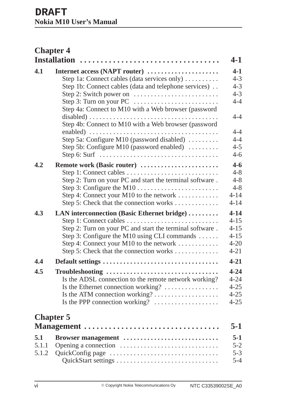|                       | <b>Chapter 4</b>                                                                                                                                                                                                                                                                                                                    |                                                                                    |
|-----------------------|-------------------------------------------------------------------------------------------------------------------------------------------------------------------------------------------------------------------------------------------------------------------------------------------------------------------------------------|------------------------------------------------------------------------------------|
| 4.1                   | <b>Installation</b><br>Internet access (NAPT router)<br>Step 1a: Connect cables (data services only)<br>Step 1b: Connect cables (data and telephone services)<br>Step 2: Switch power on<br>Step 3: Turn on your PC<br>Step 4a: Connect to M10 with a Web browser (password<br>Step 4b: Connect to M10 with a Web browser (password | $4 - 1$<br>$4-1$<br>$4 - 3$<br>$4 - 3$<br>$4 - 3$<br>$4 - 4$<br>$4 - 4$<br>$4 - 4$ |
|                       | Step 5a: Configure M10 (password disabled)<br>Step 5b: Configure M10 (password enabled)<br>Step 6: Surf $\dots \dots \dots \dots \dots \dots \dots \dots \dots \dots \dots \dots$                                                                                                                                                   | $4 - 4$<br>$4 - 5$<br>$4 - 6$                                                      |
| 4.2                   | Remote work (Basic router)<br>Step 1: Connect cables<br>Step 2: Turn on your PC and start the terminal software.<br>Step 4: Connect your M10 to the network<br>Step 5: Check that the connection works                                                                                                                              | $4 - 6$<br>$4 - 8$<br>$4 - 8$<br>$4 - 8$<br>$4 - 14$<br>$4 - 14$                   |
| 4.3                   | LAN interconnection (Basic Ethernet bridge)<br>Step 1: Connect cables<br>Step 2: Turn on your PC and start the terminal software.<br>Step 3: Configure the M10 using CLI commands $\dots$<br>Step 4: Connect your M10 to the network<br>Step 5: Check that the connection works                                                     | $4 - 14$<br>$4 - 15$<br>$4 - 15$<br>$4 - 15$<br>$4 - 20$<br>$4 - 21$               |
| 4.4                   | Default settings                                                                                                                                                                                                                                                                                                                    | $4 - 21$                                                                           |
| 4.5                   | Troubleshooting<br>Is the ADSL connection to the remote network working?<br>Is the Ethernet connection working?<br>Is the PPP connection working?                                                                                                                                                                                   | $4 - 24$<br>$4 - 24$<br>$4 - 25$<br>$4 - 25$<br>$4 - 25$                           |
|                       | <b>Chapter 5</b><br>Management                                                                                                                                                                                                                                                                                                      | $5-1$                                                                              |
| 5.1<br>5.1.1<br>5.1.2 | Browser management                                                                                                                                                                                                                                                                                                                  | $5-1$<br>$5 - 2$<br>$5 - 3$<br>$5 - 4$                                             |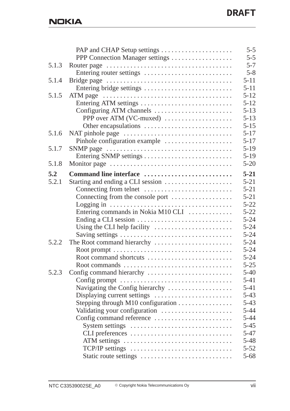|       |                                    | $5 - 5$  |
|-------|------------------------------------|----------|
|       |                                    | $5 - 5$  |
| 5.1.3 |                                    | $5 - 7$  |
|       | Entering router settings           | $5 - 8$  |
| 5.1.4 |                                    | $5 - 11$ |
|       | Entering bridge settings           | $5 - 11$ |
| 5.1.5 |                                    | $5 - 12$ |
|       | Entering ATM settings              | $5 - 12$ |
|       | Configuring ATM channels           | $5 - 13$ |
|       | PPP over ATM (VC-muxed)            | $5 - 13$ |
|       | Other encapsulations               | $5 - 15$ |
| 5.1.6 | NAT pinhole page                   | $5 - 17$ |
|       | Pinhole configuration example      | $5 - 17$ |
| 5.1.7 |                                    | $5-19$   |
|       |                                    | $5-19$   |
| 5.1.8 |                                    | $5 - 20$ |
| 5.2   | Command line interface             | $5 - 21$ |
| 5.2.1 | Starting and ending a CLI session  | $5 - 21$ |
|       | Connecting from telnet             | $5 - 21$ |
|       | Connecting from the console port   | $5 - 21$ |
|       |                                    | $5 - 22$ |
|       | Entering commands in Nokia M10 CLI | $5 - 22$ |
|       |                                    | $5 - 24$ |
|       | Using the CLI help facility        | $5 - 24$ |
|       |                                    | $5 - 24$ |
| 5.2.2 | The Root command hierarchy         | $5 - 24$ |
|       |                                    | $5 - 24$ |
|       | Root command shortcuts             | $5 - 24$ |
|       | Root commands                      | $5 - 25$ |
| 5.2.3 |                                    | $5-40$   |
|       | Config prompt                      | $5 - 41$ |
|       | Navigating the Config hierarchy    | $5 - 41$ |
|       | Displaying current settings        | $5 - 43$ |
|       | Stepping through M10 configuration | $5 - 43$ |
|       | Validating your configuration      | $5 - 44$ |
|       | Config command reference           | $5 - 44$ |
|       | System settings                    | $5 - 45$ |
|       | CLI preferences                    | $5 - 47$ |
|       | ATM settings                       | $5 - 48$ |
|       | TCP/IP settings                    | $5 - 52$ |
|       | Static route settings              | $5 - 68$ |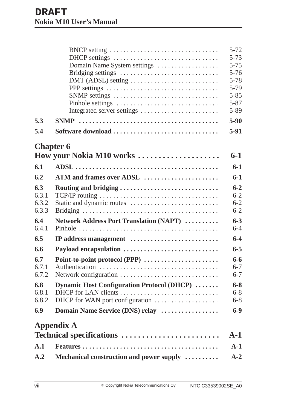|       | BNCP setting                                       | $5 - 72$ |
|-------|----------------------------------------------------|----------|
|       | DHCP settings                                      | $5 - 73$ |
|       | Domain Name System settings                        | $5 - 75$ |
|       | Bridging settings                                  | $5 - 76$ |
|       | DMT (ADSL) setting                                 | $5 - 78$ |
|       | PPP settings                                       | $5-79$   |
|       |                                                    | $5 - 85$ |
|       | Pinhole settings                                   | $5 - 87$ |
|       | Integrated server settings                         | 5-89     |
| 5.3   |                                                    | $5-90$   |
| 5.4   | Software download                                  | $5-91$   |
|       | <b>Chapter 6</b>                                   |          |
|       | How your Nokia M10 works                           | $6-1$    |
| 6.1   |                                                    | $6-1$    |
| 6.2   | ATM and frames over ADSL                           | $6-1$    |
| 6.3   | Routing and bridging                               | $6 - 2$  |
| 6.3.1 |                                                    | $6 - 2$  |
| 6.3.2 | Static and dynamic routes                          | $6 - 2$  |
| 6.3.3 |                                                    | $6 - 2$  |
| 6.4   | Network Address Port Translation (NAPT)            | $6 - 3$  |
| 6.4.1 |                                                    | $6 - 4$  |
| 6.5   | IP address management                              | $6 - 4$  |
| 6.6   | Payload encapsulation                              | $6 - 5$  |
| 6.7   | Point-to-point protocol (PPP)                      | $6 - 6$  |
| 6.7.1 |                                                    | $6 - 7$  |
| 6.7.2 | Network configuration                              | $6 - 7$  |
| 6.8   | <b>Dynamic Host Configuration Protocol (DHCP) </b> | $6 - 8$  |
| 6.8.1 |                                                    | $6 - 8$  |
| 6.8.2 |                                                    | $6 - 8$  |
| 6.9   | Domain Name Service (DNS) relay                    | $6-9$    |
|       | <b>Appendix A</b>                                  |          |
|       | Technical specifications                           | $A-1$    |
| A.1   |                                                    | $A-1$    |
| A.2   | Mechanical construction and power supply           | $A-2$    |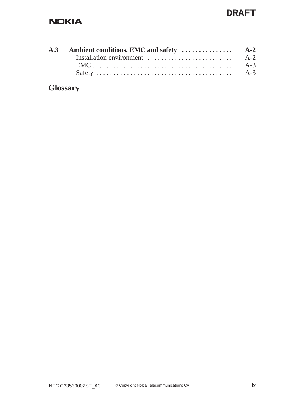|  | $A-3$ |
|--|-------|
|  | $A-3$ |

**Glossary**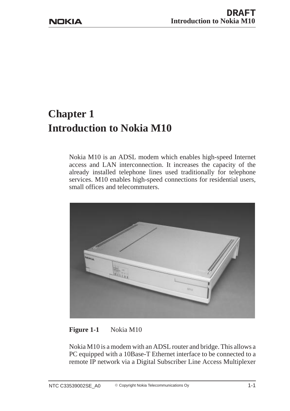# **Chapter 1 Introduction to Nokia M10**

Nokia M10 is an ADSL modem which enables high-speed Internet access and LAN interconnection. It increases the capacity of the already installed telephone lines used traditionally for telephone services. M10 enables high-speed connections for residential users, small offices and telecommuters.



**Figure 1-1** Nokia M10

Nokia M10 is a modem with an ADSL router and bridge. This allows a PC equipped with a 10Base-T Ethernet interface to be connected to a remote IP network via a Digital Subscriber Line Access Multiplexer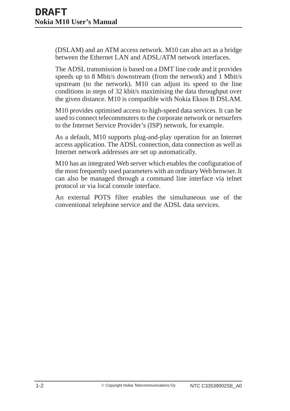(DSLAM) and an ATM access network. M10 can also act as a bridge between the Ethernet LAN and ADSL/ATM network interfaces.

The ADSL transmission is based on a DMT line code and it provides speeds up to 8 Mbit/s downstream (from the network) and 1 Mbit/s upstream (to the network). M10 can adjust its speed to the line conditions in steps of 32 kbit/s maximising the data throughput over the given distance. M10 is compatible with Nokia Eksos B DSLAM.

M10 provides optimised access to high-speed data services. It can be used to connect telecommuters to the corporate network or netsurfers to the Internet Service Provider's (ISP) network, for example.

As a default, M10 supports plug-and-play operation for an Internet access application. The ADSL connection, data connection as well as Internet network addresses are set up automatically.

M10 has an integrated Web server which enables the configuration of the most frequently used parameters with an ordinary Web browser. It can also be managed through a command line interface via telnet protocol or via local console interface.

An external POTS filter enables the simultaneous use of the conventional telephone service and the ADSL data services.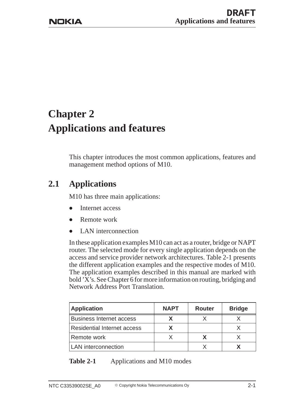# **Chapter 2 Applications and features**

This chapter introduces the most common applications, features and management method options of M10.

## **2.1 Applications**

M10 has three main applications:

- $\bullet$ Internet access
- $\bullet$ Remote work
- $\bullet$ LAN interconnection

In these application examples M10 can act as a router, bridge or NAPT router. The selected mode for every single application depends on the access and service provider network architectures. Table 2-1 presents the different application examples and the respective modes of M10. The application examples described in this manual are marked with bold 'X's. See Chapter 6 for more information on routing, bridging and Network Address Port Translation.

| <b>Application</b>                 | <b>NAPT</b> | <b>Router</b> | <b>Bridge</b> |
|------------------------------------|-------------|---------------|---------------|
| <b>Business Internet access</b>    |             |               |               |
| <b>Residential Internet access</b> |             |               |               |
| Remote work                        |             |               |               |
| <b>LAN</b> interconnection         |             |               |               |

## **Table 2-1** Applications and M10 modes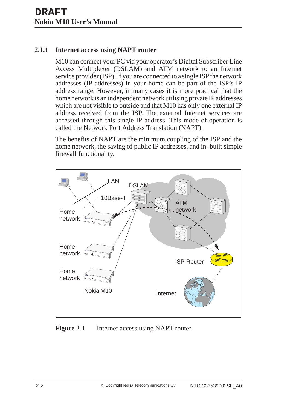### **2.1.1 Internet access using NAPT router**

M10 can connect your PC via your operator's Digital Subscriber Line Access Multiplexer (DSLAM) and ATM network to an Internet service provider (ISP). If you are connected to a single ISP the network addresses (IP addresses) in your home can be part of the ISP's IP address range. However, in many cases it is more practical that the home network is an independent network utilising private IP addresses which are not visible to outside and that M10 has only one external IP address received from the ISP. The external Internet services are accessed through this single IP address. This mode of operation is called the Network Port Address Translation (NAPT).

The benefits of NAPT are the minimum coupling of the ISP and the home network, the saving of public IP addresses, and in–built simple firewall functionality.



**Figure 2-1** Internet access using NAPT router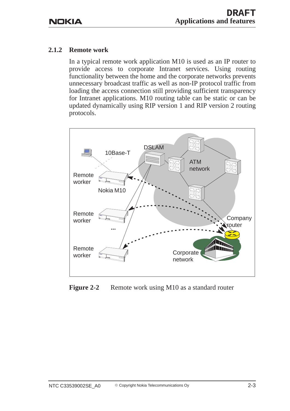#### **2.1.2 Remote work**

In a typical remote work application M10 is used as an IP router to provide access to corporate Intranet services. Using routing functionality between the home and the corporate networks prevents unnecessary broadcast traffic as well as non-IP protocol traffic from loading the access connection still providing sufficient transparency for Intranet applications. M10 routing table can be static or can be updated dynamically using RIP version 1 and RIP version 2 routing protocols.



**Figure 2-2** Remote work using M10 as a standard router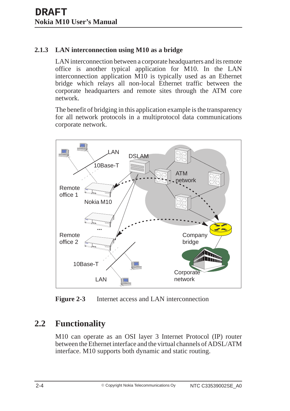## **2.1.3 LAN interconnection using M10 as a bridge**

LAN interconnection between a corporate headquarters and its remote office is another typical application for M10. In the LAN interconnection application M10 is typically used as an Ethernet bridge which relays all non-local Ethernet traffic between the corporate headquarters and remote sites through the ATM core network.

The benefit of bridging in this application example is the transparency for all network protocols in a multiprotocol data communications corporate network.



**Figure 2-3** Internet access and LAN interconnection

## **2.2 Functionality**

M10 can operate as an OSI layer 3 Internet Protocol (IP) router between the Ethernet interface and the virtual channels of ADSL/ATM interface. M10 supports both dynamic and static routing.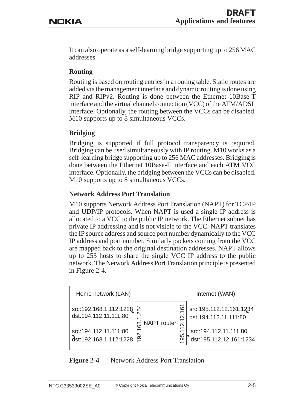It can also operate as a self-learning bridge supporting up to 256 MAC addresses.

## **Routing**

Routing is based on routing entries in a routing table. Static routes are added via the management interface and dynamic routing is done using RIP and RIPv2. Routing is done between the Ethernet 10Base-T interface and the virtual channel connection (VCC) of the ATM/ADSL interface. Optionally, the routing between the VCCs can be disabled. M10 supports up to 8 simultaneous VCCs.

## **Bridging**

Bridging is supported if full protocol transparency is required. Bridging can be used simultaneously with IP routing. M10 works as a self-learning bridge supporting up to 256 MAC addresses. Bridging is done between the Ethernet 10Base-T interface and each ATM VCC interface. Optionally, the bridging between the VCCs can be disabled. M10 supports up to 8 simultaneous VCCs.

#### **Network Address Port Translation**

M10 supports Network Address Port Translation (NAPT) for TCP/IP and UDP/IP protocols. When NAPT is used a single IP address is allocated to a VCC to the public IP network. The Ethernet subnet has private IP addressing and is not visible to the VCC. NAPT translates the IP source address and source port number dynamically to the VCC IP address and port number. Similarly packets coming from the VCC are mapped back to the original destination addresses. NAPT allows up to 253 hosts to share the single VCC IP address to the public network. The Network Address Port Translation principle is presented in Figure 2-4.



## **Figure 2-4** Network Address Port Translation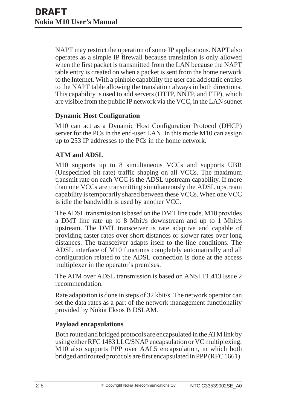NAPT may restrict the operation of some IP applications. NAPT also operates as a simple IP firewall because translation is only allowed when the first packet is transmitted from the LAN because the NAPT table entry is created on when a packet is sent from the home network to the Internet. With a pinhole capability the user can add static entries to the NAPT table allowing the translation always in both directions. This capability is used to add servers (HTTP, NNTP, and FTP), which are visible from the public IP network via the VCC, in the LAN subnet

#### **Dynamic Host Configuration**

M10 can act as a Dynamic Host Configuration Protocol (DHCP) server for the PCs in the end-user LAN. In this mode M10 can assign up to 253 IP addresses to the PCs in the home network.

## **ATM and ADSL**

M10 supports up to 8 simultaneous VCCs and supports UBR (Unspecified bit rate) traffic shaping on all VCCs. The maximum transmit rate on each VCC is the ADSL upstream capability. If more than one VCCs are transmitting simultaneously the ADSL upstream capability is temporarily shared between these VCCs. When one VCC is idle the bandwidth is used by another VCC.

The ADSL transmission is based on the DMT line code. M10 provides a DMT line rate up to 8 Mbit/s downstream and up to 1 Mbit/s upstream. The DMT transceiver is rate adaptive and capable of providing faster rates over short distances or slower rates over long distances. The transceiver adapts itself to the line conditions. The ADSL interface of M10 functions completely automatically and all configuration related to the ADSL connection is done at the access multiplexer in the operator's premises.

The ATM over ADSL transmission is based on ANSI T1.413 Issue 2 recommendation.

Rate adaptation is done in steps of 32 kbit/s. The network operator can set the data rates as a part of the network management functionality provided by Nokia Eksos B DSLAM.

## **Payload encapsulations**

Both routed and bridged protocols are encapsulated in the ATM link by using either RFC 1483 LLC/SNAP encapsulation or VC multiplexing. M10 also supports PPP over AAL5 encapsulation, in which both bridged and routed protocols are first encapsulated in PPP (RFC 1661).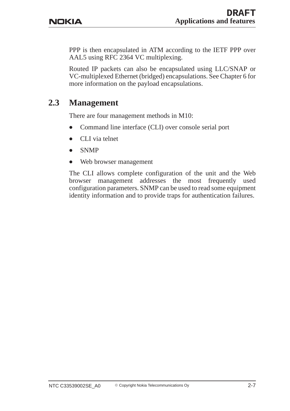PPP is then encapsulated in ATM according to the IETF PPP over AAL5 using RFC 2364 VC multiplexing.

Routed IP packets can also be encapsulated using LLC/SNAP or VC-multiplexed Ethernet (bridged) encapsulations. See Chapter 6 for more information on the payload encapsulations.

## **2.3 Management**

There are four management methods in M10:

- $\bullet$ Command line interface (CLI) over console serial port
- $\bullet$ CLI via telnet
- $\bullet$ SNMP
- $\bullet$ Web browser management

The CLI allows complete configuration of the unit and the Web browser management addresses the most frequently used configuration parameters. SNMP can be used to read some equipment identity information and to provide traps for authentication failures.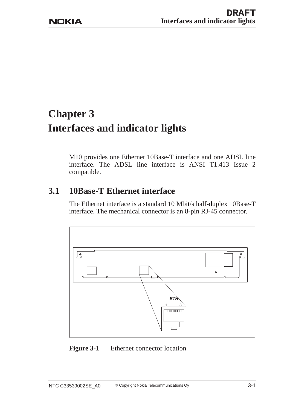# **Chapter 3 Interfaces and indicator lights**

M10 provides one Ethernet 10Base-T interface and one ADSL line interface. The ADSL line interface is ANSI T1.413 Issue 2 compatible.

## **3.1 10Base-T Ethernet interface**

The Ethernet interface is a standard 10 Mbit/s half-duplex 10Base-T interface. The mechanical connector is an 8-pin RJ-45 connector.



Figure 3-1 Ethernet connector location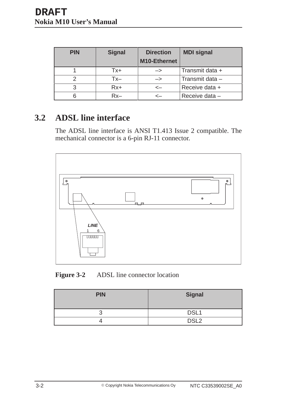| <b>PIN</b> | <b>Signal</b> | <b>Direction</b><br>M10-Ethernet | <b>MDI signal</b> |
|------------|---------------|----------------------------------|-------------------|
|            | Tx+           | $\rightarrow$                    | Transmit data +   |
|            | Tx–           | ->                               | Transmit data -   |
| 3          | $Rx+$         | <-                               | Receive data +    |
|            | 2 v.          |                                  | Receive data -    |

## **3.2 ADSL line interface**

The ADSL line interface is ANSI T1.413 Issue 2 compatible. The mechanical connector is a 6-pin RJ-11 connector.



**Figure 3-2** ADSL line connector location

| <b>PIN</b> | <b>Signal</b>    |
|------------|------------------|
| ╭<br>U     | DSL1             |
| ↵          | DSL <sub>2</sub> |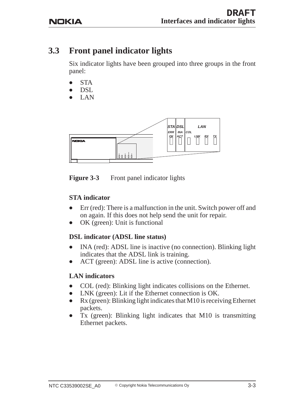## **3.3 Front panel indicator lights**

Six indicator lights have been grouped into three groups in the front panel:

- $\bullet$ **STA**
- $\bullet$ DSL
- $\bullet$ LAN



**Figure 3-3** Front panel indicator lights

## **STA indicator**

- $\bullet$  Err (red): There is a malfunction in the unit. Switch power off and on again. If this does not help send the unit for repair.
- $\bullet$ OK (green): Unit is functional

## **DSL indicator (ADSL line status)**

- $\bullet$  INA (red): ADSL line is inactive (no connection). Blinking light indicates that the ADSL link is training.
- $\bullet$ ACT (green): ADSL line is active (connection).

## **LAN indicators**

- $\bullet$ COL (red): Blinking light indicates collisions on the Ethernet.
- $\bullet$ LNK (green): Lit if the Ethernet connection is OK.
- $\bullet$  Rx (green): Blinking light indicates that M10 is receiving Ethernet packets.
- $\bullet$  Tx (green): Blinking light indicates that M10 is transmitting Ethernet packets.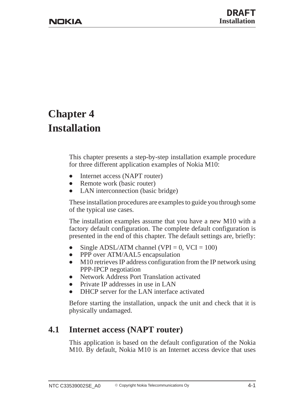## **Chapter 4 Installation**

This chapter presents a step-by-step installation example procedure for three different application examples of Nokia M10:

- $\bullet$ Internet access (NAPT router)
- $\bullet$ Remote work (basic router)
- $\bullet$ LAN interconnection (basic bridge)

These installation procedures are examples to guide you through some of the typical use cases.

The installation examples assume that you have a new M10 with a factory default configuration. The complete default configuration is presented in the end of this chapter. The default settings are, briefly:

- $\bullet$ Single ADSL/ATM channel (VPI =  $0$ , VCI = 100)
- $\bullet$ PPP over ATM/AAL5 encapsulation
- $\bullet$  M10 retrieves IP address configuration from the IP network using PPP-IPCP negotiation
- $\bullet$ Network Address Port Translation activated
- $\bullet$ Private IP addresses in use in LAN
- $\bullet$ DHCP server for the LAN interface activated

Before starting the installation, unpack the unit and check that it is physically undamaged.

## **4.1 Internet access (NAPT router)**

This application is based on the default configuration of the Nokia M10. By default, Nokia M10 is an Internet access device that uses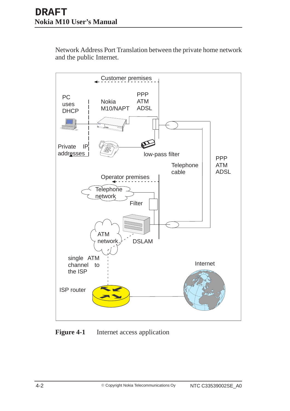Network Address Port Translation between the private home network and the public Internet.



**Figure 4-1** Internet access application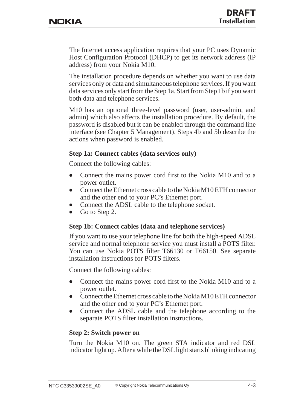The Internet access application requires that your PC uses Dynamic Host Configuration Protocol (DHCP) to get its network address (IP address) from your Nokia M10.

The installation procedure depends on whether you want to use data services only or data and simultaneous telephone services. If you want data services only start from the Step 1a. Start from Step 1b if you want both data and telephone services.

M10 has an optional three-level password (user, user-admin, and admin) which also affects the installation procedure. By default, the password is disabled but it can be enabled through the command line interface (see Chapter 5 Management). Steps 4b and 5b describe the actions when password is enabled.

#### **Step 1a: Connect cables (data services only)**

Connect the following cables:

- $\bullet$  Connect the mains power cord first to the Nokia M10 and to a power outlet.
- $\bullet$  Connect the Ethernet cross cable to the Nokia M10 ETH connector and the other end to your PC's Ethernet port.
- $\bullet$ Connect the ADSL cable to the telephone socket.
- $\bullet$ Go to Step 2.

#### **Step 1b: Connect cables (data and telephone services)**

If you want to use your telephone line for both the high-speed ADSL service and normal telephone service you must install a POTS filter. You can use Nokia POTS filter T66130 or T66150. See separate installation instructions for POTS filters.

Connect the following cables:

- $\bullet$  Connect the mains power cord first to the Nokia M10 and to a power outlet.
- $\bullet$  Connect the Ethernet cross cable to the Nokia M10 ETH connector and the other end to your PC's Ethernet port.
- $\bullet$  Connect the ADSL cable and the telephone according to the separate POTS filter installation instructions.

#### **Step 2: Switch power on**

Turn the Nokia M10 on. The green STA indicator and red DSL indicator light up. After a while the DSL light starts blinking indicating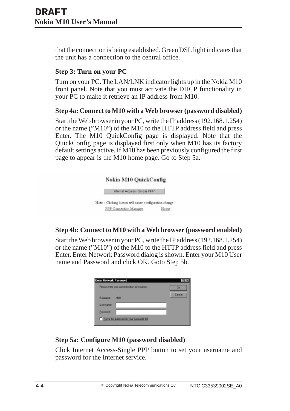that the connection is being established. Green DSL light indicates that the unit has a connection to the central office.

## **Step 3: Turn on your PC**

Turn on your PC. The LAN/LNK indicator lights up in the Nokia M10 front panel. Note that you must activate the DHCP functionality in your PC to make it retrieve an IP address from M10.

## **Step 4a: Connect to M10 with a Web browser (password disabled)**

Start the Web browser in your PC, write the IP address (192.168.1.254) or the name ("M10") of the M10 to the HTTP address field and press Enter. The M10 QuickConfig page is displayed. Note that the QuickConfig page is displayed first only when M10 has its factory default settings active. If M10 has been previously configured the first page to appear is the M10 home page. Go to Step 5a.



## **Step 4b: Connect to M10 with a Web browser (password enabled)**

Start the Web browser in your PC, write the IP address (192.168.1.254) or the name ("M10") of the M10 to the HTTP address field and press Enter. Enter Network Password dialog is shown. Enter your M10 User name and Password and click OK. Goto Step 5b.

| OK     |
|--------|
|        |
| Cancel |
|        |
|        |
|        |

## **Step 5a: Configure M10 (password disabled)**

Click Internet Access-Single PPP button to set your username and password for the Internet service.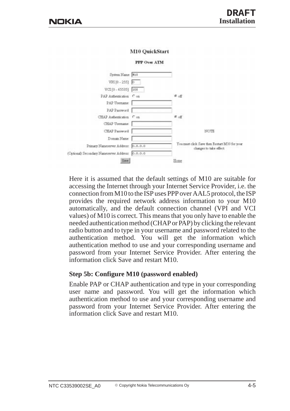

Here it is assumed that the default settings of M10 are suitable for accessing the Internet through your Internet Service Provider, i.e. the connection from M10 to the ISP uses PPP over AAL5 protocol, the ISP provides the required network address information to your M10 automatically, and the default connection channel (VPI and VCI values) of M10 is correct. This means that you only have to enable the needed authentication method (CHAP or PAP) by clicking the relevant radio button and to type in your username and password related to the authentication method. You will get the information which authentication method to use and your corresponding username and password from your Internet Service Provider. After entering the information click Save and restart M10.

#### **Step 5b: Configure M10 (password enabled)**

Enable PAP or CHAP authentication and type in your corresponding user name and password. You will get the information which authentication method to use and your corresponding username and password from your Internet Service Provider. After entering the information click Save and restart M10.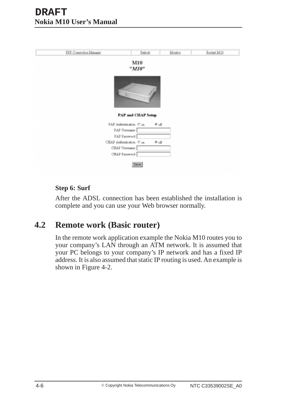| PPP Connection Manager | Pinhole                   |                    | Monitor | Restart M10 |
|------------------------|---------------------------|--------------------|---------|-------------|
|                        | M10<br>"M10"              |                    |         |             |
|                        | <b>PAP and CHAP Setup</b> |                    |         |             |
|                        | PAP Authentication: Con.  | $e$ off            |         |             |
|                        | PAP Usemame:              |                    |         |             |
|                        | PAP Password:             |                    |         |             |
|                        | CHAP Authentication: C on | $\mathfrak{G}$ off |         |             |
|                        | CHAP Upername:            |                    |         |             |
|                        | CHAP Password             |                    |         |             |
|                        |                           |                    |         |             |
|                        | Seve                      |                    |         |             |

#### **Step 6: Surf**

After the ADSL connection has been established the installation is complete and you can use your Web browser normally.

## **4.2 Remote work (Basic router)**

In the remote work application example the Nokia M10 routes you to your company's LAN through an ATM network. It is assumed that your PC belongs to your company's IP network and has a fixed IP address. It is also assumed that static IP routing is used. An example is shown in Figure 4-2.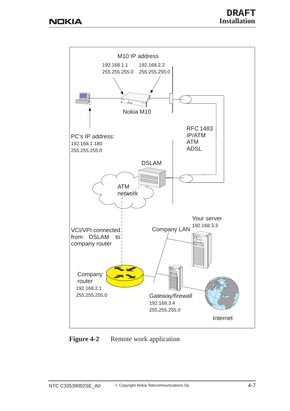

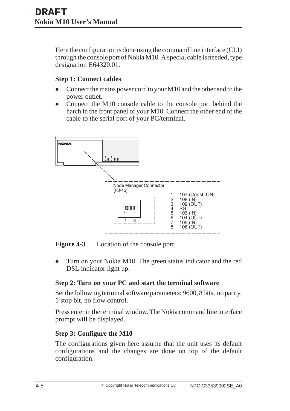Here the configuration is done using the command line interface (CLI) through the console port of Nokia M10. A special cable is needed, type designation E64320.01.

### **Step 1: Connect cables**

- $\bullet$  Connect the mains power cord to your M10 and the other end to the power outlet.
- $\bullet$  Connect the M10 console cable to the console port behind the hatch in the front panel of your M10. Connect the other end of the cable to the serial port of your PC/terminal.



**Figure 4-3** Location of the console port

 $\bullet$  Turn on your Nokia M10. The green status indicator and the red DSL indicator light up.

## **Step 2: Turn on your PC and start the terminal software**

Set the following terminal software parameters: 9600, 8 bits, no parity, 1 stop bit, no flow control.

Press enter in the terminal window. The Nokia command line interface prompt will be displayed.

## **Step 3: Configure the M10**

The configurations given here assume that the unit uses its default configurations and the changes are done on top of the default configuration.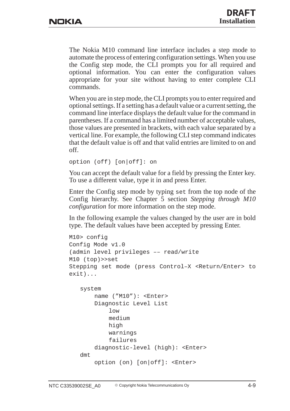The Nokia M10 command line interface includes a step mode to automate the process of entering configuration settings. When you use the Config step mode, the CLI prompts you for all required and optional information. You can enter the configuration values appropriate for your site without having to enter complete CLI commands.

When you are in step mode, the CLI prompts you to enter required and optional settings. If a setting has a default value or a current setting, the command line interface displays the default value for the command in parentheses. If a command has a limited number of acceptable values, those values are presented in brackets, with each value separated by a vertical line. For example, the following CLI step command indicates that the default value is off and that valid entries are limited to on and off.

```
option (off) [on|off]: on
```
You can accept the default value for a field by pressing the Enter key. To use a different value, type it in and press Enter.

Enter the Config step mode by typing set from the top node of the Config hierarchy. See Chapter 5 section *Stepping through M10 configuration* for more information on the step mode.

In the following example the values changed by the user are in bold type. The default values have been accepted by pressing Enter.

```
M10> config
Config Mode v1.0
(admin level privileges –– read/write
M10 (top)>>set
Stepping set mode (press Control–X <Return/Enter> to
exit)...
```

```
system
    name ("M10"): <Enter>
    Diagnostic Level List
        low
        medium
        high
        warnings
        failures
    diagnostic-level (high): <Enter>
dmt
    option (on) [on|off]: <Enter>
```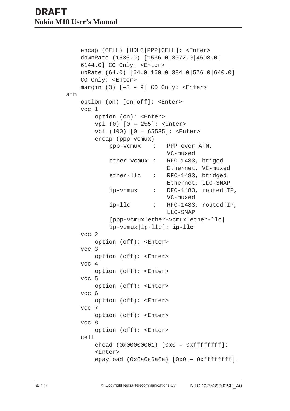```
encap (CELL) [HDLC|PPP|CELL]: <Enter>
    downRate (1536.0) [1536.0|3072.0|4608.0|
    6144.0] CO Only: <Enter>
    upRate (64.0) [64.0|160.0|384.0|576.0|640.0]
    CO Only: <Enter>
    margin (3) [-3 - 9] CO Only: <Enter>
atm
    option (on) [on|off]: <Enter>
    vcc 1
        option (on): <Enter>
        vpi (0) [0 – 255]: <Enter>
        vci (100) [0 – 65535]: <Enter>
        encap (ppp-vcmux)
            ppp-vcmux : PPP over ATM,
                            VC-muxed
            ether-vcmux : RFC-1483, briged
                            Ethernet, VC-muxed
            ether-llc : RFC-1483, bridged
                            Ethernet, LLC-SNAP
            ip-vcmux : RFC-1483, routed IP,
                            VC-muxed
            ip-llc : RFC-1483, routed IP,
                            LLC-SNAP
            [ppp-vcmux|ether-vcmux|ether-llc|
            ip-vcmux|ip-llc]: ip-llc
    vcc 2
        option (off): <Enter>
    vcc 3
        option (off): <Enter>
    vcc 4
        option (off): <Enter>
    vcc 5
        option (off): <Enter>
    vcc 6
        option (off): <Enter>
    vcc 7
        option (off): <Enter>
    vcc 8
        option (off): <Enter>
    cell
        ehead (0x00000001) [0x0 – 0xffffffff]:
        <Enter>
        epayload (0x6a6a6a6a) [0x0 - 0xffffffff]:
```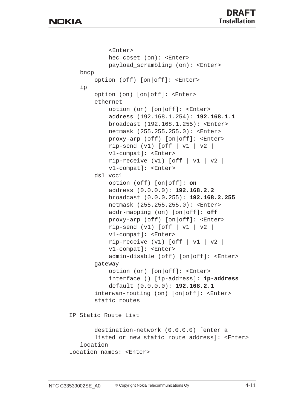```
<Enter>
           hec coset (on): <Enter>
           payload_scrambling (on): <Enter>
   bncp
       option (off) [on|off]: <Enter>
   ip
       option (on) [on|off]: <Enter>
       ethernet
           option (on) [on|off]: <Enter>
           address (192.168.1.254): 192.168.1.1
           broadcast (192.168.1.255): <Enter>
           netmask (255.255.255.0): <Enter>
           proxy-arp (off) [on|off]: <Enter>
           rip-send (v1) [off | v1 | v2 |
           v1-compat]: <Enter>
           rip-receive (v1) [off | v1 | v2 |
           v1-compat]: <Enter>
       dsl vcc1
           option (off) [on|off]: on
           address (0.0.0.0): 192.168.2.2
           broadcast (0.0.0.255): 192.168.2.255
           netmask (255.255.255.0): <Enter>
           addr-mapping (on) [on|off]: off
           proxy-arp (off) [on|off]: <Enter>
           rip-send (v1) [off | v1 | v2 |
           v1-compat]: <Enter>
           rip-receive (v1) [off | v1 | v2 |
           v1-compat]: <Enter>
           admin-disable (off) [on|off]: <Enter>
       gateway
           option (on) [on|off]: <Enter>
           interface () [ip-address]: ip-address
           default (0.0.0.0): 192.168.2.1
       interwan-routing (on) [on|off]: <Enter>
       static routes
IP Static Route List
       destination-network (0.0.0.0) [enter a
       listed or new static route address]: <Enter>
   location
Location names: <Enter>
```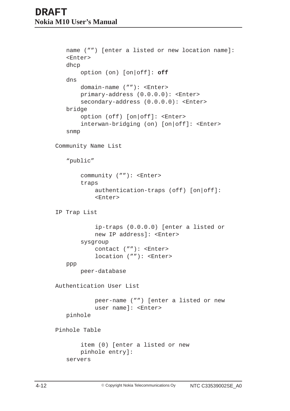```
name ("") [enter a listed or new location name]:
   <Enter>
   dhcp
       option (on) [on|off]: off
   dns
       domain-name (""): <Enter>
       primary-address (0.0.0.0): <Enter>
       secondary-address (0.0.0.0): <Enter>
   bridge
       option (off) [on|off]: <Enter>
       interwan-bridging (on) [on|off]: <Enter>
   snmp
Community Name List
   "public"
       community (""): <Enter>
       traps
           authentication-traps (off) [on|off]:
           <Enter>
IP Trap List
           ip-traps (0.0.0.0) [enter a listed or
           new IP address]: <Enter>
       sysgroup
           contact (""): <Enter>
           location (""): <Enter>
   ppp
       peer-database
Authentication User List
           peer-name ("") [enter a listed or new
           user name]: <Enter>
   pinhole
Pinhole Table
       item (0) [enter a listed or new
       pinhole entry]:
   servers
```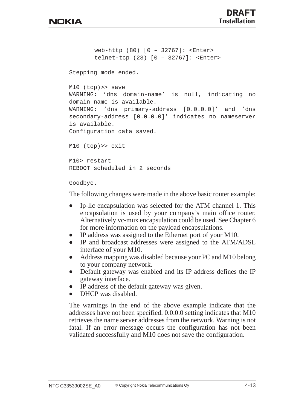```
web-http (80) [0 – 32767]: <Enter>
       telnet-tcp (23) [0 – 32767]: <Enter>
Stepping mode ended.
M10 (top)>> save
WARNING: 'dns domain-name' is null, indicating no
domain name is available.
WARNING: 'dns primary-address [0.0.0.0]' and 'dns
secondary-address [0.0.0.0]' indicates no nameserver
is available.
Configuration data saved.
M10 (top)>> exit
M10> restart
REBOOT scheduled in 2 seconds
```
Goodbye.

The following changes were made in the above basic router example:

- $\bullet$  Ip-llc encapsulation was selected for the ATM channel 1. This encapsulation is used by your company's main office router. Alternatively vc-mux encapsulation could be used. See Chapter 6 for more information on the payload encapsulations.
- $\bullet$ IP address was assigned to the Ethernet port of your M10.
- $\bullet$  IP and broadcast addresses were assigned to the ATM/ADSL interface of your M10.
- $\bullet$  Address mapping was disabled because your PC and M10 belong to your company network.
- $\bullet$  Default gateway was enabled and its IP address defines the IP gateway interface.
- $\bullet$ IP address of the default gateway was given.
- $\bullet$ DHCP was disabled.

The warnings in the end of the above example indicate that the addresses have not been specified. 0.0.0.0 setting indicates that M10 retrieves the name server addresses from the network. Warning is not fatal. If an error message occurs the configuration has not been validated successfully and M10 does not save the configuration.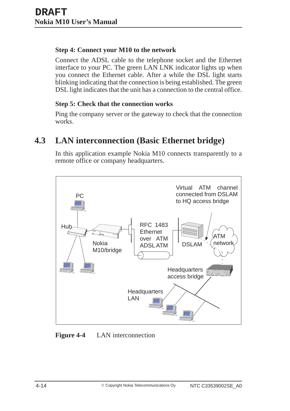## **Step 4: Connect your M10 to the network**

Connect the ADSL cable to the telephone socket and the Ethernet interface to your PC. The green LAN LNK indicator lights up when you connect the Ethernet cable. After a while the DSL light starts blinking indicating that the connection is being established. The green DSL light indicates that the unit has a connection to the central office.

#### **Step 5: Check that the connection works**

Ping the company server or the gateway to check that the connection works.

## **4.3 LAN interconnection (Basic Ethernet bridge)**

In this application example Nokia M10 connects transparently to a remote office or company headquarters.



**Figure 4-4** LAN interconnection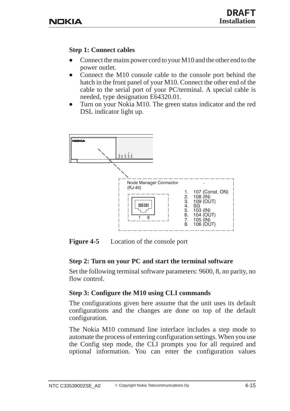#### **Step 1: Connect cables**

- $\bullet$  Connect the mains power cord to your M10 and the other end to the power outlet.
- $\bullet$  Connect the M10 console cable to the console port behind the hatch in the front panel of your M10. Connect the other end of the cable to the serial port of your PC/terminal. A special cable is needed, type designation E64320.01.
- $\bullet$  Turn on your Nokia M10. The green status indicator and the red DSL indicator light up.



**Figure 4-5** Location of the console port

## **Step 2: Turn on your PC and start the terminal software**

Set the following terminal software parameters: 9600, 8, no parity, no flow control.

## **Step 3: Configure the M10 using CLI commands**

The configurations given here assume that the unit uses its default configurations and the changes are done on top of the default configuration.

The Nokia M10 command line interface includes a step mode to automate the process of entering configuration settings. When you use the Config step mode, the CLI prompts you for all required and optional information. You can enter the configuration values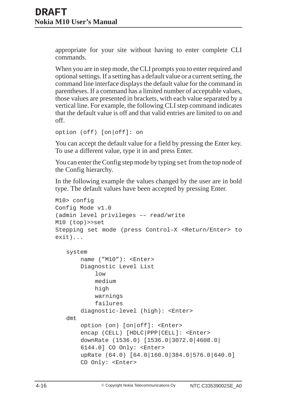appropriate for your site without having to enter complete CLI commands.

When you are in step mode, the CLI prompts you to enter required and optional settings. If a setting has a default value or a current setting, the command line interface displays the default value for the command in parentheses. If a command has a limited number of acceptable values, those values are presented in brackets, with each value separated by a vertical line. For example, the following CLI step command indicates that the default value is off and that valid entries are limited to on and off.

```
option (off) [on|off]: on
```
You can accept the default value for a field by pressing the Enter key. To use a different value, type it in and press Enter.

You can enter the Config step mode by typing set from the top node of the Config hierarchy.

In the following example the values changed by the user are in bold type. The default values have been accepted by pressing Enter.

```
M10> config
Config Mode v1.0
(admin level privileges –– read/write
M10 (top)>>set
Stepping set mode (press Control–X <Return/Enter> to
exit)...
   system
       name ("M10"): <Enter>
       Diagnostic Level List
           low
           medium
           high
           warnings
           failures
       diagnostic-level (high): <Enter>
   dmt
       option (on) [on|off]: <Enter>
       encap (CELL) [HDLC|PPP|CELL]: <Enter>
       downRate (1536.0) [1536.0|3072.0|4608.0|
       6144.0] CO Only: <Enter>
       upRate (64.0) [64.0|160.0|384.0|576.0|640.0]
       CO Only: <Enter>
```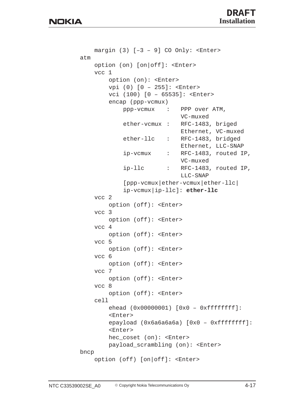```
margin (3) [-3 - 9] CO Only: <Enter>
atm
    option (on) [on|off]: <Enter>
    vcc 1
        option (on): <Enter>
        vpi (0) [0 – 255]: <Enter>
        vci (100) [0 – 65535]: <Enter>
        encap (ppp-vcmux)
            ppp-vcmux : PPP over ATM,
                            VC-muxed
            ether-vcmux : RFC-1483, briged
                            Ethernet, VC-muxed
            ether-llc : RFC-1483, bridged
                            Ethernet, LLC-SNAP
            ip-vcmux : RFC-1483, routed IP,
                            VC-muxed
            ip-llc : RFC-1483, routed IP,
                            LLC-SNAP
            [ppp-vcmux|ether-vcmux|ether-llc|
            ip-vcmux|ip-llc]: ether-llc
    vcc 2
        option (off): <Enter>
    vcc 3
        option (off): <Enter>
    vcc 4
        option (off): <Enter>
    vcc 5
        option (off): <Enter>
    vcc 6
        option (off): <Enter>
    vcc 7
        option (off): <Enter>
    vcc 8
        option (off): <Enter>
    cell
        ehead (0x00000001) [0x0 – 0xffffffff]:
        <Enter>
        epayload (0x6a6a6a6a) [0x0 - 0xffffffff]:
        <Enter>
        hec_coset (on): <Enter>
        payload_scrambling (on): <Enter>
bncp
    option (off) [on|off]: <Enter>
```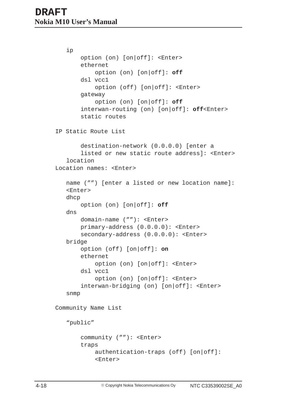```
ip
       option (on) [on|off]: <Enter>
       ethernet
           option (on) [on|off]: off
       dsl vcc1
           option (off) [on|off]: <Enter>
       gateway
           option (on) [on|off]: off
       interwan-routing (on) [on|off]: off<Enter>
       static routes
IP Static Route List
       destination-network (0.0.0.0) [enter a
       listed or new static route address]: <Enter>
   location
Location names: <Enter>
   name ("") [enter a listed or new location name]:
   <Enter>
   dhcp
       option (on) [on|off]: off
   dns
       domain-name (""): <Enter>
       primary-address (0.0.0.0): <Enter>
       secondary-address (0.0.0.0): <Enter>
   bridge
       option (off) [on|off]: on
       ethernet
           option (on) [on|off]: <Enter>
       dsl vcc1
           option (on) [on|off]: <Enter>
       interwan-bridging (on) [on|off]: <Enter>
   snmp
Community Name List
   "public"
       community (""): <Enter>
       traps
           authentication-traps (off) [on|off]:
           <Enter>
```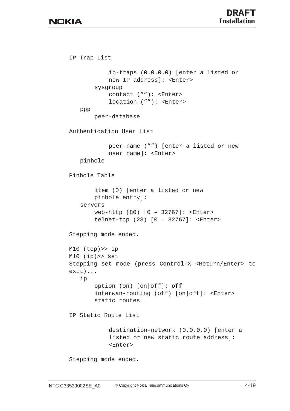```
IP Trap List
           ip-traps (0.0.0.0) [enter a listed or
           new IP address]: <Enter>
       sysgroup
           contact (""): <Enter>
           location (""): <Enter>
   ppp
       peer-database
Authentication User List
           peer-name ("") [enter a listed or new
           user name]: <Enter>
   pinhole
Pinhole Table
       item (0) [enter a listed or new
       pinhole entry]:
   servers
       web-http (80) [0 – 32767]: <Enter>
       telnet-tcp (23) [0 – 32767]: <Enter>
Stepping mode ended.
M10 (top)>> ip
M10 (ip)>> set
Stepping set mode (press Control-X <Return/Enter> to
exit)...
   ip
       option (on) [on|off]: off
       interwan-routing (off) [on|off]: <Enter>
       static routes
IP Static Route List
           destination-network (0.0.0.0) [enter a
           listed or new static route address]:
           <Enter>
Stepping mode ended.
```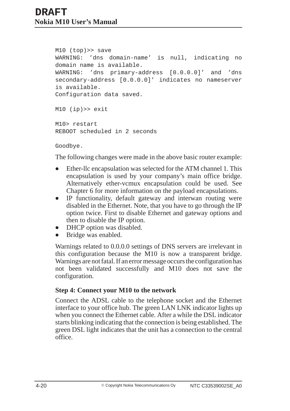```
M10 (top)>> save
WARNING: 'dns domain-name' is null, indicating no
domain name is available.
WARNING: 'dns primary-address [0.0.0.0]' and 'dns
secondary-address [0.0.0.0]' indicates no nameserver
is available.
Configuration data saved.
M10 (ip)>> exit
```
M10> restart REBOOT scheduled in 2 seconds

Goodbye.

The following changes were made in the above basic router example:

- $\bullet$  Ether-llc encapsulation was selected for the ATM channel 1. This encapsulation is used by your company's main office bridge. Alternatively ether-vcmux encapsulation could be used. See Chapter 6 for more information on the payload encapsulations.
- $\bullet$  IP functionality, default gateway and interwan routing were disabled in the Ethernet. Note, that you have to go through the IP option twice. First to disable Ethernet and gateway options and then to disable the IP option.
- $\bullet$ DHCP option was disabled.
- $\bullet$ Bridge was enabled.

Warnings related to 0.0.0.0 settings of DNS servers are irrelevant in this configuration because the M10 is now a transparent bridge. Warnings are not fatal. If an error message occurs the configuration has not been validated successfully and M10 does not save the configuration.

#### **Step 4: Connect your M10 to the network**

Connect the ADSL cable to the telephone socket and the Ethernet interface to your office hub. The green LAN LNK indicator lights up when you connect the Ethernet cable. After a while the DSL indicator starts blinking indicating that the connection is being established. The green DSL light indicates that the unit has a connection to the central office.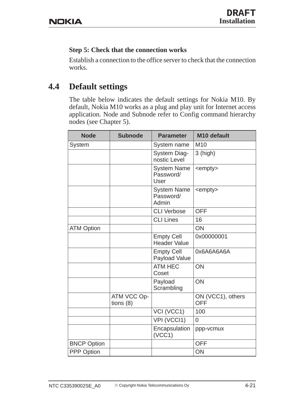## **Step 5: Check that the connection works**

Establish a connection to the office server to check that the connection works.

## **4.4 Default settings**

The table below indicates the default settings for Nokia M10. By default, Nokia M10 works as a plug and play unit for Internet access application. Node and Subnode refer to Config command hierarchy nodes (see Chapter 5).

| <b>Node</b>        | <b>Subnode</b>             | <b>Parameter</b>                         | M10 default                     |
|--------------------|----------------------------|------------------------------------------|---------------------------------|
| System             |                            | System name                              | M <sub>10</sub>                 |
|                    |                            | <b>System Diag-</b><br>nostic Level      | $3$ (high)                      |
|                    |                            | <b>System Name</b><br>Password/<br>User  | <empty></empty>                 |
|                    |                            | <b>System Name</b><br>Password/<br>Admin | <empty></empty>                 |
|                    |                            | <b>CLI Verbose</b>                       | <b>OFF</b>                      |
|                    |                            | <b>CLI Lines</b>                         | 16                              |
| <b>ATM Option</b>  |                            |                                          | ON                              |
|                    |                            | <b>Empty Cell</b><br><b>Header Value</b> | 0x00000001                      |
|                    |                            | <b>Empty Cell</b><br>Payload Value       | 0x6A6A6A6A                      |
|                    |                            | <b>ATM HEC</b><br>Coset                  | ON                              |
|                    |                            | Payload<br>Scrambling                    | <b>ON</b>                       |
|                    | ATM VCC Op-<br>tions $(8)$ |                                          | ON (VCC1), others<br><b>OFF</b> |
|                    |                            | VCI (VCC1)                               | 100                             |
|                    |                            | VPI (VCCI1)                              | $\overline{0}$                  |
|                    |                            | Encapsulation<br>(VCC1)                  | ppp-vcmux                       |
| <b>BNCP Option</b> |                            |                                          | <b>OFF</b>                      |
| <b>PPP Option</b>  |                            |                                          | ON                              |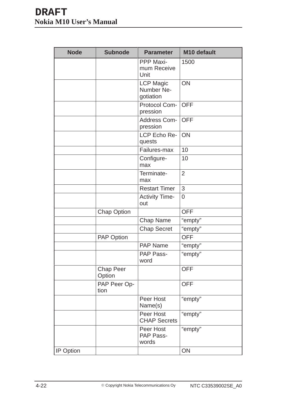| <b>Node</b> | <b>Subnode</b><br><b>Parameter</b> |                                             | M10 default    |  |  |
|-------------|------------------------------------|---------------------------------------------|----------------|--|--|
|             |                                    | <b>PPP Maxi-</b><br>mum Receive<br>Unit     | 1500           |  |  |
|             |                                    | <b>LCP Magic</b><br>Number Ne-<br>gotiation | ON             |  |  |
|             |                                    | Protocol Com-<br>pression                   | <b>OFF</b>     |  |  |
|             |                                    | Address Com-<br>pression                    | <b>OFF</b>     |  |  |
|             |                                    | LCP Echo Re-<br>quests                      | <b>ON</b>      |  |  |
|             |                                    | Failures-max                                | 10             |  |  |
|             |                                    | Configure-<br>max                           | 10             |  |  |
|             |                                    | Terminate-<br>max                           | $\overline{2}$ |  |  |
|             |                                    | <b>Restart Timer</b>                        | 3              |  |  |
|             |                                    | <b>Activity Time-</b><br>out                | $\overline{0}$ |  |  |
|             | <b>Chap Option</b>                 |                                             | <b>OFF</b>     |  |  |
|             |                                    | Chap Name                                   | "empty"        |  |  |
|             |                                    | <b>Chap Secret</b>                          | "empty"        |  |  |
|             | PAP Option                         |                                             | <b>OFF</b>     |  |  |
|             |                                    | <b>PAP Name</b>                             | "empty"        |  |  |
|             |                                    | PAP Pass-<br>word                           | "empty"        |  |  |
|             | <b>Chap Peer</b><br>Option         |                                             | <b>OFF</b>     |  |  |
|             | PAP Peer Op-<br>tion               |                                             | <b>OFF</b>     |  |  |
|             |                                    | Peer Host<br>Name(s)                        | "empty"        |  |  |
|             |                                    | Peer Host<br><b>CHAP Secrets</b>            | "empty"        |  |  |
|             |                                    | Peer Host<br>PAP Pass-<br>words             | "empty"        |  |  |
| IP Option   |                                    |                                             | ON             |  |  |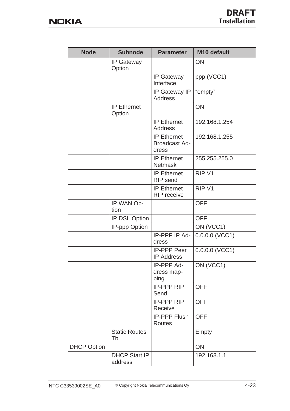| <b>Node</b>        | <b>Subnode</b>                  | <b>Parameter</b>                                    | M10 default       |
|--------------------|---------------------------------|-----------------------------------------------------|-------------------|
|                    | <b>IP Gateway</b><br>Option     |                                                     | ON                |
|                    |                                 | <b>IP Gateway</b><br>Interface                      | ppp (VCC1)        |
|                    |                                 | IP Gateway IP<br><b>Address</b>                     | "empty"           |
|                    | <b>IP Ethernet</b><br>Option    |                                                     | ON                |
|                    |                                 | <b>IP Ethernet</b><br><b>Address</b>                | 192.168.1.254     |
|                    |                                 | <b>IP Ethernet</b><br><b>Broadcast Ad-</b><br>dress | 192.168.1.255     |
|                    |                                 | <b>IP Ethernet</b><br><b>Netmask</b>                | 255.255.255.0     |
|                    |                                 | <b>IP Ethernet</b><br>RIP send                      | RIP <sub>V1</sub> |
|                    |                                 | <b>IP Ethernet</b><br><b>RIP</b> receive            | RIP <sub>V1</sub> |
|                    | IP WAN Op-<br>tion              |                                                     | <b>OFF</b>        |
|                    | IP DSL Option                   |                                                     | <b>OFF</b>        |
|                    | IP-ppp Option                   |                                                     | ON (VCC1)         |
|                    |                                 | IP-PPP IP Ad-<br>dress                              | $0.0.0.0$ (VCC1)  |
|                    |                                 | <b>IP-PPP Peer</b><br><b>IP Address</b>             | $0.0.0.0$ (VCC1)  |
|                    |                                 | IP-PPP Ad-<br>dress map-<br>ping                    | ON (VCC1)         |
|                    |                                 | <b>IP-PPP RIP</b><br>Send                           | <b>OFF</b>        |
|                    |                                 | <b>IP-PPP RIP</b><br>Receive                        | <b>OFF</b>        |
|                    |                                 | <b>IP-PPP Flush</b><br>Routes                       | <b>OFF</b>        |
|                    | <b>Static Routes</b><br>Tbl     |                                                     | Empty             |
| <b>DHCP Option</b> |                                 |                                                     | ON                |
|                    | <b>DHCP Start IP</b><br>address |                                                     | 192.168.1.1       |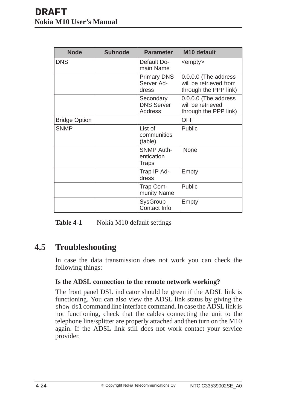| <b>Node</b>          | <b>Subnode</b> | <b>Parameter</b>                                 | M <sub>10</sub> default                                                 |
|----------------------|----------------|--------------------------------------------------|-------------------------------------------------------------------------|
| <b>DNS</b>           |                | Default Do-<br>main Name                         | <empty></empty>                                                         |
|                      |                | <b>Primary DNS</b><br>Server Ad-<br>dress        | 0.0.0.0 (The address<br>will be retrieved from<br>through the PPP link) |
|                      |                | Secondary<br><b>DNS Server</b><br><b>Address</b> | 0.0.0.0 (The address<br>will be retrieved<br>through the PPP link)      |
| <b>Bridge Option</b> |                |                                                  | <b>OFF</b>                                                              |
| <b>SNMP</b>          |                | List of<br>communities<br>(table)                | Public                                                                  |
|                      |                | <b>SNMP Auth-</b><br>entication<br><b>Traps</b>  | <b>None</b>                                                             |
|                      |                | Trap IP Ad-<br>dress                             | Empty                                                                   |
|                      |                | Trap Com-<br>munity Name                         | Public                                                                  |
|                      |                | <b>SysGroup</b><br>Contact Info                  | Empty                                                                   |

Table 4-1 Nokia M10 default settings

## **4.5 Troubleshooting**

In case the data transmission does not work you can check the following things:

#### **Is the ADSL connection to the remote network working?**

The front panel DSL indicator should be green if the ADSL link is functioning. You can also view the ADSL link status by giving the show dsl command line interface command. In case the ADSL link is not functioning, check that the cables connecting the unit to the telephone line/splitter are properly attached and then turn on the M10 again. If the ADSL link still does not work contact your service provider.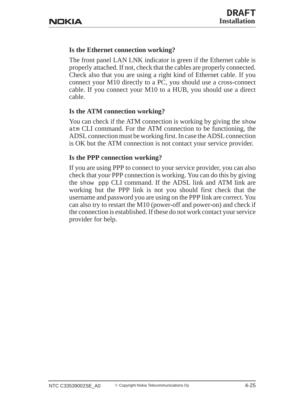## **Is the Ethernet connection working?**

The front panel LAN LNK indicator is green if the Ethernet cable is properly attached. If not, check that the cables are properly connected. Check also that you are using a right kind of Ethernet cable. If you connect your M10 directly to a PC, you should use a cross-connect cable. If you connect your M10 to a HUB, you should use a direct cable.

#### **Is the ATM connection working?**

You can check if the ATM connection is working by giving the show atm CLI command. For the ATM connection to be functioning, the ADSL connection must be working first. In case the ADSL connection is OK but the ATM connection is not contact your service provider.

#### **Is the PPP connection working?**

If you are using PPP to connect to your service provider, you can also check that your PPP connection is working. You can do this by giving the show ppp CLI command. If the ADSL link and ATM link are working but the PPP link is not you should first check that the username and password you are using on the PPP link are correct. You can also try to restart the M10 (power-off and power-on) and check if the connection is established. If these do not work contact your service provider for help.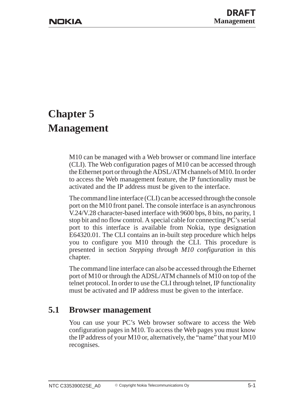# **Chapter 5 Management**

M10 can be managed with a Web browser or command line interface (CLI). The Web configuration pages of M10 can be accessed through the Ethernet port or through the ADSL/ATM channels of M10. In order to access the Web management feature, the IP functionality must be activated and the IP address must be given to the interface.

The command line interface (CLI) can be accessed through the console port on the M10 front panel. The console interface is an asynchronous V.24/V.28 character-based interface with 9600 bps, 8 bits, no parity, 1 stop bit and no flow control. A special cable for connecting PC's serial port to this interface is available from Nokia, type designation E64320.01. The CLI contains an in-built step procedure which helps you to configure you M10 through the CLI. This procedure is presented in section *Stepping through M10 configuration* in this chapter.

The command line interface can also be accessed through the Ethernet port of M10 or through the ADSL/ATM channels of M10 on top of the telnet protocol. In order to use the CLI through telnet, IP functionality must be activated and IP address must be given to the interface.

## **5.1 Browser management**

You can use your PC's Web browser software to access the Web configuration pages in M10. To access the Web pages you must know the IP address of your M10 or, alternatively, the "name" that your M10 recognises.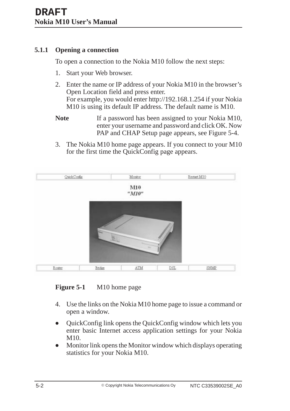#### **5.1.1 Opening a connection**

To open a connection to the Nokia M10 follow the next steps:

- 1. Start your Web browser.
- 2. Enter the name or IP address of your Nokia M10 in the browser's Open Location field and press enter. For example, you would enter http://192.168.1.254 if your Nokia M10 is using its default IP address. The default name is M10.
- **Note** If a password has been assigned to your Nokia M10, enter your username and password and click OK. Now PAP and CHAP Setup page appears, see Figure 5-4.
- 3. The Nokia M10 home page appears. If you connect to your M10 for the first time the QuickConfig page appears.



**Figure 5-1** M10 home page

- 4. Use the links on the Nokia M10 home page to issue a command or open a window.
- $\bullet$  QuickConfig link opens the QuickConfig window which lets you enter basic Internet access application settings for your Nokia M10.
- $\bullet$  Monitor link opens the Monitor window which displays operating statistics for your Nokia M10.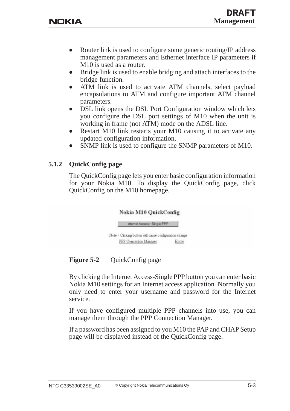- $\bullet$  Router link is used to configure some generic routing/IP address management parameters and Ethernet interface IP parameters if M10 is used as a router.
- $\bullet$  Bridge link is used to enable bridging and attach interfaces to the bridge function.
- $\bullet$  ATM link is used to activate ATM channels, select payload encapsulations to ATM and configure important ATM channel parameters.
- $\bullet$  DSL link opens the DSL Port Configuration window which lets you configure the DSL port settings of M10 when the unit is working in frame (not ATM) mode on the ADSL line.
- $\bullet$  Restart M10 link restarts your M10 causing it to activate any updated configuration information.
- $\bullet$ SNMP link is used to configure the SNMP parameters of M10.

#### **5.1.2 QuickConfig page**

The QuickConfig page lets you enter basic configuration information for your Nokia M10. To display the QuickConfig page, click QuickConfig on the M10 homepage.



## **Figure 5-2** QuickConfig page

By clicking the Internet Access-Single PPP button you can enter basic Nokia M10 settings for an Internet access application. Normally you only need to enter your username and password for the Internet service.

If you have configured multiple PPP channels into use, you can manage them through the PPP Connection Manager.

If a password has been assigned to you M10 the PAP and CHAP Setup page will be displayed instead of the QuickConfig page.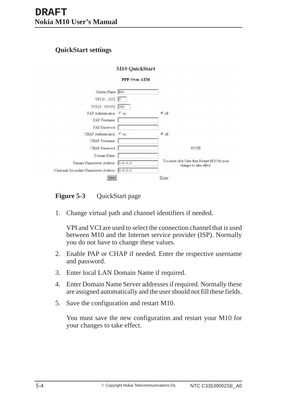## **QuickStart settings**

|                                                 | M10 QuickStart |                                                                          |
|-------------------------------------------------|----------------|--------------------------------------------------------------------------|
|                                                 | PPP Over ATM   |                                                                          |
| System Name: M10                                |                |                                                                          |
| VPI [0 - 255] 0                                 |                |                                                                          |
| VCI [0 - 65535] 100                             |                |                                                                          |
| PAP Authentication: Con-                        |                | 6.6f                                                                     |
| PAP Usemame:                                    |                |                                                                          |
| PAP Password                                    |                |                                                                          |
| CHAP Authentication: Con                        |                | சென                                                                      |
| CHAP Usemame                                    |                |                                                                          |
| CHAP Password                                   |                | NOTE                                                                     |
| Domain Name:                                    |                |                                                                          |
| Primary Nameserver Address:                     | 0.0.0.0        | You must click Save then Restart M10 for your<br>changes to take effect. |
| (Optional) Secondary Nameserver Address 0.0.0.0 |                |                                                                          |
| Save.                                           |                | Home                                                                     |

**Figure 5-3** QuickStart page

1. Change virtual path and channel identifiers if needed.

VPI and VCI are used to select the connection channel that is used between M10 and the Internet service provider (ISP). Normally you do not have to change these values.

- 2. Enable PAP or CHAP if needed. Enter the respective username and password.
- 3. Enter local LAN Domain Name if required.
- 4. Enter Domain Name Server addresses if required. Normally these are assigned automatically and the user should not fill these fields.
- 5. Save the configuration and restart M10.

You must save the new configuration and restart your M10 for your changes to take effect.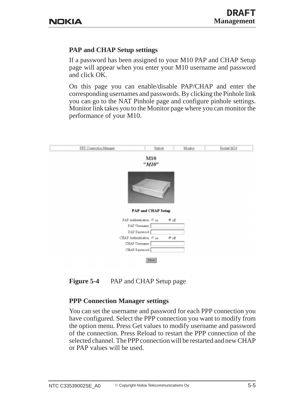## **PAP and CHAP Setup settings**

If a password has been assigned to your M10 PAP and CHAP Setup page will appear when you enter your M10 username and password and click OK.

On this page you can enable/disable PAP/CHAP and enter the corresponding usernames and passwords. By clicking the Pinhole link you can go to the NAT Pinhole page and configure pinhole settings. Monitor link takes you to the Monitor page where you can monitor the performance of your M10.

| PPP Connection Manager | Pinhole                                    | Monitor | Restart M10 |
|------------------------|--------------------------------------------|---------|-------------|
|                        | M10<br>"M10"                               |         |             |
|                        |                                            |         |             |
|                        | <b>PAP and CHAP Setup</b>                  |         |             |
|                        | PAP Authentication: Con.                   |         |             |
|                        | PAP Usemame:                               | $e$ off |             |
|                        |                                            |         |             |
|                        | PAP Password:<br>CHAP Authentication: Con. | ® o≝    |             |
|                        | CHAP Upername:                             |         |             |

**Figure 5-4** PAP and CHAP Setup page

## **PPP Connection Manager settings**

You can set the username and password for each PPP connection you have configured. Select the PPP connection you want to modify from the option menu. Press Get values to modify username and password of the connection. Press Reload to restart the PPP connection of the selected channel. The PPP connection will be restarted and new CHAP or PAP values will be used.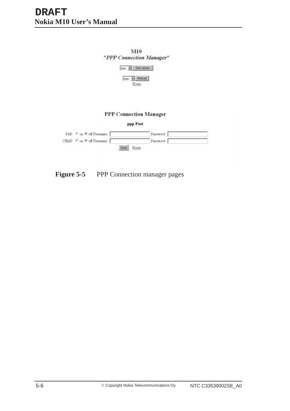

**Figure 5-5** PPP Connection manager pages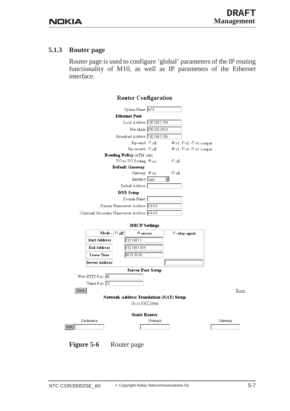#### **5.1.3 Router page**

Router page is used to configure 'global' parameters of the IP routing functionality of M10, as well as IP parameters of the Ethernet interface.

#### **Router Configuration**



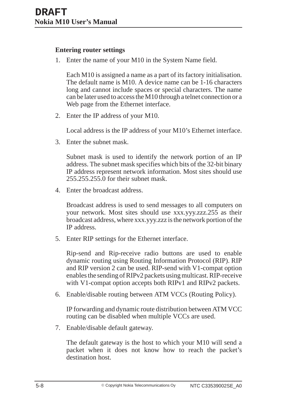#### **Entering router settings**

1. Enter the name of your M10 in the System Name field.

Each M10 is assigned a name as a part of its factory initialisation. The default name is M10. A device name can be 1-16 characters long and cannot include spaces or special characters. The name can be later used to access the M10 through a telnet connection or a Web page from the Ethernet interface.

2. Enter the IP address of your M10.

Local address is the IP address of your M10's Ethernet interface.

3. Enter the subnet mask.

Subnet mask is used to identify the network portion of an IP address. The subnet mask specifies which bits of the 32-bit binary IP address represent network information. Most sites should use 255.255.255.0 for their subnet mask.

4. Enter the broadcast address.

Broadcast address is used to send messages to all computers on your network. Most sites should use xxx.yyy.zzz.255 as their broadcast address, where xxx.yyy.zzz is the network portion of the IP address.

5. Enter RIP settings for the Ethernet interface.

Rip-send and Rip-receive radio buttons are used to enable dynamic routing using Routing Information Protocol (RIP). RIP and RIP version 2 can be used. RIP-send with V1-compat option enables the sending of RIPv2 packets using multicast. RIP-receive with V1-compat option accepts both RIPv1 and RIPv2 packets.

6. Enable/disable routing between ATM VCCs (Routing Policy).

IP forwarding and dynamic route distribution between ATM VCC routing can be disabled when multiple VCCs are used.

7. Enable/disable default gateway.

The default gateway is the host to which your M10 will send a packet when it does not know how to reach the packet's destination host.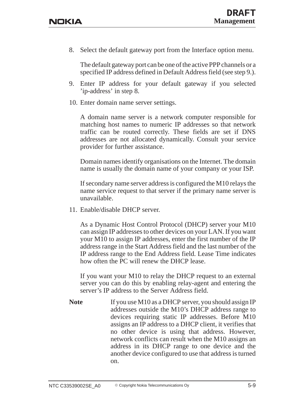8. Select the default gateway port from the Interface option menu.

The default gateway port can be one of the active PPP channels or a specified IP address defined in Default Address field (see step 9.).

- 9. Enter IP address for your default gateway if you selected 'ip-address' in step 8.
- 10. Enter domain name server settings.

A domain name server is a network computer responsible for matching host names to numeric IP addresses so that network traffic can be routed correctly. These fields are set if DNS addresses are not allocated dynamically. Consult your service provider for further assistance.

Domain names identify organisations on the Internet. The domain name is usually the domain name of your company or your ISP.

If secondary name server address is configured the M10 relays the name service request to that server if the primary name server is unavailable.

11. Enable/disable DHCP server.

As a Dynamic Host Control Protocol (DHCP) server your M10 can assign IP addresses to other devices on your LAN. If you want your M10 to assign IP addresses, enter the first number of the IP address range in the Start Address field and the last number of the IP address range to the End Address field. Lease Time indicates how often the PC will renew the DHCP lease.

If you want your M10 to relay the DHCP request to an external server you can do this by enabling relay-agent and entering the server's IP address to the Server Address field.

Note If you use M10 as a DHCP server, you should assign IP addresses outside the M10's DHCP address range to devices requiring static IP addresses. Before M10 assigns an IP address to a DHCP client, it verifies that no other device is using that address. However, network conflicts can result when the M10 assigns an address in its DHCP range to one device and the another device configured to use that address is turned on.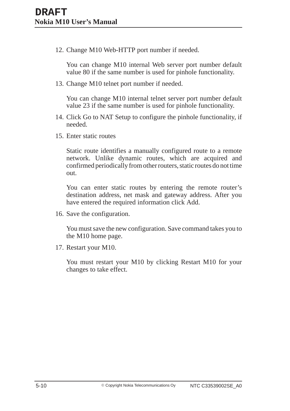12. Change M10 Web-HTTP port number if needed.

You can change M10 internal Web server port number default value 80 if the same number is used for pinhole functionality.

13. Change M10 telnet port number if needed.

You can change M10 internal telnet server port number default value 23 if the same number is used for pinhole functionality.

- 14. Click Go to NAT Setup to configure the pinhole functionality, if needed.
- 15. Enter static routes

Static route identifies a manually configured route to a remote network. Unlike dynamic routes, which are acquired and confirmed periodically from other routers, static routes do not time out.

You can enter static routes by entering the remote router's destination address, net mask and gateway address. After you have entered the required information click Add.

16. Save the configuration.

You must save the new configuration. Save command takes you to the M10 home page.

17. Restart your M10.

You must restart your M10 by clicking Restart M10 for your changes to take effect.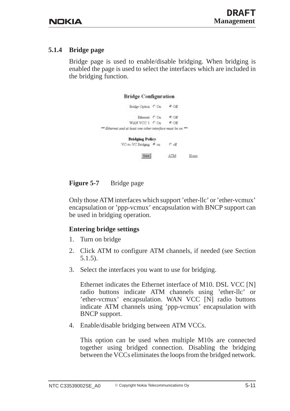#### **5.1.4 Bridge page**

Bridge page is used to enable/disable bridging. When bridging is enabled the page is used to select the interfaces which are included in the bridging function.

| <b>Bridge Configuration</b>                                |         |      |
|------------------------------------------------------------|---------|------|
| Bridge Option: C Ou<br>70 HAS 1985 JOB & BEND              | ® Off   |      |
| Ethernet COs                                               | ® Off   |      |
| WAN VCC 1: COm                                             | $F$ Off |      |
| ** Ethernet and at least one other interface must be on ** |         |      |
| <b>Bridging Policy</b>                                     |         |      |
| VC-to-VC Bridging @ on Coff                                |         |      |
| Save                                                       | ATM     | Home |

## **Figure 5-7** Bridge page

Only those ATM interfaces which support 'ether-llc' or 'ether-vcmux' encapsulation or 'ppp-vcmux' encapsulation with BNCP support can be used in bridging operation.

## **Entering bridge settings**

- 1. Turn on bridge
- 2. Click ATM to configure ATM channels, if needed (see Section 5.1.5).
- 3. Select the interfaces you want to use for bridging.

Ethernet indicates the Ethernet interface of M10. DSL VCC [N] radio buttons indicate ATM channels using 'ether-llc' or 'ether-vcmux' encapsulation. WAN VCC [N] radio buttons indicate ATM channels using 'ppp-vcmux' encapsulation with BNCP support.

4. Enable/disable bridging between ATM VCCs.

This option can be used when multiple M10s are connected together using bridged connection. Disabling the bridging between the VCCs eliminates the loops from the bridged network.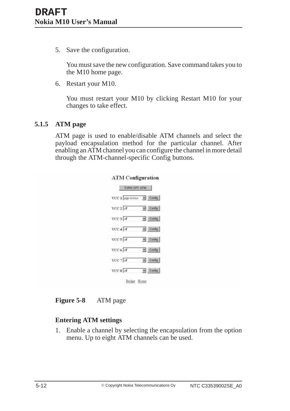5. Save the configuration.

You must save the new configuration. Save command takes you to the M10 home page.

6. Restart your M10.

You must restart your M10 by clicking Restart M10 for your changes to take effect.

#### **5.1.5 ATM page**

ATM page is used to enable/disable ATM channels and select the payload encapsulation method for the particular channel. After enabling an ATM channel you can configure the channel in more detail through the ATM-channel-specific Config buttons.

| TURN OFF ATM    |                        |
|-----------------|------------------------|
| VCC 1 ppp-vcmux | $\blacksquare$ Config. |
| $VCC2$ of       | v Config               |
| VCC 3 of        | $\leftarrow$ Config    |
| VCC 4 of        | $\blacksquare$ Config  |
| $VCC 5$ of      | v Config               |
| VCC 6 of        | $\leftarrow$ Config    |
| VCC 7 of        | $\blacksquare$ Config  |
| VCC 8 of        | v Config               |

**Figure 5-8** ATM page

## **Entering ATM settings**

1. Enable a channel by selecting the encapsulation from the option menu. Up to eight ATM channels can be used.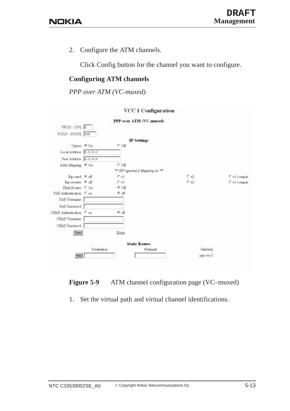2. Configure the ATM channels.

Click Config button for the channel you want to configure.

#### **Configuring ATM channels**

*PPP over ATM (VC-muxed)*

#### VCC 1 Configuration





1. Set the virtual path and virtual channel identifications.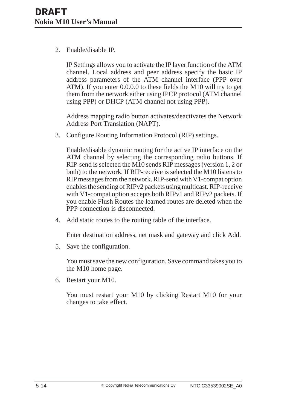2. Enable/disable IP.

IP Settings allows you to activate the IP layer function of the ATM channel. Local address and peer address specify the basic IP address parameters of the ATM channel interface (PPP over ATM). If you enter 0.0.0.0 to these fields the M10 will try to get them from the network either using IPCP protocol (ATM channel using PPP) or DHCP (ATM channel not using PPP).

Address mapping radio button activates/deactivates the Network Address Port Translation (NAPT).

3. Configure Routing Information Protocol (RIP) settings.

Enable/disable dynamic routing for the active IP interface on the ATM channel by selecting the corresponding radio buttons. If RIP-send is selected the M10 sends RIP messages (version 1, 2 or both) to the network. If RIP-receive is selected the M10 listens to RIP messages from the network. RIP-send with V1-compat option enables the sending of RIPv2 packets using multicast. RIP-receive with V1-compat option accepts both RIPv1 and RIPv2 packets. If you enable Flush Routes the learned routes are deleted when the PPP connection is disconnected.

4. Add static routes to the routing table of the interface.

Enter destination address, net mask and gateway and click Add.

5. Save the configuration.

You must save the new configuration. Save command takes you to the M10 home page.

6. Restart your M10.

You must restart your M10 by clicking Restart M10 for your changes to take effect.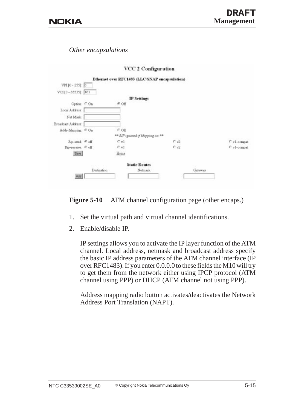*Other encapsulations*

|                      |             |          | a change of changes are assumed                |             |
|----------------------|-------------|----------|------------------------------------------------|-------------|
|                      |             |          | Ethernet over RFC1483 (LLC/SNAP encapsulation) |             |
| VPI [0 - 255]: 0     |             |          |                                                |             |
| $VCI[0 - 65535]$ 101 |             |          |                                                |             |
|                      |             |          | IP Settings                                    |             |
| Option COn           |             | $G$ $OE$ |                                                |             |
| Local Address        |             |          |                                                |             |
| Net Mask             |             |          |                                                |             |
| Broadcast Address    |             |          |                                                |             |
| Addr-Mapping # On    |             | COE      |                                                |             |
|                      |             |          | ** RIP sproved if Mapping on **                |             |
| Rip-send @ off       |             | Cv1      | 0.42                                           | C v1-compat |
| Rip-receive: # off   |             | $C$ v].  | $C$ v2                                         | C v1-compat |
| Save                 |             | Home     |                                                |             |
|                      |             |          | <b>Static Routes</b>                           |             |
|                      | Destination |          | Nemask                                         | Gateway     |
| Add.                 |             |          |                                                |             |
|                      |             |          |                                                |             |

VCC 2 Configuration

Figure 5-10 ATM channel configuration page (other encaps.)

- 1. Set the virtual path and virtual channel identifications.
- 2. Enable/disable IP.

IP settings allows you to activate the IP layer function of the ATM channel. Local address, netmask and broadcast address specify the basic IP address parameters of the ATM channel interface (IP over RFC1483). If you enter 0.0.0.0 to these fields the M10 will try to get them from the network either using IPCP protocol (ATM channel using PPP) or DHCP (ATM channel not using PPP).

Address mapping radio button activates/deactivates the Network Address Port Translation (NAPT).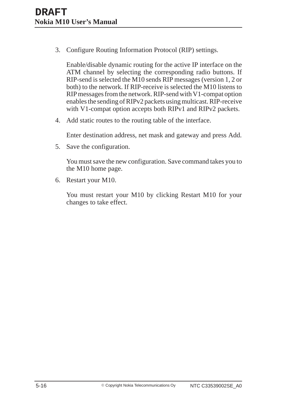3. Configure Routing Information Protocol (RIP) settings.

Enable/disable dynamic routing for the active IP interface on the ATM channel by selecting the corresponding radio buttons. If RIP-send is selected the M10 sends RIP messages (version 1, 2 or both) to the network. If RIP-receive is selected the M10 listens to RIP messages from the network. RIP-send with V1-compat option enables the sending of RIPv2 packets using multicast. RIP-receive with V1-compat option accepts both RIPv1 and RIPv2 packets.

4. Add static routes to the routing table of the interface.

Enter destination address, net mask and gateway and press Add.

5. Save the configuration.

You must save the new configuration. Save command takes you to the M10 home page.

6. Restart your M10.

You must restart your M10 by clicking Restart M10 for your changes to take effect.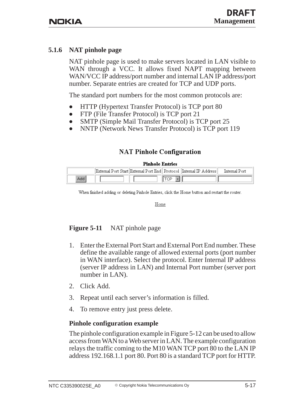#### **5.1.6 NAT pinhole page**

NAT pinhole page is used to make servers located in LAN visible to WAN through a VCC. It allows fixed NAPT mapping between WAN/VCC IP address/port number and internal LAN IP address/port number. Separate entries are created for TCP and UDP ports.

The standard port numbers for the most common protocols are:

- $\bullet$ HTTP (Hypertext Transfer Protocol) is TCP port 80
- $\bullet$ FTP (File Transfer Protocol) is TCP port 21
- $\bullet$ SMTP (Simple Mail Transfer Protocol) is TCP port 25
- $\bullet$ NNTP (Network News Transfer Protocol) is TCP port 119

## **NAT Pinhole Configuration**

#### **Pinhole Entries**

|      |  | External Port Start  External Port End   Protocol   Internal IP Address | Internal Port |
|------|--|-------------------------------------------------------------------------|---------------|
| Add. |  |                                                                         |               |

When finished adding or deleting Pinhole Entries, click the Home button and restart the router.

Home

#### **Figure 5-11** NAT pinhole page

- 1. Enter the External Port Start and External Port End number. These define the available range of allowed external ports (port number in WAN interface). Select the protocol. Enter Internal IP address (server IP address in LAN) and Internal Port number (server port number in LAN).
- 2. Click Add.
- 3. Repeat until each server's information is filled.
- 4. To remove entry just press delete.

#### **Pinhole configuration example**

The pinhole configuration example in Figure 5-12 can be used to allow access from WAN to a Web server in LAN. The example configuration relays the traffic coming to the M10 WAN TCP port 80 to the LAN IP address 192.168.1.1 port 80. Port 80 is a standard TCP port for HTTP.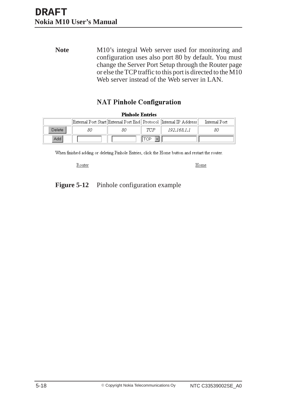Note M10's integral Web server used for monitoring and configuration uses also port 80 by default. You must change the Server Port Setup through the Router page or else the TCP traffic to this port is directed to the M10 Web server instead of the Web server in LAN.

## **NAT Pinhole Configuration**

 $\mathbf{m}$  $\sim$   $\mathbf{r}$ 

| Pinnole Entries |    |    |     |                                                                         |               |
|-----------------|----|----|-----|-------------------------------------------------------------------------|---------------|
|                 |    |    |     | External Port Start  External Port End   Protocol   Internal IP Address | Internal Port |
| Delete          | 80 | 80 | TCP | 192.168.1.1                                                             | 80            |
| Add             |    |    | "CP |                                                                         |               |

When finished adding or deleting Pinhole Entries, click the Home button and restart the router.

Router

Home

Figure 5-12 Pinhole configuration example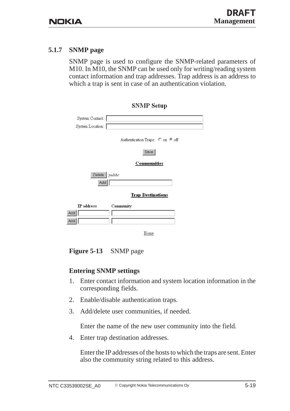#### **5.1.7 SNMP page**

SNMP page is used to configure the SNMP-related parameters of M10. In M10, the SNMP can be used only for writing/reading system contact information and trap addresses. Trap address is an address to which a trap is sent in case of an authentication violation.

**SNMP Setup** 

|                          | $\sim$ $\sim$ $\sim$ $\sim$ $\sim$ |
|--------------------------|------------------------------------|
| System Contact:          |                                    |
| System Location:         |                                    |
|                          | Authentication Traps: O on O off   |
|                          | Save                               |
|                          | <b>Communities</b>                 |
| Delete $ public $<br>Add |                                    |
|                          | <b>Trap Destinations</b>           |
| $IP$ address             | Community                          |
| Add                      |                                    |
| Add                      |                                    |
|                          | Home                               |

**Figure 5-13** SNMP page

#### **Entering SNMP settings**

- 1. Enter contact information and system location information in the corresponding fields.
- 2. Enable/disable authentication traps.
- 3. Add/delete user communities, if needed.

Enter the name of the new user community into the field.

4. Enter trap destination addresses.

Enter the IP addresses of the hosts to which the traps are sent. Enter also the community string related to this address.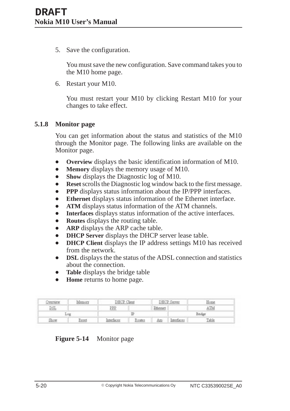5. Save the configuration.

You must save the new configuration. Save command takes you to the M10 home page.

6. Restart your M10.

You must restart your M10 by clicking Restart M10 for your changes to take effect.

#### **5.1.8 Monitor page**

You can get information about the status and statistics of the M10 through the Monitor page. The following links are available on the Monitor page.

- $\bullet$ **Overview** displays the basic identification information of M10.
- $\bullet$ **Memory** displays the memory usage of M10.
- $\bullet$ **Show** displays the Diagnostic log of M10.
- $\bullet$ **Reset** scrolls the Diagnostic log window back to the first message.
- $\bullet$ **PPP** displays status information about the IP/PPP interfaces.
- $\bullet$ **Ethernet** displays status information of the Ethernet interface.
- $\bullet$ **ATM** displays status information of the ATM channels.
- $\bullet$ **Interfaces** displays status information of the active interfaces.
- $\bullet$ **Routes** displays the routing table.
- $\bullet$ **ARP** displays the ARP cache table.
- $\bullet$ **DHCP Server** displays the DHCP server lease table.
- $\bullet$  **DHCP Client** displays the IP address settings M10 has received from the network.
- $\bullet$  **DSL** displays the the status of the ADSL connection and statistics about the connection.
- $\bullet$ **Table** displays the bridge table
- $\bullet$ **Home** returns to home page.

| <b>Dverview</b> | Memory | DHCP Client |        | DHCP Server |            | Home  |
|-----------------|--------|-------------|--------|-------------|------------|-------|
| DSL             |        | PPP         |        | Ethernet    |            | ATM   |
| Log             |        |             |        |             | Bridge     |       |
| Show            | Reset  | nterfacer   | Routes | ÅΦ          | Interfaces | Table |

#### **Figure 5-14** Monitor page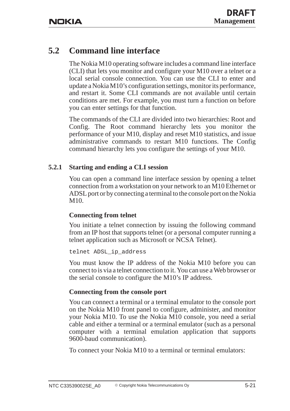## **5.2 Command line interface**

The Nokia M10 operating software includes a command line interface (CLI) that lets you monitor and configure your M10 over a telnet or a local serial console connection. You can use the CLI to enter and update a Nokia M10's configuration settings, monitor its performance, and restart it. Some CLI commands are not available until certain conditions are met. For example, you must turn a function on before you can enter settings for that function.

The commands of the CLI are divided into two hierarchies: Root and Config. The Root command hierarchy lets you monitor the performance of your M10, display and reset M10 statistics, and issue administrative commands to restart M10 functions. The Config command hierarchy lets you configure the settings of your M10.

## **5.2.1 Starting and ending a CLI session**

You can open a command line interface session by opening a telnet connection from a workstation on your network to an M10 Ethernet or ADSL port or by connecting a terminal to the console port on the Nokia M10.

## **Connecting from telnet**

You initiate a telnet connection by issuing the following command from an IP host that supports telnet (or a personal computer running a telnet application such as Microsoft or NCSA Telnet).

```
telnet ADSL_ip_address
```
You must know the IP address of the Nokia M10 before you can connect to is via a telnet connection to it. You can use a Web browser or the serial console to configure the M10's IP address.

## **Connecting from the console port**

You can connect a terminal or a terminal emulator to the console port on the Nokia M10 front panel to configure, administer, and monitor your Nokia M10. To use the Nokia M10 console, you need a serial cable and either a terminal or a terminal emulator (such as a personal computer with a terminal emulation application that supports 9600-baud communication).

To connect your Nokia M10 to a terminal or terminal emulators: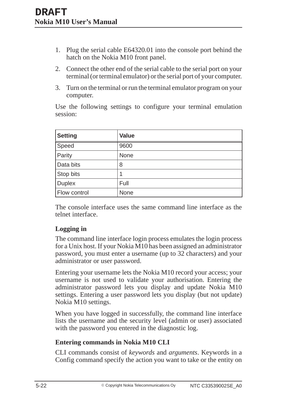- 1. Plug the serial cable E64320.01 into the console port behind the hatch on the Nokia M10 front panel.
- 2. Connect the other end of the serial cable to the serial port on your terminal (or terminal emulator) or the serial port of your computer.
- 3. Turn on the terminal or run the terminal emulator program on your computer.

Use the following settings to configure your terminal emulation session:

| <b>Setting</b> | <b>Value</b> |
|----------------|--------------|
| Speed          | 9600         |
| Parity         | None         |
| Data bits      | 8            |
| Stop bits      | 1            |
| <b>Duplex</b>  | Full         |
| Flow control   | None         |

The console interface uses the same command line interface as the telnet interface.

## **Logging in**

The command line interface login process emulates the login process for a Unix host. If your Nokia M10 has been assigned an administrator password, you must enter a username (up to 32 characters) and your administrator or user password.

Entering your username lets the Nokia M10 record your access; your username is not used to validate your authorisation. Entering the administrator password lets you display and update Nokia M10 settings. Entering a user password lets you display (but not update) Nokia M10 settings.

When you have logged in successfully, the command line interface lists the username and the security level (admin or user) associated with the password you entered in the diagnostic log.

## **Entering commands in Nokia M10 CLI**

CLI commands consist of *keywords* and *arguments*. Keywords in a Config command specify the action you want to take or the entity on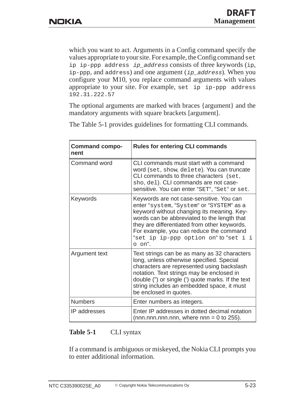which you want to act. Arguments in a Config command specify the values appropriate to your site. For example, the Config command set ip ip-ppp address ip\_address consists of three keywords (ip,  $ip$ -ppp, and address) and one argument ( $ip$ -address). When you configure your M10, you replace command arguments with values appropriate to your site. For example, set ip ip-ppp address 192.31.222.57

The optional arguments are marked with braces {argument} and the mandatory arguments with square brackets [argument].

| <b>Command compo-</b><br>nent | <b>Rules for entering CLI commands</b>                                                                                                                                                                                                                                                                                          |
|-------------------------------|---------------------------------------------------------------------------------------------------------------------------------------------------------------------------------------------------------------------------------------------------------------------------------------------------------------------------------|
| <b>Command word</b>           | CLI commands must start with a command<br>word (set, show, delete). You can truncate<br>CLI commands to three characters (set,<br>sho, del). CLI commands are not case-<br>sensitive. You can enter "SET", "Set" or set.                                                                                                        |
| Keywords                      | Keywords are not case-sensitive. You can<br>enter "system, "System" or "SYSTEM" as a<br>keyword without changing its meaning. Key-<br>words can be abbreviated to the length that<br>they are differentiated from other keywords.<br>For example, you can reduce the command<br>"set ip ip-ppp option on" to "set i i<br>o on". |
| Argument text                 | Text strings can be as many as 32 characters<br>long, unless otherwise specified. Special<br>characters are represented using backslash<br>notation. Text strings may be enclosed in<br>double (") or single (') quote marks. If the text<br>string includes an embedded space, it must<br>be enclosed in quotes.               |
| <b>Numbers</b>                | Enter numbers as integers.                                                                                                                                                                                                                                                                                                      |
| IP addresses                  | Enter IP addresses in dotted decimal notation<br>(nnn.nnn.nnn.nnn, where nnn = 0 to 255).                                                                                                                                                                                                                                       |

The Table 5-1 provides guidelines for formatting CLI commands.

#### **Table 5-1** CLI syntax

If a command is ambiguous or miskeyed, the Nokia CLI prompts you to enter additional information.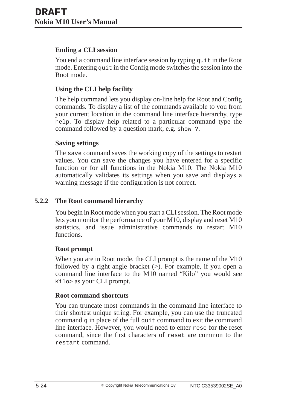## **Ending a CLI session**

You end a command line interface session by typing quit in the Root mode. Entering quit in the Config mode switches the session into the Root mode.

## **Using the CLI help facility**

The help command lets you display on-line help for Root and Config commands. To display a list of the commands available to you from your current location in the command line interface hierarchy, type help. To display help related to a particular command type the command followed by a question mark, e.g. show ?.

### **Saving settings**

The save command saves the working copy of the settings to restart values. You can save the changes you have entered for a specific function or for all functions in the Nokia M10. The Nokia M10 automatically validates its settings when you save and displays a warning message if the configuration is not correct.

## **5.2.2 The Root command hierarchy**

You begin in Root mode when you start a CLI session. The Root mode lets you monitor the performance of your M10, display and reset M10 statistics, and issue administrative commands to restart M10 functions.

### **Root prompt**

When you are in Root mode, the CLI prompt is the name of the M10 followed by a right angle bracket  $(>)$ . For example, if you open a command line interface to the M10 named "Kilo" you would see Kilo> as your CLI prompt.

### **Root command shortcuts**

You can truncate most commands in the command line interface to their shortest unique string. For example, you can use the truncated command q in place of the full quit command to exit the command line interface. However, you would need to enter rese for the reset command, since the first characters of reset are common to the restart command.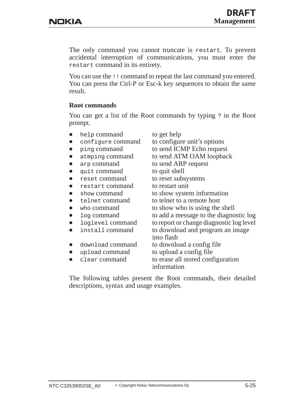The only command you cannot truncate is restart. To prevent accidental interruption of communications, you must enter the restart command in its entirety.

You can use the !! command to repeat the last command you entered. You can press the Ctrl-P or Esc-k key sequences to obtain the same result.

### **Root commands**

You can get a list of the Root commands by typing ? in the Root prompt.

- $\bullet$ help command to get help
- $\bullet$
- $\bullet$
- $\bullet$
- $\bullet$
- $\bullet$ quit command to quit shell
- $\bullet$
- $\bullet$ restart command to restart unit
- $\bullet$
- $\bullet$
- $\bullet$
- $\bullet$
- $\bullet$
- $\bullet$
- $\bullet$
- $\bullet$
- $\bullet$

 configure command to configure unit's options ping command to send ICMP Echo request atmping command to send ATM OAM loopback arp command to send ARP request reset command to reset subsystems show command to show system information telnet command to telnet to a remote host who command to show who is using the shell log command to add a message to the diagnostic log loglevel command to report or change diagnostic log level install command to download and program an image into flash download command to download a config file upload command to upload a config file clear command to erase all stored configuration information

The following tables present the Root commands, their detailed descriptions, syntax and usage examples.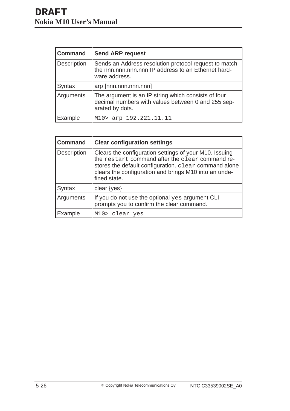| <b>Command</b> | <b>Send ARP request</b>                                                                                                       |
|----------------|-------------------------------------------------------------------------------------------------------------------------------|
| Description    | Sends an Address resolution protocol request to match<br>the nnn.nnn.nnn.nnn IP address to an Ethernet hard-<br>ware address. |
| Syntax         | arp [nnn.nnn.nnn.nnn]                                                                                                         |
| Arguments      | The argument is an IP string which consists of four<br>decimal numbers with values between 0 and 255 sep-<br>arated by dots.  |
| Example        | M10> arp 192.221.11.11                                                                                                        |

| <b>Command</b>     | <b>Clear configuration settings</b>                                                                                                                                                                                                         |
|--------------------|---------------------------------------------------------------------------------------------------------------------------------------------------------------------------------------------------------------------------------------------|
| <b>Description</b> | Clears the configuration settings of your M10. Issuing<br>the restart command after the clear command re-<br>stores the default configuration. clear command alone<br>clears the configuration and brings M10 into an unde-<br>fined state. |
| Syntax             | clear $\{yes\}$                                                                                                                                                                                                                             |
| Arguments          | If you do not use the optional yes argument CLI<br>prompts you to confirm the clear command.                                                                                                                                                |
| Example            | M10> clear yes                                                                                                                                                                                                                              |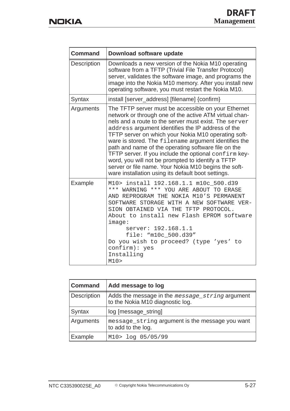| <b>Command</b>     | Download software update                                                                                                                                                                                                                                                                                                                                                                                                                                                                                                                                                                                                      |
|--------------------|-------------------------------------------------------------------------------------------------------------------------------------------------------------------------------------------------------------------------------------------------------------------------------------------------------------------------------------------------------------------------------------------------------------------------------------------------------------------------------------------------------------------------------------------------------------------------------------------------------------------------------|
| <b>Description</b> | Downloads a new version of the Nokia M10 operating<br>software from a TFTP (Trivial File Transfer Protocol)<br>server, validates the software image, and programs the<br>image into the Nokia M10 memory. After you install new<br>operating software, you must restart the Nokia M10.                                                                                                                                                                                                                                                                                                                                        |
| Syntax             | install [server_address] [filename] {confirm}                                                                                                                                                                                                                                                                                                                                                                                                                                                                                                                                                                                 |
| Arguments          | The TFTP server must be accessible on your Ethernet<br>network or through one of the active ATM virtual chan-<br>nels and a route to the server must exist. The server<br>address argument identifies the IP address of the<br>TFTP server on which your Nokia M10 operating soft-<br>ware is stored. The filename argument identifies the<br>path and name of the operating software file on the<br>TFTP server. If you include the optional confirm key-<br>word, you will not be prompted to identify a TFTP<br>server or file name. Your Nokia M10 begins the soft-<br>ware installation using its default boot settings. |
| Example            | M10> install 192.168.1.1 m10c_500.d39<br>*** WARNING *** YOU ARE ABOUT TO ERASE<br>AND REPROGRAM THE NOKIA M10'S PERMANENT<br>SOFTWARE STORAGE WITH A NEW SOFTWARE VER-<br>SION OBTAINED VIA THE TFTP PROTOCOL.<br>About to install new Flash EPROM software<br>image:<br>server: 192.168.1.1<br>file: "m10c_500.d39"<br>Do you wish to proceed? (type 'yes' to<br>confirm): yes<br>Installing<br>M10                                                                                                                                                                                                                         |

| <b>Command</b> | Add message to log                                                                  |
|----------------|-------------------------------------------------------------------------------------|
| Description    | Adds the message in the message_string argument<br>to the Nokia M10 diagnostic log. |
| Syntax         | log [message_string]                                                                |
| Arguments      | message_string argument is the message you want<br>to add to the log.               |
| Example        | M10> log 05/05/99                                                                   |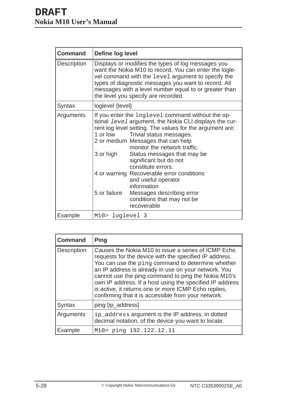| <b>Command</b>     | Define log level                                                                                                                                                                                                                                                                                                                                                                                                                                                                                                                                                      |
|--------------------|-----------------------------------------------------------------------------------------------------------------------------------------------------------------------------------------------------------------------------------------------------------------------------------------------------------------------------------------------------------------------------------------------------------------------------------------------------------------------------------------------------------------------------------------------------------------------|
| <b>Description</b> | Displays or modifies the types of log messages you<br>want the Nokia M10 to record. You can enter the logle-<br>vel command with the level argument to specify the<br>types of diagnostic messages you want to record. All<br>messages with a level number equal to or greater than<br>the level you specify are recorded.                                                                                                                                                                                                                                            |
| Syntax             | loglevel {level}                                                                                                                                                                                                                                                                                                                                                                                                                                                                                                                                                      |
| Arguments          | If you enter the loglevel command without the op-<br>tional <i>level</i> argument, the Nokia CLI displays the cur-<br>rent log level setting. The values for the argument are:<br>1 or low<br>Trivial status messages.<br>2 or medium Messages that can help<br>monitor the network traffic.<br>3 or high<br>Status messages that may be<br>significant but do not<br>constitute errors.<br>4 or warning Recoverable error conditions<br>and useful operator<br>information<br>5 or failure<br>Messages describing error<br>conditions that may not be<br>recoverable |
| Example            | M10> loglevel 3                                                                                                                                                                                                                                                                                                                                                                                                                                                                                                                                                       |

| <b>Command</b>     | <b>Ping</b>                                                                                                                                                                                                                                                                                                                                                                                                                                                  |
|--------------------|--------------------------------------------------------------------------------------------------------------------------------------------------------------------------------------------------------------------------------------------------------------------------------------------------------------------------------------------------------------------------------------------------------------------------------------------------------------|
| <b>Description</b> | Causes the Nokia M10 to issue a series of ICMP Echo<br>requests for the device with the specified IP address.<br>You can use the ping command to determine whether<br>an IP address is already in use on your network. You<br>cannot use the ping command to ping the Nokia M10's<br>own IP address. If a host using the specified IP address<br>is active, it returns one or more ICMP Echo replies,<br>confirming that it is accessible from your network. |
| <b>Syntax</b>      | ping [ip_address]                                                                                                                                                                                                                                                                                                                                                                                                                                            |
| Arguments          | ip_address argument is the IP address, in dotted<br>decimal notation, of the device you want to locate.                                                                                                                                                                                                                                                                                                                                                      |
| Example            | M10> ping 192.122.12.11                                                                                                                                                                                                                                                                                                                                                                                                                                      |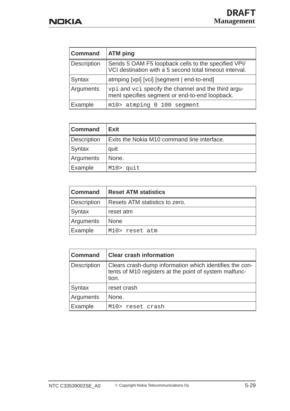| <b>Command</b> | <b>ATM</b> ping                                                                                                |
|----------------|----------------------------------------------------------------------------------------------------------------|
| Description    | Sends 5 OAM F5 loopback cells to the specified VPI/<br>VCI destination with a 5 second total timeout interval. |
| Syntax         | atmping [vpi] [vci] [segment   end-to-end]                                                                     |
| Arguments      | vpi and vci specify the channel and the third argu-<br>ment specifies segment or end-to-end loopback.          |
| Example        | m10> atmping 0 100 segment                                                                                     |

| <b>Command</b>     | <b>Exit</b>                                 |
|--------------------|---------------------------------------------|
| <b>Description</b> | Exits the Nokia M10 command line interface. |
| Syntax             | quit                                        |
| Arguments          | None.                                       |
| Example            | M10> quit                                   |

| <b>Command</b>     | <b>Reset ATM statistics</b>    |
|--------------------|--------------------------------|
| <b>Description</b> | Resets ATM statistics to zero. |
| Syntax             | reset atm                      |
| Arguments          | <b>None</b>                    |
| <b>Example</b>     | M10> reset atm                 |

| <b>Command</b>     | <b>Clear crash information</b>                                                                                             |
|--------------------|----------------------------------------------------------------------------------------------------------------------------|
| <b>Description</b> | Clears crash-dump information which identifies the con-<br>tents of M10 registers at the point of system malfunc-<br>tion. |
| Syntax             | reset crash                                                                                                                |
| Arguments          | None.                                                                                                                      |
| Example            | M10> reset crash                                                                                                           |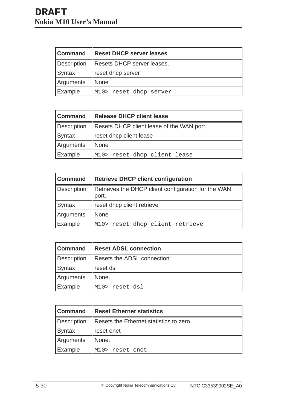| <b>Command</b>     | <b>Reset DHCP server leases</b> |
|--------------------|---------------------------------|
| <b>Description</b> | Resets DHCP server leases.      |
| Syntax             | reset dhcp server               |
| Arguments          | <b>None</b>                     |
| Example            | M10> reset dhcp server          |

| <b>Command</b> | <b>Release DHCP client lease</b>          |
|----------------|-------------------------------------------|
| Description    | Resets DHCP client lease of the WAN port. |
| Syntax         | reset dhcp client lease                   |
| Arguments      | <b>None</b>                               |
| Example        | M10> reset dhcp client lease              |

| <b>Command</b>     | <b>Retrieve DHCP client configuration</b>                    |
|--------------------|--------------------------------------------------------------|
| <b>Description</b> | Retrieves the DHCP client configuration for the WAN<br>port. |
| Syntax             | reset dhcp client retrieve                                   |
| Arguments          | <b>None</b>                                                  |
| Example            | M10> reset dhcp client retrieve                              |

| l Command          | <b>Reset ADSL connection</b> |
|--------------------|------------------------------|
| <b>Description</b> | Resets the ADSL connection.  |
| Syntax             | reset dsl                    |
| Arguments          | None.                        |
| Example            | M10> reset dsl               |

| <b>Command</b> | <b>Reset Ethernet statistics</b>        |
|----------------|-----------------------------------------|
| Description    | Resets the Ethernet statistics to zero. |
| Syntax         | reset enet                              |
| Arguments      | None.                                   |
| Example        | M10> reset enet                         |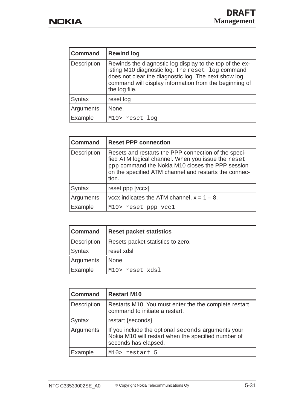| <b>Command</b> | <b>Rewind log</b>                                                                                                                                                                                                                               |
|----------------|-------------------------------------------------------------------------------------------------------------------------------------------------------------------------------------------------------------------------------------------------|
| Description    | Rewinds the diagnostic log display to the top of the ex-<br>isting M10 diagnostic log. The reset log command<br>does not clear the diagnostic log. The next show log<br>command will display information from the beginning of<br>the log file. |
| Syntax         | reset log                                                                                                                                                                                                                                       |
| Arguments      | None.                                                                                                                                                                                                                                           |
| Example        | M10> reset log                                                                                                                                                                                                                                  |

| <b>Command</b> | <b>Reset PPP connection</b>                                                                                                                                                                                                      |
|----------------|----------------------------------------------------------------------------------------------------------------------------------------------------------------------------------------------------------------------------------|
| Description    | Resets and restarts the PPP connection of the speci-<br>fied ATM logical channel. When you issue the reset<br>ppp command the Nokia M10 closes the PPP session<br>on the specified ATM channel and restarts the connec-<br>tion. |
| Syntax         | reset ppp [vccx]                                                                                                                                                                                                                 |
| Arguments      | vccx indicates the ATM channel, $x = 1 - 8$ .                                                                                                                                                                                    |
| Example        | M10> reset ppp vcc1                                                                                                                                                                                                              |

| <b>Command</b>     | <b>Reset packet statistics</b>    |
|--------------------|-----------------------------------|
| <b>Description</b> | Resets packet statistics to zero. |
| <b>Syntax</b>      | reset xdsl                        |
| Arguments          | <b>None</b>                       |
| Example            | M10> reset xdsl                   |

| <b>Command</b>     | <b>Restart M10</b>                                                                                                                |
|--------------------|-----------------------------------------------------------------------------------------------------------------------------------|
| <b>Description</b> | Restarts M10. You must enter the the complete restart<br>command to initiate a restart.                                           |
| Syntax             | restart {seconds}                                                                                                                 |
| Arguments          | If you include the optional seconds arguments your<br>Nokia M10 will restart when the specified number of<br>seconds has elapsed. |
| Example            | M10> restart 5                                                                                                                    |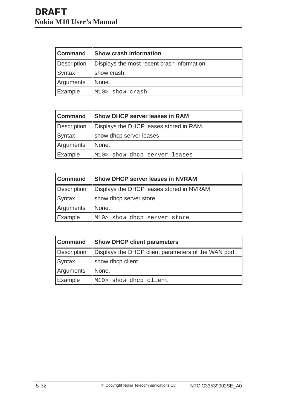| <b>Command</b> | <b>Show crash information</b>               |
|----------------|---------------------------------------------|
| Description    | Displays the most recent crash information. |
| Syntax         | show crash                                  |
| Arguments      | None.                                       |
| Example        | M10> show crash                             |

| <b>Command</b>     | <b>Show DHCP server leases in RAM</b>   |
|--------------------|-----------------------------------------|
| <b>Description</b> | Displays the DHCP leases stored in RAM. |
| Syntax             | show dhcp server leases                 |
| Arguments          | None.                                   |
| Example            | M10> show dhcp server leases            |

| <b>Command</b>     | <b>Show DHCP server leases in NVRAM</b>  |
|--------------------|------------------------------------------|
| <b>Description</b> | Displays the DHCP leases stored in NVRAM |
| Syntax             | show dhcp server store                   |
| Arguments          | None.                                    |
| <b>Example</b>     | M10> show dhcp server store              |

| <b>Command</b>     | <b>Show DHCP client parameters</b>                   |
|--------------------|------------------------------------------------------|
| <b>Description</b> | Displays the DHCP client parameters of the WAN port. |
| Syntax             | show dhcp client                                     |
| Arguments          | None.                                                |
| Example            | M10> show dhcp client                                |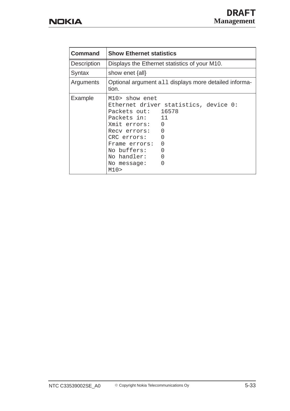| <b>Command</b> | <b>Show Ethernet statistics</b>                                                                                                                                                                                                                      |
|----------------|------------------------------------------------------------------------------------------------------------------------------------------------------------------------------------------------------------------------------------------------------|
| Description    | Displays the Ethernet statistics of your M10.                                                                                                                                                                                                        |
| Syntax         | show enet ${all}$                                                                                                                                                                                                                                    |
| Arguments      | Optional argument all displays more detailed informa-<br>tion.                                                                                                                                                                                       |
| Example        | M10> show enet<br>Ethernet driver statistics, device 0:<br>Packets out: 16578<br>Packets in: 11<br>Xmit errors: 0<br>0<br>Recy errors:<br>0<br>CRC errors:<br>0<br>Frame errors:<br>No buffers:<br>O<br>No handler:<br>U<br>∩<br>No message:<br>M10> |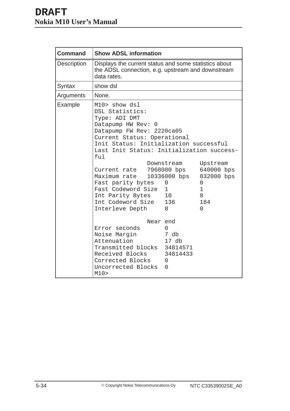| <b>Command</b>     | <b>Show ADSL information</b>                                                                                                                                                                                                                                                                                                                                                                |                                                                |                                                                                  |
|--------------------|---------------------------------------------------------------------------------------------------------------------------------------------------------------------------------------------------------------------------------------------------------------------------------------------------------------------------------------------------------------------------------------------|----------------------------------------------------------------|----------------------------------------------------------------------------------|
| <b>Description</b> | Displays the current status and some statistics about<br>the ADSL connection, e.g. upstream and downstream<br>data rates.                                                                                                                                                                                                                                                                   |                                                                |                                                                                  |
| Syntax             | show dsl                                                                                                                                                                                                                                                                                                                                                                                    |                                                                |                                                                                  |
| Arguments          | None.                                                                                                                                                                                                                                                                                                                                                                                       |                                                                |                                                                                  |
| Example            | M10> show dsl<br>DSL Statistics:<br>Type: ADI DMT<br>Datapump HW Rev: 0<br>Datapump FW Rev: 2220ca05<br>Current Status: Operational<br>Init Status: Initialization successful<br>Last Init Status: Initialization success-<br>ful<br>Current rate 7968000 bps<br>Maximum rate<br>Fast parity bytes<br>Fast Codeword Size<br>Int Parity Bytes 10<br>Int Codeword Size 136<br>Interleve Depth | Downstream<br>10336000 bps<br>$\mathbf 0$<br>$\mathbf{1}$<br>8 | Upstream<br>640000 bps<br>832000 bps<br>0<br>$\mathbf 1$<br>8<br>184<br>$\Omega$ |
|                    | Near end<br>Error seconds<br>Noise Margin                                                                                                                                                                                                                                                                                                                                                   | $\Omega$<br>7 db                                               |                                                                                  |
|                    | Attenuation<br>Transmitted blocks 34814571<br>Received Blocks<br>Corrected Blocks<br>Uncorrected Blocks<br>M10>                                                                                                                                                                                                                                                                             | 17 db<br>34814433<br>$\Omega$<br>0                             |                                                                                  |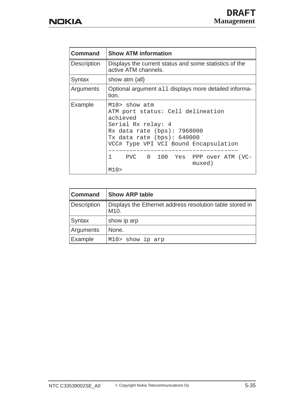| <b>Command</b>     | <b>Show ATM information</b>                                                                                                                                                                                                                                      |
|--------------------|------------------------------------------------------------------------------------------------------------------------------------------------------------------------------------------------------------------------------------------------------------------|
| <b>Description</b> | Displays the current status and some statistics of the<br>active ATM channels.                                                                                                                                                                                   |
| Syntax             | show atm ${all}$                                                                                                                                                                                                                                                 |
| Arguments          | Optional argument all displays more detailed informa-<br>tion.                                                                                                                                                                                                   |
| Example            | $M10>$ show atm<br>ATM port status: Cell delineation<br>achieved<br>Serial Rx relay: 4<br>Rx data rate (bps): 7968000<br>Tx data rate $(bps): 640000$<br>VCC# Type VPI VCI Bound Encapsulation<br>$1 \quad$<br>PVC 0 100 Yes PPP over ATM (VC-<br>muxed)<br>M10> |

| <b>Command</b>     | <b>Show ARP table</b>                                            |
|--------------------|------------------------------------------------------------------|
| <b>Description</b> | Displays the Ethernet address resolution table stored in<br>M10. |
| Syntax             | show ip arp                                                      |
| Arguments          | None.                                                            |
| Example            | M10> show ip arp                                                 |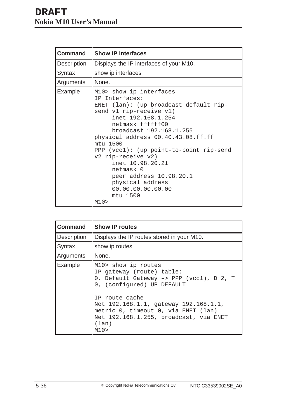| <b>Command</b>     | <b>Show IP interfaces</b>                                                                                                                                                                                                                                                                                                                                                                                                            |
|--------------------|--------------------------------------------------------------------------------------------------------------------------------------------------------------------------------------------------------------------------------------------------------------------------------------------------------------------------------------------------------------------------------------------------------------------------------------|
| <b>Description</b> | Displays the IP interfaces of your M10.                                                                                                                                                                                                                                                                                                                                                                                              |
| Syntax             | show ip interfaces                                                                                                                                                                                                                                                                                                                                                                                                                   |
| Arguments          | None.                                                                                                                                                                                                                                                                                                                                                                                                                                |
| Example            | M10> show ip interfaces<br>IP Interfaces:<br>ENET (lan): (up broadcast default rip-<br>send v1 rip-receive v1)<br>inet 192.168.1.254<br>netmask ffffff00<br>broadcast 192.168.1.255<br>physical address 00.40.43.08.ff.ff<br>mtu 1500<br>PPP $(vcc1)$ : $(up point-to-point rip-send$<br>v2 rip-receive v2)<br>inet 10.98.20.21<br>netmask 0<br>peer address 10.98.20.1<br>physical address<br>00.00.00.00.00.00<br>mtu 1500<br>M10> |

| <b>Command</b>     | <b>Show IP routes</b>                                                                                                                                                                                                                                                                   |
|--------------------|-----------------------------------------------------------------------------------------------------------------------------------------------------------------------------------------------------------------------------------------------------------------------------------------|
| <b>Description</b> | Displays the IP routes stored in your M10.                                                                                                                                                                                                                                              |
| Syntax             | show ip routes                                                                                                                                                                                                                                                                          |
| Arguments          | None.                                                                                                                                                                                                                                                                                   |
| Example            | M10> show ip routes<br>IP gateway (route) table:<br>0. Default Gateway -> PPP (vcc1), D 2, T<br>0, (configured) UP DEFAULT<br>IP route cache<br>Net 192.168.1.1, gateway 192.168.1.1,<br>metric 0, timeout 0, via ENET (lan)<br>Net 192.168.1.255, broadcast, via ENET<br>(lan)<br>M10> |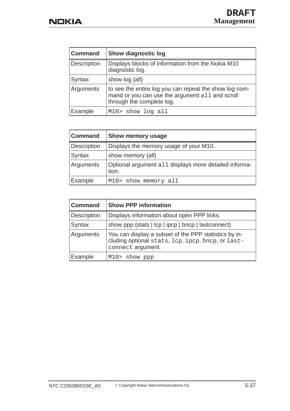| <b>Command</b>   | <b>Show diagnostic log</b>                                                                                                             |
|------------------|----------------------------------------------------------------------------------------------------------------------------------------|
| Description      | Displays blocks of information from the Nokia M10<br>diagnostic log.                                                                   |
| Syntax           | show $log$ $\{all\}$                                                                                                                   |
| <b>Arguments</b> | to see the entire log you can repeat the show log com-<br>mand or you can use the argument all and scroll<br>through the complete log. |
| Example          | M10> show log all                                                                                                                      |

| <b>Command</b> | Show memory usage                                              |
|----------------|----------------------------------------------------------------|
| Description    | Displays the memory usage of your M10.                         |
| Syntax         | show memory {all}                                              |
| Arguments      | Optional argument all displays more detailed informa-<br>tion. |
| Example        | M10> show memory all                                           |

| <b>Command</b> | <b>Show PPP information</b>                                                                                                     |
|----------------|---------------------------------------------------------------------------------------------------------------------------------|
| Description    | Displays information about open PPP links.                                                                                      |
| <b>Syntax</b>  | show ppp {stats   lcp   ipcp   bncp   lastconnect}                                                                              |
| Arguments      | You can display a subset of the PPP statistics by in-<br>cluding optional stats, lcp, ipcp, bncp, or last-<br>connect argument. |
| Example        | M10> show ppp                                                                                                                   |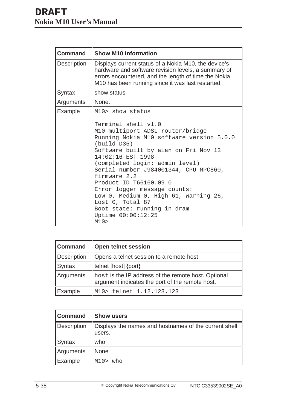| <b>Command</b> | <b>Show M10 information</b>                                                                                                                                                                                              |
|----------------|--------------------------------------------------------------------------------------------------------------------------------------------------------------------------------------------------------------------------|
| Description    | Displays current status of a Nokia M10, the device's<br>hardware and software revision levels, a summary of<br>errors encountered, and the length of time the Nokia<br>M10 has been running since it was last restarted. |
| Syntax         | show status                                                                                                                                                                                                              |
| Arguments      | None.                                                                                                                                                                                                                    |
| Example        | M10> show status                                                                                                                                                                                                         |
|                | Terminal shell v1.0<br>M10 multiport ADSL router/bridge<br>Running Nokia M10 software version 5.0.0<br>(build D35)<br>Software built by alan on Fri Nov 13                                                               |
|                | 14:02:16 EST 1998<br>(completed login: admin level)<br>Serial number J984001344, CPU MPC860,<br>firmware 2.2<br>Product ID T66160.09 0                                                                                   |
|                | Error logger message counts:<br>Low 0, Medium 0, High 61, Warning 26,<br>Lost 0, Total 87<br>Boot state: running in dram<br>Uptime 00:00:12:25<br>M10>                                                                   |

| <b>Command</b>     | <b>Open telnet session</b>                                                                             |
|--------------------|--------------------------------------------------------------------------------------------------------|
| <b>Description</b> | Opens a telnet session to a remote host                                                                |
| Syntax             | telnet [host] {port}                                                                                   |
| Arguments          | host is the IP address of the remote host. Optional<br>argument indicates the port of the remote host. |
| Example            | M10> telnet 1.12.123.123                                                                               |

| Command            | <b>Show users</b>                                               |
|--------------------|-----------------------------------------------------------------|
| <b>Description</b> | Displays the names and hostnames of the current shell<br>users. |
| Syntax             | who                                                             |
| Arguments          | <b>None</b>                                                     |
| Example            | who<br>M10>                                                     |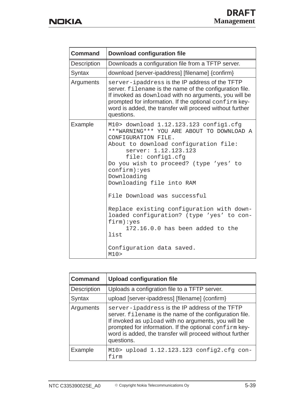| <b>Command</b>     | <b>Download configuration file</b>                                                                                                                                                                                                                                                                                                                                                                                                                                                                                                 |
|--------------------|------------------------------------------------------------------------------------------------------------------------------------------------------------------------------------------------------------------------------------------------------------------------------------------------------------------------------------------------------------------------------------------------------------------------------------------------------------------------------------------------------------------------------------|
| <b>Description</b> | Downloads a configuration file from a TFTP server.                                                                                                                                                                                                                                                                                                                                                                                                                                                                                 |
| Syntax             | download [server-ipaddress] [filename] {confirm}                                                                                                                                                                                                                                                                                                                                                                                                                                                                                   |
| Arguments          | server-ipaddress is the IP address of the TFTP<br>server. filename is the name of the configuration file.<br>If invoked as download with no arguments, you will be<br>prompted for information. If the optional confirm key-<br>word is added, the transfer will proceed without further<br>questions.                                                                                                                                                                                                                             |
| Example            | M10> download 1.12.123.123 config1.cfg<br>***WARNING*** YOU ARE ABOUT TO DOWNLOAD A<br>CONFIGURATION FILE.<br>About to download configuration file:<br>server: 1.12.123.123<br>file: config1.cfg<br>Do you wish to proceed? (type 'yes' to<br>confirm):yes<br>Downloading<br>Downloading file into RAM<br>File Download was successful<br>Replace existing configuration with down-<br>loaded configuration? (type 'yes' to con-<br>$firm)$ : yes<br>172.16.0.0 has been added to the<br>list<br>Configuration data saved.<br>M10> |

| <b>Command</b>     | <b>Upload configuration file</b>                                                                                                                                                                                                                                                                     |
|--------------------|------------------------------------------------------------------------------------------------------------------------------------------------------------------------------------------------------------------------------------------------------------------------------------------------------|
| <b>Description</b> | Uploads a configration file to a TFTP server.                                                                                                                                                                                                                                                        |
| Syntax             | upload [server-ipaddress] [filename] {confirm}                                                                                                                                                                                                                                                       |
| Arguments          | server-ipaddress is the IP address of the TFTP<br>server. filename is the name of the configuration file.<br>If invoked as upload with no arguments, you will be<br>prompted for information. If the optional confirm key-<br>word is added, the transfer will proceed without further<br>questions. |
| Example            | M10> upload 1.12.123.123 config2.cfg con-<br>firm                                                                                                                                                                                                                                                    |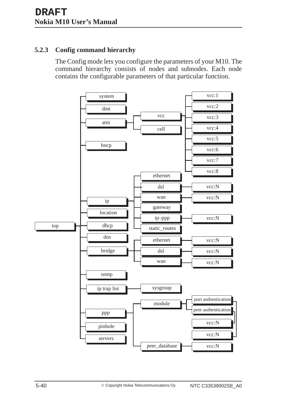## **5.2.3 Config command hierarchy**

The Config mode lets you configure the parameters of your M10. The command hierarchy consists of nodes and subnodes. Each node contains the configurable parameters of that particular function.

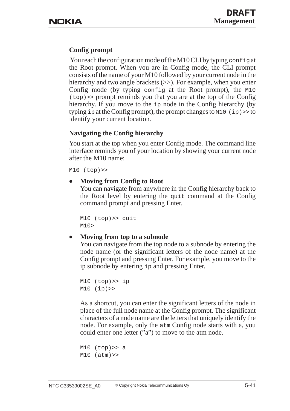## **Config prompt**

You reach the configuration mode of the M10 CLI by typing configuration the Root prompt. When you are in Config mode, the CLI prompt consists of the name of your M10 followed by your current node in the hierarchy and two angle brackets ( $\gg$ ). For example, when you enter Config mode (by typing config at the Root prompt), the M10 (top)>> prompt reminds you that you are at the top of the Config hierarchy. If you move to the ip node in the Config hierarchy (by typing  $ip$  at the Config prompt), the prompt changes to M10 (ip) >> to identify your current location.

## **Navigating the Config hierarchy**

You start at the top when you enter Config mode. The command line interface reminds you of your location by showing your current node after the M10 name:

M10 (top)>>

#### $\bullet$ **Moving from Config to Root**

You can navigate from anywhere in the Config hierarchy back to the Root level by entering the quit command at the Config command prompt and pressing Enter.

```
M10 (top)>> quit
M10>
```
#### $\bullet$ **Moving from top to a subnode**

You can navigate from the top node to a subnode by entering the node name (or the significant letters of the node name) at the Config prompt and pressing Enter. For example, you move to the ip subnode by entering ip and pressing Enter.

```
M10 (top)>> ip
M10 (ip)>>
```
As a shortcut, you can enter the significant letters of the node in place of the full node name at the Config prompt. The significant characters of a node name are the letters that uniquely identify the node. For example, only the atm Config node starts with a, you could enter one letter ("a") to move to the atm node.

```
M10 (top) > a
M10 (atm)>>
```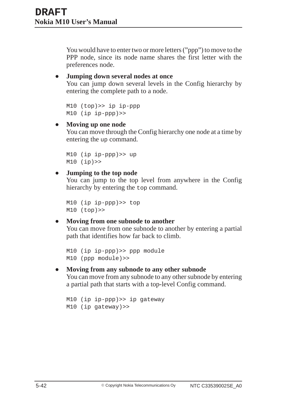You would have to enter two or more letters ("ppp") to move to the PPP node, since its node name shares the first letter with the preferences node.

#### $\bullet$ **Jumping down several nodes at once**

You can jump down several levels in the Config hierarchy by entering the complete path to a node.

```
M10 (top)>> ip ip-ppp
M10 (ip ip-ppp)>>
```
#### $\bullet$ **Moving up one node**

You can move through the Config hierarchy one node at a time by entering the up command.

```
M10 (ip ip-ppp)>> up
M10 (ip)>>
```
#### $\bullet$ **Jumping to the top node**

You can jump to the top level from anywhere in the Config hierarchy by entering the top command.

```
M10 (ip ip-ppp)>> top
M10 (top)>>
```
#### $\bullet$ **Moving from one subnode to another**

You can move from one subnode to another by entering a partial path that identifies how far back to climb.

```
M10 (ip ip-ppp)>> ppp module
M10 (ppp module)>>
```
#### $\bullet$ **Moving from any subnode to any other subnode**

You can move from any subnode to any other subnode by entering a partial path that starts with a top-level Config command.

```
M10 (ip ip-ppp)>> ip gateway
M10 (ip gateway)>>
```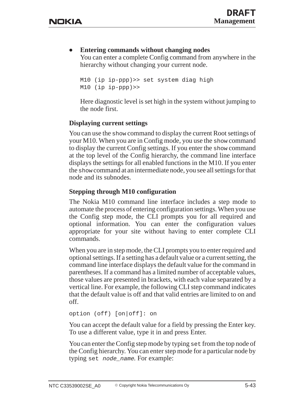#### $\bullet$ **Entering commands without changing nodes**

You can enter a complete Config command from anywhere in the hierarchy without changing your current node.

```
M10 (ip ip-ppp)>> set system diag high
M10 (ip ip-ppp)>>
```
Here diagnostic level is set high in the system without jumping to the node first.

## **Displaying current settings**

You can use the show command to display the current Root settings of your M10. When you are in Config mode, you use the show command to display the current Config settings. If you enter the show command at the top level of the Config hierarchy, the command line interface displays the settings for all enabled functions in the M10. If you enter the show command at an intermediate node, you see all settings for that node and its subnodes.

## **Stepping through M10 configuration**

The Nokia M10 command line interface includes a step mode to automate the process of entering configuration settings. When you use the Config step mode, the CLI prompts you for all required and optional information. You can enter the configuration values appropriate for your site without having to enter complete CLI commands.

When you are in step mode, the CLI prompts you to enter required and optional settings. If a setting has a default value or a current setting, the command line interface displays the default value for the command in parentheses. If a command has a limited number of acceptable values, those values are presented in brackets, with each value separated by a vertical line. For example, the following CLI step command indicates that the default value is off and that valid entries are limited to on and off.

```
option (off) [on|off]: on
```
You can accept the default value for a field by pressing the Enter key. To use a different value, type it in and press Enter.

You can enter the Config step mode by typing set from the top node of the Config hierarchy. You can enter step mode for a particular node by typing set node\_name. For example: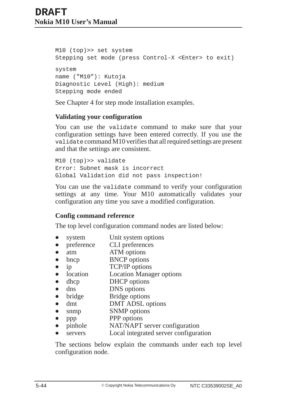M10 (top)>> set system Stepping set mode (press Control-X <Enter> to exit) system name ("M10"): Kutoja Diagnostic Level (High): medium Stepping mode ended

See Chapter 4 for step mode installation examples.

## **Validating your configuration**

You can use the validate command to make sure that your configuration settings have been entered correctly. If you use the validate command M10 verifies that all required settings are present and that the settings are consistent.

M10 (top)>> validate Error: Subnet mask is incorrect Global Validation did not pass inspection!

You can use the validate command to verify your configuration settings at any time. Your M10 automatically validates your configuration any time you save a modified configuration.

## **Config command reference**

The top level configuration command nodes are listed below:

- $\bullet$ system Unit system options
- $\bullet$ preference CLI preferences
- $\bullet$ atm ATM options
- $\bullet$ bncp BNCP options
- $\bullet$ ip TCP/IP options
- $\bullet$ location Location Manager options
- $\bullet$ dhcp DHCP options
- $\bullet$ dns DNS options
- $\bullet$ bridge Bridge options
- $\bullet$ dmt DMT ADSL options
- $\bullet$ snmp SNMP options
- $\bullet$ ppp PPP options
- $\bullet$ pinhole NAT/NAPT server configuration
- $\bullet$ servers Local integrated server configuration

The sections below explain the commands under each top level configuration node.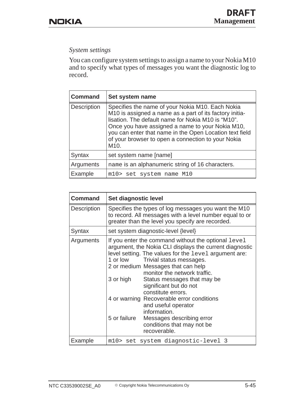## *System settings*

You can configure system settings to assign a name to your Nokia M10 and to specify what types of messages you want the diagnostic log to record.

| <b>Command</b> | Set system name                                                                                                                                                                                                                                                                                                                                             |
|----------------|-------------------------------------------------------------------------------------------------------------------------------------------------------------------------------------------------------------------------------------------------------------------------------------------------------------------------------------------------------------|
| Description    | Specifies the name of your Nokia M10. Each Nokia<br>M10 is assigned a name as a part of its factory initia-<br>lisation. The default name for Nokia M10 is "M10".<br>Once you have assigned a name to your Nokia M10,<br>you can enter that name in the Open Location text field<br>of your browser to open a connection to your Nokia<br>M <sub>10</sub> . |
| Syntax         | set system name [name]                                                                                                                                                                                                                                                                                                                                      |
| Arguments      | name is an alphanumeric string of 16 characters.                                                                                                                                                                                                                                                                                                            |
| Example        | m10> set system name M10                                                                                                                                                                                                                                                                                                                                    |

| <b>Command</b>     | Set diagnostic level                                                                                                                                                                                                                                                                                                                                                                                                                                                                                                                                             |
|--------------------|------------------------------------------------------------------------------------------------------------------------------------------------------------------------------------------------------------------------------------------------------------------------------------------------------------------------------------------------------------------------------------------------------------------------------------------------------------------------------------------------------------------------------------------------------------------|
| <b>Description</b> | Specifies the types of log messages you want the M10<br>to record. All messages with a level number equal to or<br>greater than the level you specify are recorded.                                                                                                                                                                                                                                                                                                                                                                                              |
| Syntax             | set system diagnostic-level {level}                                                                                                                                                                                                                                                                                                                                                                                                                                                                                                                              |
| Arguments          | If you enter the command without the optional level<br>argument, the Nokia CLI displays the current diagnostic<br>level setting. The values for the level argument are:<br>1 or low<br>Trivial status messages.<br>2 or medium Messages that can help<br>monitor the network traffic.<br>3 or high<br>Status messages that may be<br>significant but do not<br>constitute errors.<br>4 or warning Recoverable error conditions<br>and useful operator<br>information.<br>5 or failure<br>Messages describing error<br>conditions that may not be<br>recoverable. |
| Example            | m10> set system diagnostic-level 3                                                                                                                                                                                                                                                                                                                                                                                                                                                                                                                               |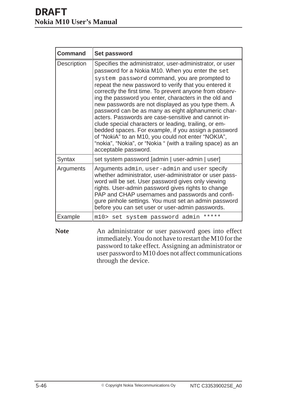| <b>Command</b>     | Set password                                                                                                                                                                                                                                                                                                                                                                                                                                                                                                                                                                                                                                                                                                                                                                  |
|--------------------|-------------------------------------------------------------------------------------------------------------------------------------------------------------------------------------------------------------------------------------------------------------------------------------------------------------------------------------------------------------------------------------------------------------------------------------------------------------------------------------------------------------------------------------------------------------------------------------------------------------------------------------------------------------------------------------------------------------------------------------------------------------------------------|
| <b>Description</b> | Specifies the administrator, user-administrator, or user<br>password for a Nokia M10. When you enter the set<br>system password command, you are prompted to<br>repeat the new password to verify that you entered it<br>correctly the first time. To prevent anyone from observ-<br>ing the password you enter, characters in the old and<br>new passwords are not displayed as you type them. A<br>password can be as many as eight alphanumeric char-<br>acters. Passwords are case-sensitive and cannot in-<br>clude special characters or leading, trailing, or em-<br>bedded spaces. For example, if you assign a password<br>of "NokiA" to an M10, you could not enter "NOKIA",<br>"nokia", "Nokia", or "Nokia " (with a trailing space) as an<br>acceptable password. |
| Syntax             | set system password [admin   user-admin   user]                                                                                                                                                                                                                                                                                                                                                                                                                                                                                                                                                                                                                                                                                                                               |
| Arguments          | Arguments admin, user-admin and user specify<br>whether administrator, user-administrator or user pass-<br>word will be set. User password gives only viewing<br>rights. User-admin password gives rights to change<br>PAP and CHAP usernames and passwords and confi-<br>gure pinhole settings. You must set an admin password<br>before you can set user or user-admin passwords.                                                                                                                                                                                                                                                                                                                                                                                           |
| Example            | *****<br>m10> set system password admin                                                                                                                                                                                                                                                                                                                                                                                                                                                                                                                                                                                                                                                                                                                                       |

Note **An administrator or user password goes into effect** immediately. You do not have to restart the M10 for the password to take effect. Assigning an administrator or user password to M10 does not affect communications through the device.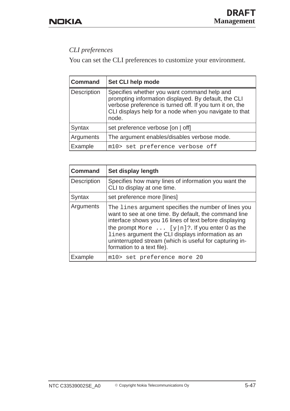# *CLI preferences*

You can set the CLI preferences to customize your environment.

| <b>Command</b> | Set CLI help mode                                                                                                                                                                                                                  |
|----------------|------------------------------------------------------------------------------------------------------------------------------------------------------------------------------------------------------------------------------------|
| Description    | Specifies whether you want command help and<br>prompting information displayed. By default, the CLI<br>verbose preference is turned off. If you turn it on, the<br>CLI displays help for a node when you navigate to that<br>node. |
| <b>Syntax</b>  | set preference verbose [on   off]                                                                                                                                                                                                  |
| Arguments      | The argument enables/disables verbose mode.                                                                                                                                                                                        |
| Example        | m10> set preference verbose off                                                                                                                                                                                                    |

| <b>Command</b> | Set display length                                                                                                                                                                                                                                                                                                                                                             |
|----------------|--------------------------------------------------------------------------------------------------------------------------------------------------------------------------------------------------------------------------------------------------------------------------------------------------------------------------------------------------------------------------------|
| Description    | Specifies how many lines of information you want the<br>CLI to display at one time.                                                                                                                                                                                                                                                                                            |
| Syntax         | set preference more [lines]                                                                                                                                                                                                                                                                                                                                                    |
| Arguments      | The lines argument specifies the number of lines you<br>want to see at one time. By default, the command line<br>interface shows you 16 lines of text before displaying<br>the prompt More $\dots$ [y n]?. If you enter 0 as the<br>lines argument the CLI displays information as an<br>uninterrupted stream (which is useful for capturing in-<br>formation to a text file). |
| Example        | m10> set preference more 20                                                                                                                                                                                                                                                                                                                                                    |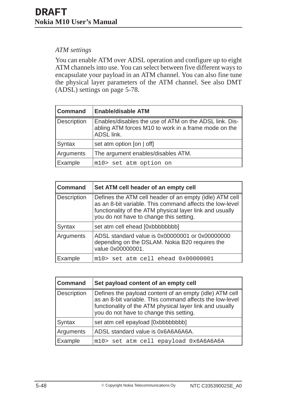## *ATM settings*

You can enable ATM over ADSL operation and configure up to eight ATM channels into use. You can select between five different ways to encapsulate your payload in an ATM channel. You can also fine tune the physical layer parameters of the ATM channel. See also DMT (ADSL) settings on page 5-78.

| <b>Command</b>     | <b>Enable/disable ATM</b>                                                                                                    |
|--------------------|------------------------------------------------------------------------------------------------------------------------------|
| <b>Description</b> | Enables/disables the use of ATM on the ADSL link. Dis-<br>abling ATM forces M10 to work in a frame mode on the<br>ADSL link. |
| Syntax             | set atm option [on $ $ off]                                                                                                  |
| Arguments          | The argument enables/disables ATM.                                                                                           |
| Example            | m10> set atm option on                                                                                                       |

| <b>Command</b> | Set ATM cell header of an empty cell                                                                                                                                                                                       |
|----------------|----------------------------------------------------------------------------------------------------------------------------------------------------------------------------------------------------------------------------|
| Description    | Defines the ATM cell header of an empty (idle) ATM cell<br>as an 8-bit variable. This command affects the low-level<br>functionality of the ATM physical layer link and usually<br>you do not have to change this setting. |
| Syntax         | set atm cell ehead [0xbbbbbbbb]                                                                                                                                                                                            |
| Arguments      | ADSL standard value is 0x00000001 or 0x00000000<br>depending on the DSLAM. Nokia B20 requires the<br>value 0x00000001.                                                                                                     |
| Example        | m10> set atm cell ehead 0x00000001                                                                                                                                                                                         |

| <b>Command</b>     | Set payload content of an empty cell                                                                                                                                                                                       |
|--------------------|----------------------------------------------------------------------------------------------------------------------------------------------------------------------------------------------------------------------------|
| <b>Description</b> | Defines the payload content of an empty (idle) ATM cell<br>as an 8-bit variable. This command affects the low-level<br>functionality of the ATM physical layer link and usually<br>you do not have to change this setting. |
| Syntax             | set atm cell epayload [0xbbbbbbbb]                                                                                                                                                                                         |
| Arguments          | ADSL standard value is 0x6A6A6A6A.                                                                                                                                                                                         |
| Example            | m10> set atm cell epayload 0x6A6A6A6A                                                                                                                                                                                      |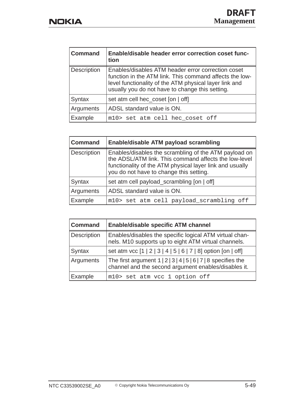| <b>Command</b>     | Enable/disable header error correction coset func-<br>tion                                                                                                                                                                 |
|--------------------|----------------------------------------------------------------------------------------------------------------------------------------------------------------------------------------------------------------------------|
| <b>Description</b> | Enables/disables ATM header error correction coset<br>function in the ATM link. This command affects the low-<br>level functionality of the ATM physical layer link and<br>usually you do not have to change this setting. |
| Syntax             | set atm cell hec_coset [on   off]                                                                                                                                                                                          |
| Arguments          | ADSL standard value is ON.                                                                                                                                                                                                 |
| Example            | m10> set atm cell hec_coset off                                                                                                                                                                                            |

| <b>Command</b>     | Enable/disable ATM payload scrambling                                                                                                                                                                                 |
|--------------------|-----------------------------------------------------------------------------------------------------------------------------------------------------------------------------------------------------------------------|
| <b>Description</b> | Enables/disables the scrambling of the ATM payload on<br>the ADSL/ATM link. This command affects the low-level<br>functionality of the ATM physical layer link and usually<br>you do not have to change this setting. |
| <b>Syntax</b>      | set atm cell payload_scrambling [on   off]                                                                                                                                                                            |
| Arguments          | ADSL standard value is ON.                                                                                                                                                                                            |
| Example            | m10> set atm cell payload_scrambling off                                                                                                                                                                              |

| <b>Command</b> | <b>Enable/disable specific ATM channel</b>                                                                                                    |
|----------------|-----------------------------------------------------------------------------------------------------------------------------------------------|
| Description    | Enables/disables the specific logical ATM virtual chan-<br>nels. M10 supports up to eight ATM virtual channels.                               |
| <b>Syntax</b>  | set atm vcc [1   2   3   4   5   6   7   8] option [on   off]                                                                                 |
| Arguments      | The first argument $1 \mid 2 \mid 3 \mid 4 \mid 5 \mid 6 \mid 7 \mid 8$ specifies the<br>channel and the second argument enables/disables it. |
| Example        | m10> set atm vcc 1 option off                                                                                                                 |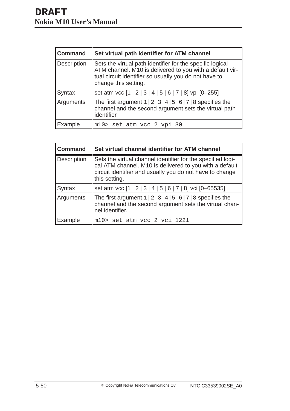| <b>Command</b>     | Set virtual path identifier for ATM channel                                                                                                                                                            |
|--------------------|--------------------------------------------------------------------------------------------------------------------------------------------------------------------------------------------------------|
| <b>Description</b> | Sets the virtual path identifier for the specific logical<br>ATM channel. M10 is delivered to you with a default vir-<br>tual circuit identifier so usually you do not have to<br>change this setting. |
| Syntax             | set atm vcc [1   2   3   4   5   6   7   8] vpi [0-255]                                                                                                                                                |
| Arguments          | The first argument $1 \mid 2 \mid 3 \mid 4 \mid 5 \mid 6 \mid 7 \mid 8$ specifies the<br>channel and the second argument sets the virtual path<br>identifier.                                          |
| Example            | m10> set atm vcc 2 vpi 30                                                                                                                                                                              |

| <b>Command</b> | Set virtual channel identifier for ATM channel                                                                                                                                                      |
|----------------|-----------------------------------------------------------------------------------------------------------------------------------------------------------------------------------------------------|
| Description    | Sets the virtual channel identifier for the specified logi-<br>cal ATM channel. M10 is delivered to you with a default<br>circuit identifier and usually you do not have to change<br>this setting. |
| Syntax         | set atm vcc [1   2   3   4   5   6   7   8] vci [0-65535]                                                                                                                                           |
| Arguments      | The first argument $1 \mid 2 \mid 3 \mid 4 \mid 5 \mid 6 \mid 7 \mid 8$ specifies the<br>channel and the second argument sets the virtual chan-<br>nel identifier.                                  |
| Example        | m10> set atm vcc 2 vci 1221                                                                                                                                                                         |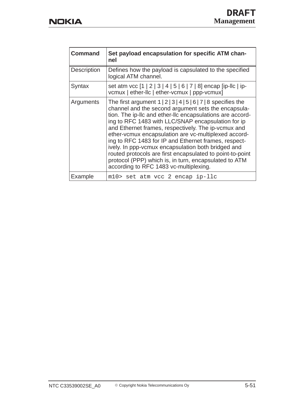| <b>Command</b> | Set payload encapsulation for specific ATM chan-<br>nel                                                                                                                                                                                                                                                                                                                                                                                                                                                                                                                                                                                                      |
|----------------|--------------------------------------------------------------------------------------------------------------------------------------------------------------------------------------------------------------------------------------------------------------------------------------------------------------------------------------------------------------------------------------------------------------------------------------------------------------------------------------------------------------------------------------------------------------------------------------------------------------------------------------------------------------|
| Description    | Defines how the payload is capsulated to the specified<br>logical ATM channel.                                                                                                                                                                                                                                                                                                                                                                                                                                                                                                                                                                               |
| Syntax         | set atm vcc [1   2   3   4   5   6   7   8] encap [ip-llc   ip-<br>vcmux   ether-llc   ether-vcmux   ppp-vcmux]                                                                                                                                                                                                                                                                                                                                                                                                                                                                                                                                              |
| Arguments      | The first argument $1 \mid 2 \mid 3 \mid 4 \mid 5 \mid 6 \mid 7 \mid 8$ specifies the<br>channel and the second argument sets the encapsula-<br>tion. The ip-Ilc and ether-Ilc encapsulations are accord-<br>ing to RFC 1483 with LLC/SNAP encapsulation for ip<br>and Ethernet frames, respectively. The ip-vcmux and<br>ether-vcmux encapsulation are vc-multiplexed accord-<br>ing to RFC 1483 for IP and Ethernet frames, respect-<br>ively. In ppp-vcmux encapsulation both bridged and<br>routed protocols are first encapsulated to point-to-point<br>protocol (PPP) which is, in turn, encapsulated to ATM<br>according to RFC 1483 vc-multiplexing. |
| Example        | m10> set atm vcc 2 encap ip-llc                                                                                                                                                                                                                                                                                                                                                                                                                                                                                                                                                                                                                              |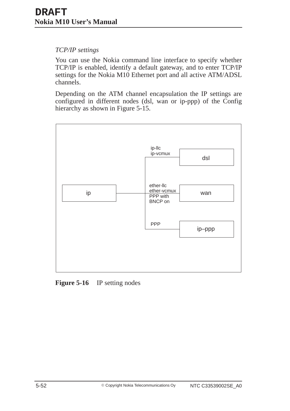## *TCP/IP settings*

You can use the Nokia command line interface to specify whether TCP/IP is enabled, identify a default gateway, and to enter TCP/IP settings for the Nokia M10 Ethernet port and all active ATM/ADSL channels.

Depending on the ATM channel encapsulation the IP settings are configured in different nodes (dsl, wan or ip-ppp) of the Config hierarchy as shown in Figure 5-15.



**Figure 5-16** IP setting nodes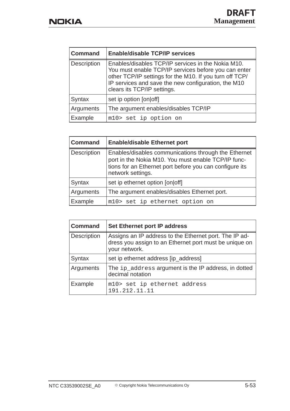| <b>Command</b> | <b>Enable/disable TCP/IP services</b>                                                                                                                                                                                                                       |
|----------------|-------------------------------------------------------------------------------------------------------------------------------------------------------------------------------------------------------------------------------------------------------------|
| Description    | Enables/disables TCP/IP services in the Nokia M10.<br>You must enable TCP/IP services before you can enter<br>other TCP/IP settings for the M10. If you turn off TCP/<br>IP services and save the new configuration, the M10<br>clears its TCP/IP settings. |
| Syntax         | set ip option [on off]                                                                                                                                                                                                                                      |
| Arguments      | The argument enables/disables TCP/IP                                                                                                                                                                                                                        |
| Example        | m10> set ip option on                                                                                                                                                                                                                                       |

| <b>Command</b> | <b>Enable/disable Ethernet port</b>                                                                                                                                                         |
|----------------|---------------------------------------------------------------------------------------------------------------------------------------------------------------------------------------------|
| Description    | Enables/disables communications through the Ethernet<br>port in the Nokia M10. You must enable TCP/IP func-<br>tions for an Ethernet port before you can configure its<br>network settings. |
| <b>Syntax</b>  | set ip ethernet option [on off]                                                                                                                                                             |
| Arguments      | The argument enables/disables Ethernet port.                                                                                                                                                |
| Example        | m10> set ip ethernet option on                                                                                                                                                              |

| <b>Command</b> | Set Ethernet port IP address                                                                                                      |
|----------------|-----------------------------------------------------------------------------------------------------------------------------------|
| Description    | Assigns an IP address to the Ethernet port. The IP ad-<br>dress you assign to an Ethernet port must be unique on<br>your network. |
| <b>Syntax</b>  | set ip ethernet address [ip_address]                                                                                              |
| Arguments      | The ip_address argument is the IP address, in dotted<br>decimal notation                                                          |
| Example        | m10> set ip ethernet address<br>191.212.11.11                                                                                     |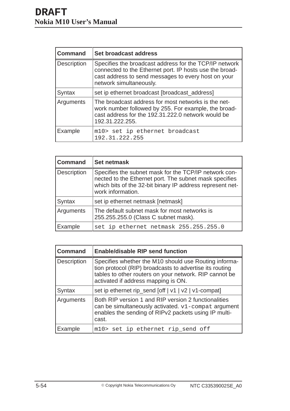| <b>Command</b>     | Set broadcast address                                                                                                                                                                               |
|--------------------|-----------------------------------------------------------------------------------------------------------------------------------------------------------------------------------------------------|
| <b>Description</b> | Specifies the broadcast address for the TCP/IP network<br>connected to the Ethernet port. IP hosts use the broad-<br>cast address to send messages to every host on your<br>network simultaneously. |
| Syntax             | set ip ethernet broadcast [broadcast_address]                                                                                                                                                       |
| Arguments          | The broadcast address for most networks is the net-<br>work number followed by 255. For example, the broad-<br>cast address for the 192.31.222.0 network would be<br>192.31.222.255.                |
| Example            | m10> set ip ethernet broadcast<br>192.31.222.255                                                                                                                                                    |

| <b>Command</b>     | <b>Set netmask</b>                                                                                                                                                                                |
|--------------------|---------------------------------------------------------------------------------------------------------------------------------------------------------------------------------------------------|
| <b>Description</b> | Specifies the subnet mask for the TCP/IP network con-<br>nected to the Ethernet port. The subnet mask specifies<br>which bits of the 32-bit binary IP address represent net-<br>work information. |
| Syntax             | set ip ethernet netmask [netmask]                                                                                                                                                                 |
| Arguments          | The default subnet mask for most networks is<br>255.255.255.0 (Class C subnet mask).                                                                                                              |
| Example            | set ip ethernet netmask 255.255.255.0                                                                                                                                                             |

| <b>Command</b>     | <b>Enable/disable RIP send function</b>                                                                                                                                                                           |
|--------------------|-------------------------------------------------------------------------------------------------------------------------------------------------------------------------------------------------------------------|
| <b>Description</b> | Specifies whether the M10 should use Routing informa-<br>tion protocol (RIP) broadcasts to advertise its routing<br>tables to other routers on your network. RIP cannot be<br>activated if address mapping is ON. |
| Syntax             | set ip ethernet rip_send [off   v1   v2   v1-compat]                                                                                                                                                              |
| <b>Arguments</b>   | Both RIP version 1 and RIP version 2 functionalities<br>can be simultaneously activated. v1-compat argument<br>enables the sending of RIPv2 packets using IP multi-<br>cast.                                      |
| Example            | m10> set ip ethernet rip_send off                                                                                                                                                                                 |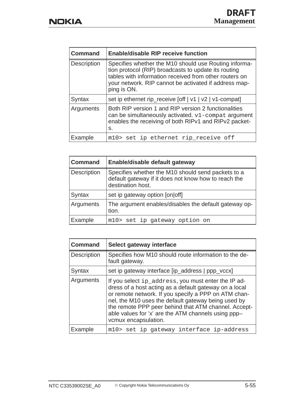| <b>Command</b>     | <b>Enable/disable RIP receive function</b>                                                                                                                                                                                                      |
|--------------------|-------------------------------------------------------------------------------------------------------------------------------------------------------------------------------------------------------------------------------------------------|
| <b>Description</b> | Specifies whether the M10 should use Routing informa-<br>tion protocol (RIP) broadcasts to update its routing<br>tables with information received from other routers on<br>your network. RIP cannot be activated if address map-<br>ping is ON. |
| Syntax             | set ip ethernet rip_receive [off   v1   v2   v1-compat]                                                                                                                                                                                         |
| Arguments          | Both RIP version 1 and RIP version 2 functionalities<br>can be simultaneously activated. $v1$ -compat argument<br>enables the receiving of both RIPv1 and RIPv2 packet-<br>S.                                                                   |
| Example            | m10> set ip ethernet rip receive off                                                                                                                                                                                                            |

| <b>Command</b>     | Enable/disable default gateway                                                                                                  |
|--------------------|---------------------------------------------------------------------------------------------------------------------------------|
| <b>Description</b> | Specifies whether the M10 should send packets to a<br>default gateway if it does not know how to reach the<br>destination host. |
| Syntax             | set ip gateway option [on off]                                                                                                  |
| Arguments          | The argument enables/disables the default gateway op-<br>tion.                                                                  |
| Example            | m10> set ip gateway option on                                                                                                   |

| <b>Command</b> | Select gateway interface                                                                                                                                                                                                                                                                                                                                            |
|----------------|---------------------------------------------------------------------------------------------------------------------------------------------------------------------------------------------------------------------------------------------------------------------------------------------------------------------------------------------------------------------|
| Description    | Specifies how M10 should route information to the de-<br>fault gateway.                                                                                                                                                                                                                                                                                             |
| Syntax         | set ip gateway interface [ip_address   ppp_vccx]                                                                                                                                                                                                                                                                                                                    |
| Arguments      | If you select ip_address, you must enter the IP ad-<br>dress of a host acting as a default gateway on a local<br>or remote network. If you specify a PPP on ATM chan-<br>nel, the M10 uses the default gateway being used by<br>the remote PPP peer behind that ATM channel. Accept-<br>able values for 'x' are the ATM channels using ppp-<br>vcmux encapsulation. |
| Example        | m10> set ip gateway interface ip-address                                                                                                                                                                                                                                                                                                                            |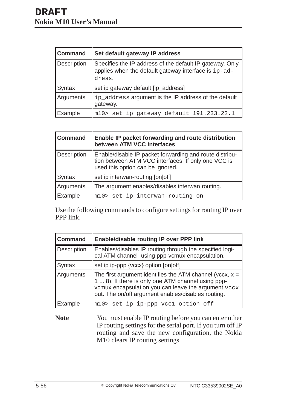| <b>Command</b> | Set default gateway IP address                                                                                   |
|----------------|------------------------------------------------------------------------------------------------------------------|
| Description    | Specifies the IP address of the default IP gateway. Only<br>applies when the default gateway interface is ip-ad- |
|                | dress.                                                                                                           |
| Syntax         | set ip gateway default [ip_address]                                                                              |
| Arguments      | ip_address argument is the IP address of the default<br>gateway.                                                 |
| Example        | m10> set ip gateway default 191.233.22.1                                                                         |

| <b>Command</b> | Enable IP packet forwarding and route distribution<br>between ATM VCC interfaces                                                                   |
|----------------|----------------------------------------------------------------------------------------------------------------------------------------------------|
| Description    | Enable/disable IP packet forwarding and route distribu-<br>tion between ATM VCC interfaces. If only one VCC is<br>used this option can be ignored. |
| Syntax         | set ip interwan-routing [on off]                                                                                                                   |
| Arguments      | The argument enables/disables interwan routing.                                                                                                    |
| Example        | m10> set ip interwan-routing on                                                                                                                    |

Use the following commands to configure settings for routing IP over PPP link.

| <b>Command</b> | <b>Enable/disable routing IP over PPP link</b>                                                                                                                                                                                |
|----------------|-------------------------------------------------------------------------------------------------------------------------------------------------------------------------------------------------------------------------------|
| Description    | Enables/disables IP routing through the specified logi-<br>cal ATM channel using ppp-vcmux encapsulation.                                                                                                                     |
| Syntax         | set ip ip-ppp {vccx} option [on off]                                                                                                                                                                                          |
| Arguments      | The first argument identifies the ATM channel (vccx, $x =$<br>1  8). If there is only one ATM channel using ppp-<br>vcmux encapsulation you can leave the argument vccx<br>out. The on/off argument enables/disables routing. |
| Example        | m10> set ip ip-ppp vcc1 option off                                                                                                                                                                                            |

**Note** You must enable IP routing before you can enter other IP routing settings for the serial port. If you turn off IP routing and save the new configuration, the Nokia M10 clears IP routing settings.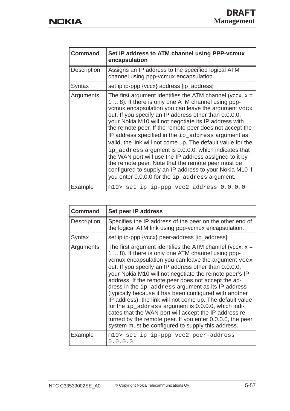| <b>Command</b>     | Set IP address to ATM channel using PPP-vcmux<br>encapsulation                                                                                                                                                                                                                                                                                                                                                                                                                                                                                                                                                                                                                                                                                                 |
|--------------------|----------------------------------------------------------------------------------------------------------------------------------------------------------------------------------------------------------------------------------------------------------------------------------------------------------------------------------------------------------------------------------------------------------------------------------------------------------------------------------------------------------------------------------------------------------------------------------------------------------------------------------------------------------------------------------------------------------------------------------------------------------------|
| <b>Description</b> | Assigns an IP address to the specified logical ATM<br>channel using ppp-vcmux encapsulation.                                                                                                                                                                                                                                                                                                                                                                                                                                                                                                                                                                                                                                                                   |
| Syntax             | set ip ip-ppp {vccx} address [ip_address]                                                                                                                                                                                                                                                                                                                                                                                                                                                                                                                                                                                                                                                                                                                      |
| Arguments          | The first argument identifies the ATM channel (vccx, $x =$<br>1  8). If there is only one ATM channel using ppp-<br>vcmux encapsulation you can leave the argument vccx<br>out. If you specify an IP address other than 0.0.0.0,<br>your Nokia M10 will not negotiate its IP address with<br>the remote peer. If the remote peer does not accept the<br>IP address specified in the ip_address argument as<br>valid, the link will not come up. The default value for the<br>ip_address argument is 0.0.0.0, which indicates that<br>the WAN port will use the IP address assigned to it by<br>the remote peer. Note that the remote peer must be<br>configured to supply an IP address to your Nokia M10 if<br>you enter 0.0.0.0 for the ip_address argument. |
| Example            | m10> set ip ip-ppp vcc2 address 0.0.0.0                                                                                                                                                                                                                                                                                                                                                                                                                                                                                                                                                                                                                                                                                                                        |

| <b>Command</b>     | Set peer IP address                                                                                                                                                                                                                                                                                                                                                                                                                                                                                                                                                                                                                                                                                                                                               |
|--------------------|-------------------------------------------------------------------------------------------------------------------------------------------------------------------------------------------------------------------------------------------------------------------------------------------------------------------------------------------------------------------------------------------------------------------------------------------------------------------------------------------------------------------------------------------------------------------------------------------------------------------------------------------------------------------------------------------------------------------------------------------------------------------|
| <b>Description</b> | Specifies the IP address of the peer on the other end of<br>the logical ATM link using ppp-vcmux encapsulation.                                                                                                                                                                                                                                                                                                                                                                                                                                                                                                                                                                                                                                                   |
| Syntax             | set ip ip-ppp {vccx} peer-address [ip_address]                                                                                                                                                                                                                                                                                                                                                                                                                                                                                                                                                                                                                                                                                                                    |
| Arguments          | The first argument identifies the ATM channel (vccx, $x =$<br>1  8). If there is only one ATM channel using ppp-<br>vcmux encapsulation you can leave the argument vccx<br>out. If you specify an IP address other than 0.0.0.0,<br>your Nokia M10 will not negotiate the remote peer's IP<br>address. If the remote peer does not accept the ad-<br>dress in the ip_address argument as its IP address<br>(typically because it has been configured with another<br>IP address), the link will not come up. The default value<br>for the ip_address argument is 0.0.0.0, which indi-<br>cates that the WAN port will accept the IP address re-<br>turned by the remote peer. If you enter 0.0.0.0, the peer<br>system must be configured to supply this address. |
| Example            | m10> set ip ip-ppp vcc2 peer-address<br>0.0.0.0                                                                                                                                                                                                                                                                                                                                                                                                                                                                                                                                                                                                                                                                                                                   |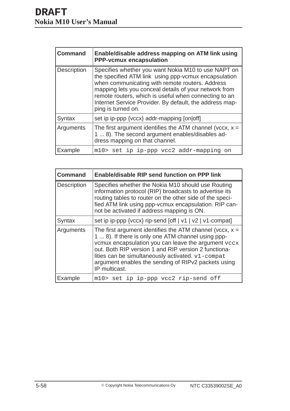| <b>Command</b>     | Enable/disable address mapping on ATM link using<br><b>PPP-vcmux encapsulation</b>                                                                                                                                                                                                                                                                                |
|--------------------|-------------------------------------------------------------------------------------------------------------------------------------------------------------------------------------------------------------------------------------------------------------------------------------------------------------------------------------------------------------------|
| <b>Description</b> | Specifies whether you want Nokia M10 to use NAPT on<br>the specified ATM link using ppp-vcmux encapsulation<br>when communicating with remote routers. Address<br>mapping lets you conceal details of your network from<br>remote routers, which is useful when connecting to an<br>Internet Service Provider. By default, the address map-<br>ping is turned on. |
| Syntax             | set ip ip-ppp {vccx} addr-mapping [on off]                                                                                                                                                                                                                                                                                                                        |
| Arguments          | The first argument identifies the ATM channel (vccx, $x =$<br>1  8). The second argument enables/disables ad-<br>dress mapping on that channel.                                                                                                                                                                                                                   |
| Example            | m10> set ip ip-ppp vcc2 addr-mapping on                                                                                                                                                                                                                                                                                                                           |

| <b>Command</b>     | <b>Enable/disable RIP send function on PPP link</b>                                                                                                                                                                                                                                                                                                          |
|--------------------|--------------------------------------------------------------------------------------------------------------------------------------------------------------------------------------------------------------------------------------------------------------------------------------------------------------------------------------------------------------|
| <b>Description</b> | Specifies whether the Nokia M10 should use Routing<br>information protocol (RIP) broadcasts to advertise its<br>routing tables to router on the other side of the speci-<br>fied ATM link using ppp-vcmux encapsulation. RIP can-<br>not be activated if address mapping is ON.                                                                              |
| Syntax             | set ip ip-ppp {vccx} rip-send [off   v1   v2   v1-compat]                                                                                                                                                                                                                                                                                                    |
| Arguments          | The first argument identifies the ATM channel (vccx, $x =$<br>1  8). If there is only one ATM channel using ppp-<br>vcmux encapsulation you can leave the argument vccx<br>out. Both RIP version 1 and RIP version 2 functiona-<br>lities can be simultaneously activated. v1-compat<br>argument enables the sending of RIPv2 packets using<br>IP multicast. |
| Example            | m10> set ip ip-ppp vcc2 rip-send off                                                                                                                                                                                                                                                                                                                         |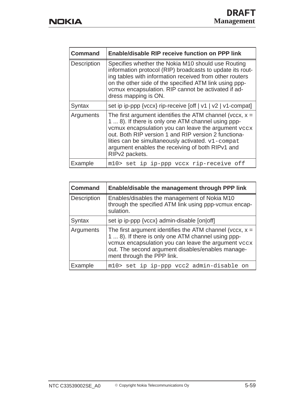| <b>Command</b>     | Enable/disable RIP receive function on PPP link                                                                                                                                                                                                                                                                                                            |
|--------------------|------------------------------------------------------------------------------------------------------------------------------------------------------------------------------------------------------------------------------------------------------------------------------------------------------------------------------------------------------------|
| <b>Description</b> | Specifies whether the Nokia M10 should use Routing<br>information protocol (RIP) broadcasts to update its rout-<br>ing tables with information received from other routers<br>on the other side of the specified ATM link using ppp-<br>vcmux encapsulation. RIP cannot be activated if ad-<br>dress mapping is ON.                                        |
| Syntax             | set ip ip-ppp {vccx} rip-receive [off   v1   v2   v1-compat]                                                                                                                                                                                                                                                                                               |
| Arguments          | The first argument identifies the ATM channel (vccx, $x =$<br>1  8). If there is only one ATM channel using ppp-<br>vcmux encapsulation you can leave the argument vccx<br>out. Both RIP version 1 and RIP version 2 functiona-<br>lities can be simultaneously activated. v1-compat<br>argument enables the receiving of both RIPv1 and<br>RIPv2 packets. |
| Example            | m10> set ip ip-ppp vccx rip-receive off                                                                                                                                                                                                                                                                                                                    |

| <b>Command</b> | Enable/disable the management through PPP link                                                                                                                                                                                                             |
|----------------|------------------------------------------------------------------------------------------------------------------------------------------------------------------------------------------------------------------------------------------------------------|
| Description    | Enables/disables the management of Nokia M10<br>through the specified ATM link using ppp-vcmux encap-<br>sulation.                                                                                                                                         |
| Syntax         | set ip ip-ppp {vccx} admin-disable [on off]                                                                                                                                                                                                                |
| Arguments      | The first argument identifies the ATM channel (vccx, $x =$<br>1  8). If there is only one ATM channel using ppp-<br>vcmux encapsulation you can leave the argument vccx<br>out. The second argument disables/enables manage-<br>ment through the PPP link. |
| Example        | m10> set ip ip-ppp vcc2 admin-disable on                                                                                                                                                                                                                   |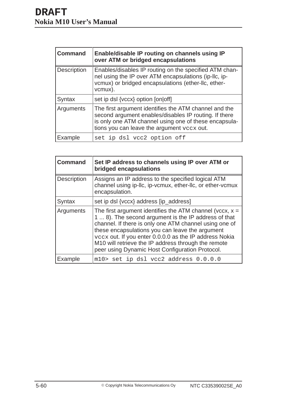| <b>Command</b>     | Enable/disable IP routing on channels using IP<br>over ATM or bridged encapsulations                                                                                                                                  |
|--------------------|-----------------------------------------------------------------------------------------------------------------------------------------------------------------------------------------------------------------------|
| <b>Description</b> | Enables/disables IP routing on the specified ATM chan-<br>nel using the IP over ATM encapsulations (ip-Ilc, ip-<br>vcmux) or bridged encapsulations (ether-llc, ether-<br>vcmux).                                     |
| Syntax             | set ip dsl {vccx} option [on off]                                                                                                                                                                                     |
| Arguments          | The first argument identifies the ATM channel and the<br>second argument enables/disables IP routing. If there<br>is only one ATM channel using one of these encapsula-<br>tions you can leave the argument veex out. |
| Example            | set ip dsl vcc2 option off                                                                                                                                                                                            |

| <b>Command</b>     | Set IP address to channels using IP over ATM or<br>bridged encapsulations                                                                                                                                                                                                                                                                                                                           |
|--------------------|-----------------------------------------------------------------------------------------------------------------------------------------------------------------------------------------------------------------------------------------------------------------------------------------------------------------------------------------------------------------------------------------------------|
| <b>Description</b> | Assigns an IP address to the specified logical ATM<br>channel using ip-llc, ip-vcmux, ether-llc, or ether-vcmux<br>encapsulation.                                                                                                                                                                                                                                                                   |
| Syntax             | set ip dsl {vccx} address [ip_address]                                                                                                                                                                                                                                                                                                                                                              |
| Arguments          | The first argument identifies the ATM channel (vccx, $x =$<br>1  8). The second argument is the IP address of that<br>channel. If there is only one ATM channel using one of<br>these encapsulations you can leave the argument<br>vccx out. If you enter 0.0.0.0 as the IP address Nokia<br>M10 will retrieve the IP address through the remote<br>peer using Dynamic Host Configuration Protocol. |
| Example            | m10> set ip dsl vcc2 address 0.0.0.0                                                                                                                                                                                                                                                                                                                                                                |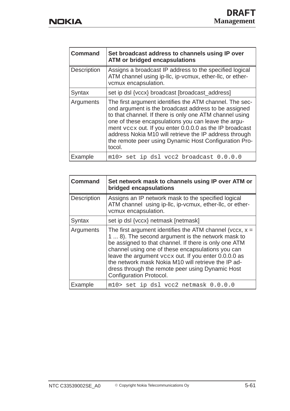| <b>Command</b>     | Set broadcast address to channels using IP over<br><b>ATM or bridged encapsulations</b>                                                                                                                                                                                                                                                                                                                                   |
|--------------------|---------------------------------------------------------------------------------------------------------------------------------------------------------------------------------------------------------------------------------------------------------------------------------------------------------------------------------------------------------------------------------------------------------------------------|
| <b>Description</b> | Assigns a broadcast IP address to the specified logical<br>ATM channel using ip-llc, ip-vcmux, ether-llc, or ether-<br>vcmux encapsulation.                                                                                                                                                                                                                                                                               |
| Syntax             | set ip dsl {vccx} broadcast [broadcast_address]                                                                                                                                                                                                                                                                                                                                                                           |
| Arguments          | The first argument identifies the ATM channel. The sec-<br>ond argument is the broadcast address to be assigned<br>to that channel. If there is only one ATM channel using<br>one of these encapsulations you can leave the argu-<br>ment vccx out. If you enter 0.0.0.0 as the IP broadcast<br>address Nokia M10 will retrieve the IP address through<br>the remote peer using Dynamic Host Configuration Pro-<br>tocol. |
| Example            | m10> set ip dsl vcc2 broadcast 0.0.0.0                                                                                                                                                                                                                                                                                                                                                                                    |

| <b>Command</b> | Set network mask to channels using IP over ATM or<br>bridged encapsulations                                                                                                                                                                                                                                                                                                                                                 |
|----------------|-----------------------------------------------------------------------------------------------------------------------------------------------------------------------------------------------------------------------------------------------------------------------------------------------------------------------------------------------------------------------------------------------------------------------------|
| Description    | Assigns an IP network mask to the specified logical<br>ATM channel using ip-llc, ip-vcmux, ether-llc, or ether-<br>vcmux encapsulation.                                                                                                                                                                                                                                                                                     |
| Syntax         | set ip dsl {vccx} netmask [netmask]                                                                                                                                                                                                                                                                                                                                                                                         |
| Arguments      | The first argument identifies the ATM channel (vccx, $x =$<br>1  8). The second argument is the network mask to<br>be assigned to that channel. If there is only one ATM<br>channel using one of these encapsulations you can<br>leave the argument vecx out. If you enter 0.0.0.0 as<br>the network mask Nokia M10 will retrieve the IP ad-<br>dress through the remote peer using Dynamic Host<br>Configuration Protocol. |
| Example        | m10> set ip dsl vcc2 netmask 0.0.0.0                                                                                                                                                                                                                                                                                                                                                                                        |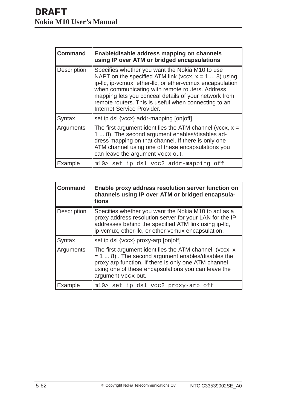| <b>Command</b> | Enable/disable address mapping on channels<br>using IP over ATM or bridged encapsulations                                                                                                                                                                                                                                                                                  |
|----------------|----------------------------------------------------------------------------------------------------------------------------------------------------------------------------------------------------------------------------------------------------------------------------------------------------------------------------------------------------------------------------|
| Description    | Specifies whether you want the Nokia M10 to use<br>NAPT on the specified ATM link (vccx, $x = 1  8$ ) using<br>ip-Ilc, ip-vcmux, ether-Ilc, or ether-vcmux encapsulation<br>when communicating with remote routers. Address<br>mapping lets you conceal details of your network from<br>remote routers. This is useful when connecting to an<br>Internet Service Provider. |
| Syntax         | set ip dsl {vccx} addr-mapping [on off]                                                                                                                                                                                                                                                                                                                                    |
| Arguments      | The first argument identifies the ATM channel (vccx, $x =$<br>1  8). The second argument enables/disables ad-<br>dress mapping on that channel. If there is only one<br>ATM channel using one of these encapsulations you<br>can leave the argument veex out.                                                                                                              |
| Example        | m10> set ip dsl vcc2 addr-mapping off                                                                                                                                                                                                                                                                                                                                      |

| <b>Command</b> | Enable proxy address resolution server function on<br>channels using IP over ATM or bridged encapsula-<br>tions                                                                                                                                     |
|----------------|-----------------------------------------------------------------------------------------------------------------------------------------------------------------------------------------------------------------------------------------------------|
| Description    | Specifies whether you want the Nokia M10 to act as a<br>proxy address resolution server for your LAN for the IP<br>addresses behind the specified ATM link using ip-Ilc,<br>ip-vcmux, ether-llc, or ether-vcmux encapsulation.                      |
| Syntax         | set ip dsl {vccx} proxy-arp [on off]                                                                                                                                                                                                                |
| Arguments      | The first argument identifies the ATM channel (vccx, x<br>$= 1  8$ ). The second argument enables/disables the<br>proxy arp function. If there is only one ATM channel<br>using one of these encapsulations you can leave the<br>argument vccx out. |
| Example        | m10> set ip dsl vcc2 proxy-arp off                                                                                                                                                                                                                  |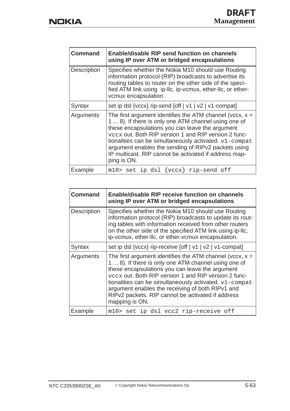| <b>Command</b>     | <b>Enable/disable RIP send function on channels</b><br>using IP over ATM or bridged encapsulations                                                                                                                                                                                                                                                                                                                     |
|--------------------|------------------------------------------------------------------------------------------------------------------------------------------------------------------------------------------------------------------------------------------------------------------------------------------------------------------------------------------------------------------------------------------------------------------------|
| <b>Description</b> | Specifies whether the Nokia M10 should use Routing<br>information protocol (RIP) broadcasts to advertise its<br>routing tables to router on the other side of the speci-<br>fied ATM link using ip-llc, ip-vcmux, ether-llc, or ether-<br>vcmux encapsulation.                                                                                                                                                         |
| Syntax             | set ip dsl {vccx} rip-send [off   v1   v2   v1-compat]                                                                                                                                                                                                                                                                                                                                                                 |
| Arguments          | The first argument identifies the ATM channel (vccx, $x =$<br>1  8). If there is only one ATM channel using one of<br>these encapsulations you can leave the argument<br>vccx out. Both RIP version 1 and RIP version 2 func-<br>tionalities can be simultaneously activated. v1-compat<br>argument enables the sending of RIPv2 packets using<br>IP multicast. RIP cannot be activated if address map-<br>ping is ON. |
| Example            | $m10$ set ip dsl {vccx} rip-send off                                                                                                                                                                                                                                                                                                                                                                                   |

| <b>Command</b> | <b>Enable/disable RIP receive function on channels</b><br>using IP over ATM or bridged encapsulations                                                                                                                                                                                                                                                                                                              |
|----------------|--------------------------------------------------------------------------------------------------------------------------------------------------------------------------------------------------------------------------------------------------------------------------------------------------------------------------------------------------------------------------------------------------------------------|
| Description    | Specifies whether the Nokia M10 should use Routing<br>information protocol (RIP) broadcasts to update its rout-<br>ing tables with information received from other routers<br>on the other side of the specified ATM link using ip-IIc,<br>ip-vcmux, ether-llc, or ether-vcmux encapsulation.                                                                                                                      |
| Syntax         | set ip dsl {vccx} rip-receive [off   v1   v2   v1-compat]                                                                                                                                                                                                                                                                                                                                                          |
| Arguments      | The first argument identifies the ATM channel (vccx, $x =$<br>1  8). If there is only one ATM channel using one of<br>these encapsulations you can leave the argument<br>vccx out. Both RIP version 1 and RIP version 2 func-<br>tionalities can be simultaneously activated. v1-compat<br>argument enables the receiving of both RIPv1 and<br>RIPv2 packets. RIP cannot be activated if address<br>mapping is ON. |
| Example        | m10> set ip dsl vcc2 rip-receive off                                                                                                                                                                                                                                                                                                                                                                               |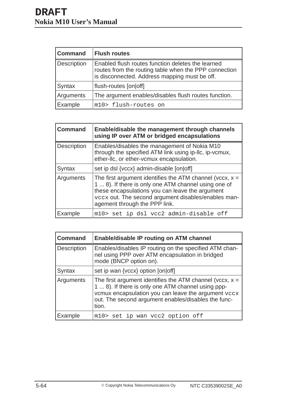| <b>Command</b> | <b>Flush routes</b>                                                                                                                                         |
|----------------|-------------------------------------------------------------------------------------------------------------------------------------------------------------|
| Description    | Enabled flush routes function deletes the learned<br>routes from the routing table when the PPP connection<br>is disconnected. Address mapping must be off. |
| Syntax         | flush-routes [on off]                                                                                                                                       |
| Arguments      | The argument enables/disables flush routes function.                                                                                                        |
| Example        | m10> flush-routes on                                                                                                                                        |

| <b>Command</b> | Enable/disable the management through channels<br>using IP over ATM or bridged encapsulations                                                                                                                                                                 |
|----------------|---------------------------------------------------------------------------------------------------------------------------------------------------------------------------------------------------------------------------------------------------------------|
| Description    | Enables/disables the management of Nokia M10<br>through the specified ATM link using ip-Ilc, ip-vcmux,<br>ether-IIc, or ether-vcmux encapsulation.                                                                                                            |
| Syntax         | set ip dsl {vccx} admin-disable [on off]                                                                                                                                                                                                                      |
| Arguments      | The first argument identifies the ATM channel (vccx, $x =$<br>1  8). If there is only one ATM channel using one of<br>these encapsulations you can leave the argument<br>vccx out. The second argument disables/enables man-<br>agement through the PPP link. |
| Example        | m10> set ip dsl vcc2 admin-disable off                                                                                                                                                                                                                        |

| <b>Command</b> | <b>Enable/disable IP routing on ATM channel</b>                                                                                                                                                                                         |
|----------------|-----------------------------------------------------------------------------------------------------------------------------------------------------------------------------------------------------------------------------------------|
| Description    | Enables/disables IP routing on the specified ATM chan-<br>nel using PPP over ATM encapsulation in bridged<br>mode (BNCP option on).                                                                                                     |
| Syntax         | set ip wan {vccx} option [on off]                                                                                                                                                                                                       |
| Arguments      | The first argument identifies the ATM channel (vccx, $x =$<br>1  8). If there is only one ATM channel using ppp-<br>vcmux encapsulation you can leave the argument vccx<br>out. The second argument enables/disables the func-<br>tion. |
| Example        | m10> set ip wan vcc2 option off                                                                                                                                                                                                         |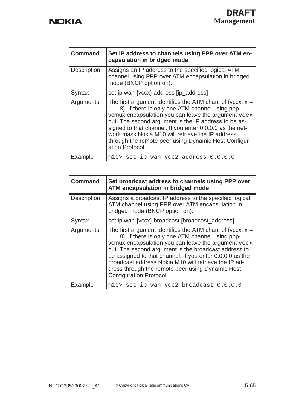| <b>Command</b>     | Set IP address to channels using PPP over ATM en-<br>capsulation in bridged mode                                                                                                                                                                                                                                                                                                                                           |
|--------------------|----------------------------------------------------------------------------------------------------------------------------------------------------------------------------------------------------------------------------------------------------------------------------------------------------------------------------------------------------------------------------------------------------------------------------|
| <b>Description</b> | Assigns an IP address to the specified logical ATM<br>channel using PPP over ATM encapsulation in bridged<br>mode (BNCP option on).                                                                                                                                                                                                                                                                                        |
| Syntax             | set ip wan {vccx} address [ip_address]                                                                                                                                                                                                                                                                                                                                                                                     |
| Arguments          | The first argument identifies the ATM channel (vccx, $x =$<br>1  8). If there is only one ATM channel using ppp-<br>vcmux encapsulation you can leave the argument vccx<br>out. The second argument is the IP address to be as-<br>signed to that channel. If you enter 0.0.0.0 as the net-<br>work mask Nokia M10 will retrieve the IP address<br>through the remote peer using Dynamic Host Configur-<br>ation Protocol. |
| Example            | m10> set ip wan vcc2 address 0.0.0.0                                                                                                                                                                                                                                                                                                                                                                                       |

| <b>Command</b>     | Set broadcast address to channels using PPP over<br>ATM encapsulation in bridged mode                                                                                                                                                                                                                                                                                                                                              |
|--------------------|------------------------------------------------------------------------------------------------------------------------------------------------------------------------------------------------------------------------------------------------------------------------------------------------------------------------------------------------------------------------------------------------------------------------------------|
| <b>Description</b> | Assigns a broadcast IP address to the specified logical<br>ATM channel using PPP over ATM encapsulation in<br>bridged mode (BNCP option on).                                                                                                                                                                                                                                                                                       |
| Syntax             | set ip wan {vccx} broadcast [broadcast_address]                                                                                                                                                                                                                                                                                                                                                                                    |
| Arguments          | The first argument identifies the ATM channel (vccx, $x =$<br>1  8). If there is only one ATM channel using ppp-<br>vcmux encapsulation you can leave the argument vccx<br>out. The second argument is the broadcast address to<br>be assigned to that channel. If you enter 0.0.0.0 as the<br>broadcast address Nokia M10 will retrieve the IP ad-<br>dress through the remote peer using Dynamic Host<br>Configuration Protocol. |
| Example            | m10> set ip wan vcc2 broadcast 0.0.0.0                                                                                                                                                                                                                                                                                                                                                                                             |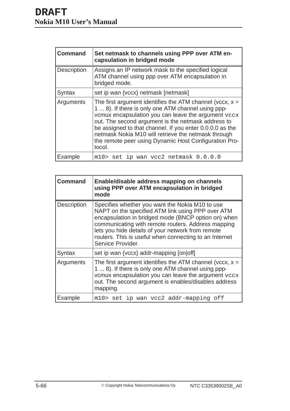| <b>Command</b> | Set netmask to channels using PPP over ATM en-<br>capsulation in bridged mode                                                                                                                                                                                                                                                                                                                                       |
|----------------|---------------------------------------------------------------------------------------------------------------------------------------------------------------------------------------------------------------------------------------------------------------------------------------------------------------------------------------------------------------------------------------------------------------------|
| Description    | Assigns an IP network mask to the specified logical<br>ATM channel using ppp over ATM encapsulation in<br>bridged mode.                                                                                                                                                                                                                                                                                             |
| Syntax         | set ip wan {vccx} netmask [netmask]                                                                                                                                                                                                                                                                                                                                                                                 |
| Arguments      | The first argument identifies the ATM channel (vccx, $x =$<br>1  8). If there is only one ATM channel using ppp-<br>vcmux encapsulation you can leave the argument vccx<br>out. The second argument is the netmask address to<br>be assigned to that channel. If you enter 0.0.0.0 as the<br>netmask Nokia M10 will retrieve the netmask through<br>the remote peer using Dynamic Host Configuration Pro-<br>tocol. |
| Example        | m10> set ip wan vcc2 netmask 0.0.0.0                                                                                                                                                                                                                                                                                                                                                                                |

| <b>Command</b> | Enable/disable address mapping on channels<br>using PPP over ATM encapsulation in bridged<br>mode                                                                                                                                                                                                                                                     |
|----------------|-------------------------------------------------------------------------------------------------------------------------------------------------------------------------------------------------------------------------------------------------------------------------------------------------------------------------------------------------------|
| Description    | Specifies whether you want the Nokia M10 to use<br>NAPT on the specified ATM link using PPP over ATM<br>encapsulation in bridged mode (BNCP option on) when<br>communicating with remote routers. Address mapping<br>lets you hide details of your network from remote<br>routers. This is useful when connecting to an Internet<br>Service Provider. |
| Syntax         | set ip wan {vccx} addr-mapping [on off]                                                                                                                                                                                                                                                                                                               |
| Arguments      | The first argument identifies the ATM channel (vccx, $x =$<br>1  8). If there is only one ATM channel using ppp-<br>vcmux encapsulation you can leave the argument vccx<br>out. The second argument is enables/disables address<br>mapping.                                                                                                           |
| Example        | m10> set ip wan vcc2 addr-mapping off                                                                                                                                                                                                                                                                                                                 |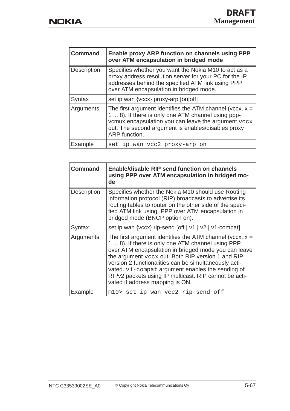| <b>Command</b> | Enable proxy ARP function on channels using PPP<br>over ATM encapsulation in bridged mode                                                                                                                                                      |
|----------------|------------------------------------------------------------------------------------------------------------------------------------------------------------------------------------------------------------------------------------------------|
| Description    | Specifies whether you want the Nokia M10 to act as a<br>proxy address resolution server for your PC for the IP<br>addresses behind the specified ATM link using PPP<br>over ATM encapsulation in bridged mode.                                 |
| Syntax         | set ip wan {vccx} proxy-arp [on off]                                                                                                                                                                                                           |
| Arguments      | The first argument identifies the ATM channel (vccx, $x =$<br>1  8). If there is only one ATM channel using ppp-<br>vcmux encapsulation you can leave the argument vccx<br>out. The second argument is enables/disables proxy<br>ARP function. |
| Example        | set ip wan vcc2 proxy-arp<br>on                                                                                                                                                                                                                |

| <b>Command</b>     | <b>Enable/disable RIP send function on channels</b><br>using PPP over ATM encapsulation in bridged mo-<br>de                                                                                                                                                                                                                                                                                                                          |
|--------------------|---------------------------------------------------------------------------------------------------------------------------------------------------------------------------------------------------------------------------------------------------------------------------------------------------------------------------------------------------------------------------------------------------------------------------------------|
| <b>Description</b> | Specifies whether the Nokia M10 should use Routing<br>information protocol (RIP) broadcasts to advertise its<br>routing tables to router on the other side of the speci-<br>fied ATM link using PPP over ATM encapsulation in<br>bridged mode (BNCP option on).                                                                                                                                                                       |
| Syntax             | set ip wan {vccx} rip-send [off   v1   v2   v1-compat]                                                                                                                                                                                                                                                                                                                                                                                |
| Arguments          | The first argument identifies the ATM channel (vccx, $x =$<br>1  8). If there is only one ATM channel using PPP<br>over ATM encapsulation in bridged mode you can leave<br>the argument vccx out. Both RIP version 1 and RIP<br>version 2 functionalities can be simultaneously acti-<br>vated. v1-compat argument enables the sending of<br>RIPv2 packets using IP multicast. RIP cannot be acti-<br>vated if address mapping is ON. |
| Example            | m10> set ip wan vcc2 rip-send off                                                                                                                                                                                                                                                                                                                                                                                                     |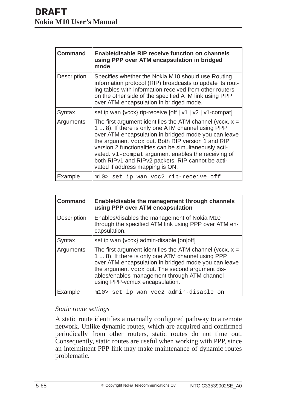| <b>Command</b>     | <b>Enable/disable RIP receive function on channels</b><br>using PPP over ATM encapsulation in bridged<br>mode                                                                                                                                                                                                                                                                                                                       |
|--------------------|-------------------------------------------------------------------------------------------------------------------------------------------------------------------------------------------------------------------------------------------------------------------------------------------------------------------------------------------------------------------------------------------------------------------------------------|
| <b>Description</b> | Specifies whether the Nokia M10 should use Routing<br>information protocol (RIP) broadcasts to update its rout-<br>ing tables with information received from other routers<br>on the other side of the specified ATM link using PPP<br>over ATM encapsulation in bridged mode.                                                                                                                                                      |
| Syntax             | set ip wan {vccx} rip-receive [off   v1   v2   v1-compat]                                                                                                                                                                                                                                                                                                                                                                           |
| Arguments          | The first argument identifies the ATM channel (vccx, $x =$<br>1  8). If there is only one ATM channel using PPP<br>over ATM encapsulation in bridged mode you can leave<br>the argument vccx out. Both RIP version 1 and RIP<br>version 2 functionalities can be simultaneously acti-<br>vated. v1-compat argument enables the receiving of<br>both RIPv1 and RIPv2 packets. RIP cannot be acti-<br>vated if address mapping is ON. |
| Example            | m10> set ip wan vcc2 rip-receive off                                                                                                                                                                                                                                                                                                                                                                                                |

| <b>Command</b> | Enable/disable the management through channels<br>using PPP over ATM encapsulation                                                                                                                                                                                                                           |
|----------------|--------------------------------------------------------------------------------------------------------------------------------------------------------------------------------------------------------------------------------------------------------------------------------------------------------------|
| Description    | Enables/disables the management of Nokia M10<br>through the specified ATM link using PPP over ATM en-<br>capsulation.                                                                                                                                                                                        |
| Syntax         | set ip wan {vccx} admin-disable [on off]                                                                                                                                                                                                                                                                     |
| Arguments      | The first argument identifies the ATM channel (vccx, $x =$<br>1  8). If there is only one ATM channel using PPP<br>over ATM encapsulation in bridged mode you can leave<br>the argument vccx out. The second argument dis-<br>ables/enables management through ATM channel<br>using PPP-vcmux encapsulation. |
| Example        | m10> set ip wan vcc2 admin-disable on                                                                                                                                                                                                                                                                        |

### *Static route settings*

A static route identifies a manually configured pathway to a remote network. Unlike dynamic routes, which are acquired and confirmed periodically from other routers, static routes do not time out. Consequently, static routes are useful when working with PPP, since an intermittent PPP link may make maintenance of dynamic routes problematic.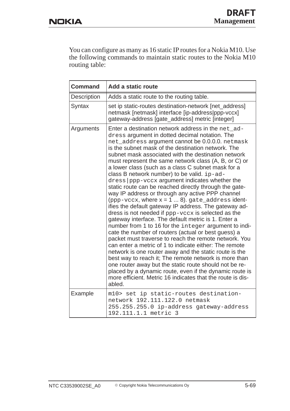You can configure as many as 16 static IP routes for a Nokia M10. Use the following commands to maintain static routes to the Nokia M10 routing table:

| <b>Command</b> | Add a static route                                                                                                                                                                                                                                                                                                                                                                                                                                                                                                                                                                                                                                                                                                                                                                                                                                                                                                                                                                                                                                                                                                                                                                                                                                                                                                                                                               |
|----------------|----------------------------------------------------------------------------------------------------------------------------------------------------------------------------------------------------------------------------------------------------------------------------------------------------------------------------------------------------------------------------------------------------------------------------------------------------------------------------------------------------------------------------------------------------------------------------------------------------------------------------------------------------------------------------------------------------------------------------------------------------------------------------------------------------------------------------------------------------------------------------------------------------------------------------------------------------------------------------------------------------------------------------------------------------------------------------------------------------------------------------------------------------------------------------------------------------------------------------------------------------------------------------------------------------------------------------------------------------------------------------------|
| Description    | Adds a static route to the routing table.                                                                                                                                                                                                                                                                                                                                                                                                                                                                                                                                                                                                                                                                                                                                                                                                                                                                                                                                                                                                                                                                                                                                                                                                                                                                                                                                        |
| Syntax         | set ip static-routes destination-network [net_address]<br>netmask [netmask] interface [ip-address ppp-vccx]<br>gateway-address [gate_address] metric [integer]                                                                                                                                                                                                                                                                                                                                                                                                                                                                                                                                                                                                                                                                                                                                                                                                                                                                                                                                                                                                                                                                                                                                                                                                                   |
| Arguments      | Enter a destination network address in the net_ad-<br>dress argument in dotted decimal notation. The<br>net_address argument cannot be 0.0.0.0. netmask<br>is the subnet mask of the destination network. The<br>subnet mask associated with the destination network<br>must represent the same network class (A, B, or C) or<br>a lower class (such as a class C subnet mask for a<br>class B network number) to be valid. ip-ad-<br>dress ppp-vccx argument indicates whether the<br>static route can be reached directly through the gate-<br>way IP address or through any active PPP channel<br>(ppp-vccx, where $x = 1  8$ ). gate_address ident-<br>ifies the default gateway IP address. The gateway ad-<br>dress is not needed if ppp-vccx is selected as the<br>gateway interface. The default metric is 1. Enter a<br>number from 1 to 16 for the integer argument to indi-<br>cate the number of routers (actual or best guess) a<br>packet must traverse to reach the remote network. You<br>can enter a metric of 1 to indicate either: The remote<br>network is one router away and the static route is the<br>best way to reach it; The remote network is more than<br>one router away but the static route should not be re-<br>placed by a dynamic route, even if the dynamic route is<br>more efficient. Metric 16 indicates that the route is dis-<br>abled. |
| Example        | m10> set ip static-routes destination-<br>network 192.111.122.0 netmask<br>255.255.255.0 ip-address gateway-address<br>192.111.1.1 metric 3                                                                                                                                                                                                                                                                                                                                                                                                                                                                                                                                                                                                                                                                                                                                                                                                                                                                                                                                                                                                                                                                                                                                                                                                                                      |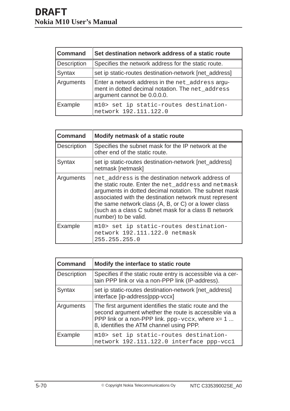| <b>Command</b> | Set destination network address of a static route                                                                                   |
|----------------|-------------------------------------------------------------------------------------------------------------------------------------|
| Description    | Specifies the network address for the static route.                                                                                 |
| Syntax         | set ip static-routes destination-network [net_address]                                                                              |
| Arguments      | Enter a network address in the net_address argu-<br>ment in dotted decimal notation. The net_address<br>argument cannot be 0.0.0.0. |
| Example        | m10> set ip static-routes destination-<br>network 192.111.122.0                                                                     |

| <b>Command</b> | Modify netmask of a static route                                                                                                                                                                                                                                                                                                                                    |
|----------------|---------------------------------------------------------------------------------------------------------------------------------------------------------------------------------------------------------------------------------------------------------------------------------------------------------------------------------------------------------------------|
| Description    | Specifies the subnet mask for the IP network at the<br>other end of the static route.                                                                                                                                                                                                                                                                               |
| Syntax         | set ip static-routes destination-network [net_address]<br>netmask [netmask]                                                                                                                                                                                                                                                                                         |
| Arguments      | net address is the destination network address of<br>the static route. Enter the net_address and netmask<br>arguments in dotted decimal notation. The subnet mask<br>associated with the destination network must represent<br>the same network class (A, B, or C) or a lower class<br>(such as a class C subnet mask for a class B network<br>number) to be valid. |
| Example        | m10> set ip static-routes destination-<br>network 192.111.122.0 netmask<br>255.255.255.0                                                                                                                                                                                                                                                                            |

| <b>Command</b> | Modify the interface to static route                                                                                                                                                                                       |
|----------------|----------------------------------------------------------------------------------------------------------------------------------------------------------------------------------------------------------------------------|
| Description    | Specifies if the static route entry is accessible via a cer-<br>tain PPP link or via a non-PPP link (IP-address).                                                                                                          |
| Syntax         | set ip static-routes destination-network [net_address]<br>interface [ip-address ppp-vccx]                                                                                                                                  |
| Arguments      | The first argument identifies the static route and the<br>second argument whether the route is accessible via a<br>PPP link or a non-PPP link. $ppp-\text{vccx}$ , where $x=1$<br>8, identifies the ATM channel using PPP. |
| Example        | m10> set ip static-routes destination-<br>network 192.111.122.0 interface ppp-vccl                                                                                                                                         |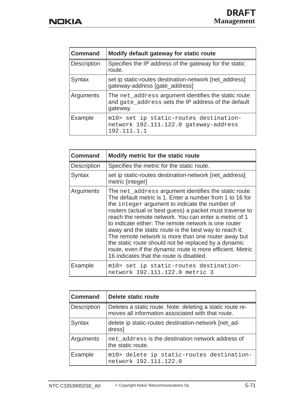| <b>Command</b> | Modify default gateway for static route                                                                                 |
|----------------|-------------------------------------------------------------------------------------------------------------------------|
| Description    | Specifies the IP address of the gateway for the static<br>route.                                                        |
| Syntax         | set ip static-routes destination-network [net_address]<br>gateway-address [gate_address]                                |
| Arguments      | The net_address argument identifies the static route<br>and gate_address sets the IP address of the default<br>gateway. |
| Example        | m10> set ip static-routes destination-<br>network 192.111.122.0 gateway-address<br>192.111.1.1                          |

| <b>Command</b>     | Modify metric for the static route                                                                                                                                                                                                                                                                                                                                                                                                                                                                                                                                                                                                  |
|--------------------|-------------------------------------------------------------------------------------------------------------------------------------------------------------------------------------------------------------------------------------------------------------------------------------------------------------------------------------------------------------------------------------------------------------------------------------------------------------------------------------------------------------------------------------------------------------------------------------------------------------------------------------|
| <b>Description</b> | Specifies the metric for the static route.                                                                                                                                                                                                                                                                                                                                                                                                                                                                                                                                                                                          |
| Syntax             | set ip static-routes destination-network [net_address]<br>metric [integer]                                                                                                                                                                                                                                                                                                                                                                                                                                                                                                                                                          |
| Arguments          | The net_address argument identifies the static route.<br>The default metric is 1. Enter a number from 1 to 16 for<br>the integer argument to indicate the number of<br>routers (actual or best guess) a packet must traverse to<br>reach the remote network. You can enter a metric of 1<br>to indicate either: The remote network is one router<br>away and the static route is the best way to reach it;<br>The remote network is more than one router away but<br>the static route should not be replaced by a dynamic<br>route, even if the dynamic route is more efficient. Metric<br>16 indicates that the route is disabled. |
| Example            | m10> set ip static-routes destination-<br>network 192.111.122.0 metric 3                                                                                                                                                                                                                                                                                                                                                                                                                                                                                                                                                            |

| <b>Command</b> | Delete static route                                                                                            |
|----------------|----------------------------------------------------------------------------------------------------------------|
| Description    | Deletes a static route. Note: deleting a static route re-<br>moves all information associated with that route. |
| Syntax         | delete ip static-routes destination-network [net_ad-<br>dress]                                                 |
| Arguments      | net address is the destination network address of<br>the static route.                                         |
| Example        | m10> delete ip static-routes destination-<br>network 192.111.122.0                                             |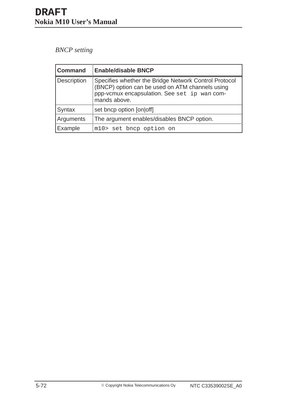## *BNCP setting*

| <b>Command</b>     | <b>Enable/disable BNCP</b>                                                                                                                                               |
|--------------------|--------------------------------------------------------------------------------------------------------------------------------------------------------------------------|
| <b>Description</b> | Specifies whether the Bridge Network Control Protocol<br>(BNCP) option can be used on ATM channels using<br>ppp-vcmux encapsulation. See set ip wan com-<br>mands above. |
| Syntax             | set bncp option [on off]                                                                                                                                                 |
| Arguments          | The argument enables/disables BNCP option.                                                                                                                               |
| Example            | m10> set bncp option on                                                                                                                                                  |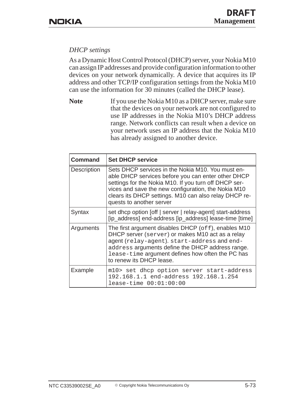## *DHCP settings*

As a Dynamic Host Control Protocol (DHCP) server, your Nokia M10 can assign IP addresses and provide configuration information to other devices on your network dynamically. A device that acquires its IP address and other TCP/IP configuration settings from the Nokia M10 can use the information for 30 minutes (called the DHCP lease).

Note If you use the Nokia M10 as a DHCP server, make sure that the devices on your network are not configured to use IP addresses in the Nokia M10's DHCP address range. Network conflicts can result when a device on your network uses an IP address that the Nokia M10 has already assigned to another device.

| <b>Command</b>     | <b>Set DHCP service</b>                                                                                                                                                                                                                                                                                      |
|--------------------|--------------------------------------------------------------------------------------------------------------------------------------------------------------------------------------------------------------------------------------------------------------------------------------------------------------|
| <b>Description</b> | Sets DHCP services in the Nokia M10. You must en-<br>able DHCP services before you can enter other DHCP<br>settings for the Nokia M10. If you turn off DHCP ser-<br>vices and save the new configuration, the Nokia M10<br>clears its DHCP settings. M10 can also relay DHCP re-<br>quests to another server |
| Syntax             | set dhcp option [off   server   relay-agent] start-address<br>[ip_address] end-address [ip_address] lease-time [time]                                                                                                                                                                                        |
| Arguments          | The first argument disables DHCP ( $\circ$ ff), enables M10<br>DHCP server (server) or makes M10 act as a relay<br>agent (relay-agent). start-address and end-<br>address arguments define the DHCP address range.<br>lease-time argument defines how often the PC has<br>to renew its DHCP lease.           |
| Example            | m10> set dhcp option server start-address<br>192.168.1.1 end-address 192.168.1.254<br>$lease-time 00:01:00:00$                                                                                                                                                                                               |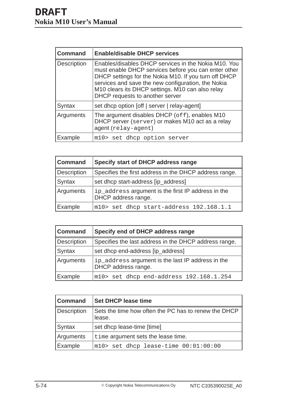| <b>Command</b>     | <b>Enable/disable DHCP services</b>                                                                                                                                                                                                                                                                                |
|--------------------|--------------------------------------------------------------------------------------------------------------------------------------------------------------------------------------------------------------------------------------------------------------------------------------------------------------------|
| <b>Description</b> | Enables/disables DHCP services in the Nokia M10. You<br>must enable DHCP services before you can enter other<br>DHCP settings for the Nokia M10. If you turn off DHCP<br>services and save the new configuration, the Nokia<br>M10 clears its DHCP settings. M10 can also relay<br>DHCP requests to another server |
| Syntax             | set dhcp option [off   server   relay-agent]                                                                                                                                                                                                                                                                       |
| Arguments          | The argument disables DHCP ( $of f$ ), enables M10<br>DHCP server (server) or makes M10 act as a relay<br>agent (relay-agent)                                                                                                                                                                                      |
| Example            | m10> set dhcp option server                                                                                                                                                                                                                                                                                        |

| <b>Command</b>     | Specify start of DHCP address range                                       |
|--------------------|---------------------------------------------------------------------------|
| <b>Description</b> | Specifies the first address in the DHCP address range.                    |
| Syntax             | set dhcp start-address [ip_address]                                       |
| Arguments          | ip_address argument is the first IP address in the<br>DHCP address range. |
| Example            | m10> set dhcp start-address 192.168.1.1                                   |

| <b>Command</b>     | Specify end of DHCP address range                                        |
|--------------------|--------------------------------------------------------------------------|
| <b>Description</b> | Specifies the last address in the DHCP address range.                    |
| Syntax             | set dhcp end-address [ip_address]                                        |
| Arguments          | ip_address argument is the last IP address in the<br>DHCP address range. |
| Example            | m10> set dhcp end-address 192.168.1.254                                  |

| <b>Command</b> | <b>Set DHCP lease time</b>                                     |
|----------------|----------------------------------------------------------------|
| Description    | Sets the time how often the PC has to renew the DHCP<br>lease. |
| Syntax         | set dhcp lease-time [time]                                     |
| Arguments      | time argument sets the lease time.                             |
| Example        | $m10$ set dhcp lease-time $00:01:00:00$                        |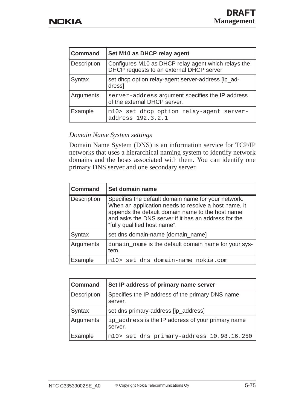| <b>Command</b>     | Set M10 as DHCP relay agent                                                                     |
|--------------------|-------------------------------------------------------------------------------------------------|
| <b>Description</b> | Configures M10 as DHCP relay agent which relays the<br>DHCP requests to an external DHCP server |
| Syntax             | set dhcp option relay-agent server-address [ip_ad-<br>dress]                                    |
| Arguments          | server-address argument specifies the IP address<br>of the external DHCP server.                |
| Example            | m10> set dhcp option relay-agent server-<br>address 192.3.2.1                                   |

### *Domain Name System settings*

Domain Name System (DNS) is an information service for TCP/IP networks that uses a hierarchical naming system to identify network domains and the hosts associated with them. You can identify one primary DNS server and one secondary server.

| <b>Command</b> | Set domain name                                                                                                                                                                                                                                         |
|----------------|---------------------------------------------------------------------------------------------------------------------------------------------------------------------------------------------------------------------------------------------------------|
| Description    | Specifies the default domain name for your network.<br>When an application needs to resolve a host name, it<br>appends the default domain name to the host name<br>and asks the DNS server if it has an address for the<br>"fully qualified host name". |
| Syntax         | set dns domain-name [domain_name]                                                                                                                                                                                                                       |
| Arguments      | domain_name is the default domain name for your sys-<br>tem.                                                                                                                                                                                            |
| Example        | m10> set dns domain-name nokia.com                                                                                                                                                                                                                      |

| <b>Command</b> | Set IP address of primary name server                        |
|----------------|--------------------------------------------------------------|
| Description    | Specifies the IP address of the primary DNS name<br>server.  |
| Syntax         | set dns primary-address [ip_address]                         |
| Arguments      | ip_address is the IP address of your primary name<br>server. |
| Example        | m10> set dns primary-address 10.98.16.250                    |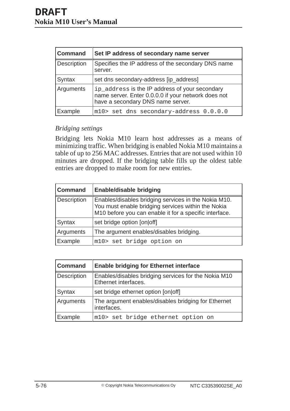| <b>Command</b> | Set IP address of secondary name server                                                                                                    |
|----------------|--------------------------------------------------------------------------------------------------------------------------------------------|
| Description    | Specifies the IP address of the secondary DNS name<br>server.                                                                              |
| Syntax         | set dns secondary-address [ip_address]                                                                                                     |
| Arguments      | ip_address is the IP address of your secondary<br>name server. Enter 0.0.0.0 if your network does not<br>have a secondary DNS name server. |
| Example        | m10> set dns secondary-address 0.0.0.0                                                                                                     |

### *Bridging settings*

Bridging lets Nokia M10 learn host addresses as a means of minimizing traffic. When bridging is enabled Nokia M10 maintains a table of up to 256 MAC addresses. Entries that are not used within 10 minutes are dropped. If the bridging table fills up the oldest table entries are dropped to make room for new entries.

| <b>Command</b> | <b>Enable/disable bridging</b>                                                                                                                                       |
|----------------|----------------------------------------------------------------------------------------------------------------------------------------------------------------------|
| Description    | Enables/disables bridging services in the Nokia M10.<br>You must enable bridging services within the Nokia<br>M10 before you can enable it for a specific interface. |
| <b>Syntax</b>  | set bridge option [on off]                                                                                                                                           |
| Arguments      | The argument enables/disables bridging.                                                                                                                              |
| Example        | m10> set bridge option on                                                                                                                                            |

| <b>Command</b> | <b>Enable bridging for Ethernet interface</b>                                |
|----------------|------------------------------------------------------------------------------|
| Description    | Enables/disables bridging services for the Nokia M10<br>Ethernet interfaces. |
| Syntax         | set bridge ethernet option [on off]                                          |
| Arguments      | The argument enables/disables bridging for Ethernet<br>interfaces.           |
| Example        | m10> set bridge ethernet option on                                           |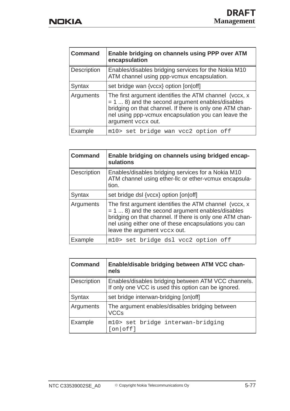| <b>Command</b> | Enable bridging on channels using PPP over ATM<br>encapsulation                                                                                                                                                                                        |
|----------------|--------------------------------------------------------------------------------------------------------------------------------------------------------------------------------------------------------------------------------------------------------|
| Description    | Enables/disables bridging services for the Nokia M10<br>ATM channel using ppp-vcmux encapsulation.                                                                                                                                                     |
| Syntax         | set bridge wan {vccx} option [on off]                                                                                                                                                                                                                  |
| Arguments      | The first argument identifies the ATM channel (vccx, x<br>$= 1  8$ ) and the second argument enables/disables<br>bridging on that channel. If there is only one ATM chan-<br>nel using ppp-vcmux encapsulation you can leave the<br>argument vccx out. |
| Example        | m10> set bridge wan vcc2 option off                                                                                                                                                                                                                    |

| <b>Command</b> | Enable bridging on channels using bridged encap-<br>sulations                                                                                                                                                                                                     |
|----------------|-------------------------------------------------------------------------------------------------------------------------------------------------------------------------------------------------------------------------------------------------------------------|
| Description    | Enables/disables bridging services for a Nokia M10<br>ATM channel using ether-llc or ether-vcmux encapsula-<br>tion.                                                                                                                                              |
| Syntax         | set bridge dsl {vccx} option [on off]                                                                                                                                                                                                                             |
| Arguments      | The first argument identifies the ATM channel (vccx, x<br>$= 1  8$ ) and the second argument enables/disables<br>bridging on that channel. If there is only one ATM chan-<br>nel using either one of these encapsulations you can<br>leave the argument vccx out. |
| Example        | m10> set bridge dsl vcc2 option off                                                                                                                                                                                                                               |

| <b>Command</b> | Enable/disable bridging between ATM VCC chan-<br>nels                                                      |
|----------------|------------------------------------------------------------------------------------------------------------|
| Description    | Enables/disables bridging between ATM VCC channels.<br>If only one VCC is used this option can be ignored. |
| Syntax         | set bridge interwan-bridging [on off]                                                                      |
| Arguments      | The argument enables/disables bridging between<br><b>VCCs</b>                                              |
| Example        | m10> set bridge interwan-bridging<br>[on off]                                                              |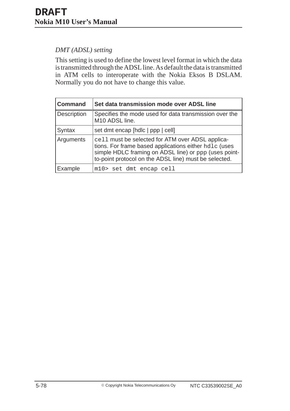## *DMT (ADSL) setting*

This setting is used to define the lowest level format in which the data is transmitted through the ADSL line. As default the data is transmitted in ATM cells to interoperate with the Nokia Eksos B DSLAM. Normally you do not have to change this value.

| <b>Command</b> | Set data transmission mode over ADSL line                                                                                                                                                                                   |
|----------------|-----------------------------------------------------------------------------------------------------------------------------------------------------------------------------------------------------------------------------|
| Description    | Specifies the mode used for data transmission over the<br>M10 ADSL line.                                                                                                                                                    |
| Syntax         | set dmt encap [hdlc   ppp   cell]                                                                                                                                                                                           |
| Arguments      | cell must be selected for ATM over ADSL applica-<br>tions. For frame based applications either hdlc (uses<br>simple HDLC framing on ADSL line) or ppp (uses point-<br>to-point protocol on the ADSL line) must be selected. |
| Example        | m10> set dmt encap cell                                                                                                                                                                                                     |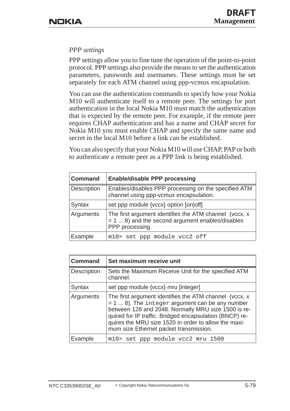## *PPP settings*

PPP settings allow you to fine tune the operation of the point-to-point protocol. PPP settings also provide the means to set the authentication parameters, passwords and usernames. These settings must be set separately for each ATM channel using ppp-vcmux encapsulation.

You can use the authentication commands to specify how your Nokia M10 will authenticate itself to a remote peer. The settings for port authentication in the local Nokia M10 must match the authentication that is expected by the remote peer. For example, if the remote peer requires CHAP authentication and has a name and CHAP secret for Nokia M10 you must enable CHAP and specify the same name and secret in the local M10 before a link can be established.

You can also specify that your Nokia M10 will use CHAP, PAP or both to authenticate a remote peer as a PPP link is being established.

| <b>Command</b> | <b>Enable/disable PPP processing</b>                                                                                             |
|----------------|----------------------------------------------------------------------------------------------------------------------------------|
| Description    | Enables/disables PPP processing on the specified ATM<br>channel using ppp-vcmux encapsulation.                                   |
| Syntax         | set ppp module {vccx} option [on off]                                                                                            |
| Arguments      | The first argument identifies the ATM channel (vccx, x<br>$= 1  8$ ) and the second argument enables/disables<br>PPP processing. |
| Example        | m10> set ppp module vcc2 off                                                                                                     |

| <b>Command</b> | Set maximum receive unit                                                                                                                                                                                                                                                                                                         |
|----------------|----------------------------------------------------------------------------------------------------------------------------------------------------------------------------------------------------------------------------------------------------------------------------------------------------------------------------------|
| Description    | Sets the Maximum Receive Unit for the specified ATM<br>channel.                                                                                                                                                                                                                                                                  |
| Syntax         | set ppp module {vccx} mru [integer]                                                                                                                                                                                                                                                                                              |
| Arguments      | The first argument identifies the ATM channel (vccx, x<br>$= 1  8$ ). The integer argument can be any number<br>between 128 and 2048. Normally MRU size 1500 is re-<br>quired for IP traffic. Bridged encapsulation (BNCP) re-<br>quires the MRU size 1520 in order to allow the maxi-<br>mum size Ethernet packet transmission. |
| Example        | m10> set ppp module vcc2 mru 1500                                                                                                                                                                                                                                                                                                |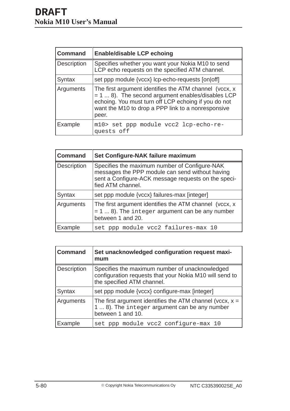| <b>Command</b> | <b>Enable/disable LCP echoing</b>                                                                                                                                                                                                     |
|----------------|---------------------------------------------------------------------------------------------------------------------------------------------------------------------------------------------------------------------------------------|
| Description    | Specifies whether you want your Nokia M10 to send<br>LCP echo requests on the specified ATM channel.                                                                                                                                  |
| Syntax         | set ppp module {vccx} lcp-echo-requests [on off]                                                                                                                                                                                      |
| Arguments      | The first argument identifies the ATM channel (vccx, x<br>$= 1  8$ ). The second argument enables/disables LCP<br>echoing. You must turn off LCP echoing if you do not<br>want the M10 to drop a PPP link to a nonresponsive<br>peer. |
| Example        | m10> set ppp module vcc2 lcp-echo-re-<br>quests off                                                                                                                                                                                   |

| <b>Command</b> | Set Configure-NAK failure maximum                                                                                                                                            |
|----------------|------------------------------------------------------------------------------------------------------------------------------------------------------------------------------|
| Description    | Specifies the maximum number of Configure-NAK<br>messages the PPP module can send without having<br>sent a Configure-ACK message requests on the speci-<br>fied ATM channel. |
| Syntax         | set ppp module {vccx} failures-max [integer]                                                                                                                                 |
| Arguments      | The first argument identifies the ATM channel (vccx, x<br>$= 1  8$ ). The integer argument can be any number<br>between 1 and 20.                                            |
| Example        | set ppp module vcc2 failures-max 10                                                                                                                                          |

| <b>Command</b>     | Set unacknowledged configuration request maxi-<br>mum                                                                                   |
|--------------------|-----------------------------------------------------------------------------------------------------------------------------------------|
| <b>Description</b> | Specifies the maximum number of unacknowledged<br>configuration requests that your Nokia M10 will send to<br>the specified ATM channel. |
| Syntax             | set ppp module {vccx} configure-max [integer]                                                                                           |
| Arguments          | The first argument identifies the ATM channel (vccx, $x =$<br>1  8). The integer argument can be any number<br>between 1 and 10.        |
| Example            | set ppp module vcc2 configure-max 10                                                                                                    |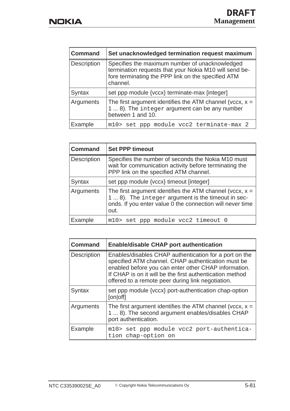| <b>Command</b> | Set unacknowledged termination request maximum                                                                                                                             |
|----------------|----------------------------------------------------------------------------------------------------------------------------------------------------------------------------|
| Description    | Specifies the maximum number of unacknowledged<br>termination requests that your Nokia M10 will send be-<br>fore terminating the PPP link on the specified ATM<br>channel. |
| Syntax         | set ppp module {vccx} terminate-max [integer]                                                                                                                              |
| Arguments      | The first argument identifies the ATM channel (vccx, $x =$<br>1  8). The integer argument can be any number<br>between 1 and 10.                                           |
| Example        | m10> set ppp module vcc2 terminate-max 2                                                                                                                                   |

| <b>Command</b> | <b>Set PPP timeout</b>                                                                                                                                                                |
|----------------|---------------------------------------------------------------------------------------------------------------------------------------------------------------------------------------|
| Description    | Specifies the number of seconds the Nokia M10 must<br>wait for communication activity before terminating the<br>PPP link on the specified ATM channel.                                |
| Syntax         | set ppp module {vccx} timeout [integer]                                                                                                                                               |
| Arguments      | The first argument identifies the ATM channel (vccx, $x =$<br>1  8). The integer argument is the timeout in sec-<br>onds. If you enter value 0 the connection will never time<br>out. |
| Example        | m10> set ppp module vcc2 timeout 0                                                                                                                                                    |

| <b>Command</b>     | <b>Enable/disable CHAP port authentication</b>                                                                                                                                                                                                                                        |
|--------------------|---------------------------------------------------------------------------------------------------------------------------------------------------------------------------------------------------------------------------------------------------------------------------------------|
| <b>Description</b> | Enables/disables CHAP authentication for a port on the<br>specified ATM channel. CHAP authentication must be<br>enabled before you can enter other CHAP information.<br>If CHAP is on it will be the first authentication method<br>offered to a remote peer during link negotiation. |
| Syntax             | set ppp module {vccx} port-authentication chap-option<br>[on off]                                                                                                                                                                                                                     |
| Arguments          | The first argument identifies the ATM channel (vccx, $x =$<br>1  8). The second argument enables/disables CHAP<br>port authentication.                                                                                                                                                |
| Example            | m10> set ppp module vcc2 port-authentica-<br>tion chap-option on                                                                                                                                                                                                                      |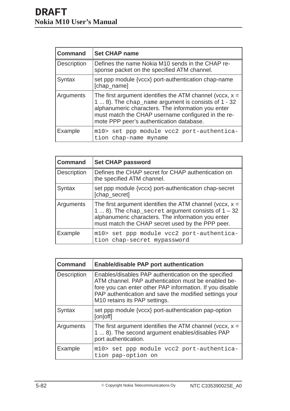| <b>Command</b> | <b>Set CHAP name</b>                                                                                                                                                                                                                                                      |
|----------------|---------------------------------------------------------------------------------------------------------------------------------------------------------------------------------------------------------------------------------------------------------------------------|
| Description    | Defines the name Nokia M10 sends in the CHAP re-<br>sponse packet on the specified ATM channel.                                                                                                                                                                           |
| Syntax         | set ppp module {vccx} port-authentication chap-name<br>[chap_name]                                                                                                                                                                                                        |
| Arguments      | The first argument identifies the ATM channel (vccx, $x =$<br>1  8). The chap_name argument is consists of 1 - 32<br>alphanumeric characters. The information you enter<br>must match the CHAP username configured in the re-<br>mote PPP peer's authentication database. |
| Example        | m10> set ppp module vcc2 port-authentica-<br>tion chap-name myname                                                                                                                                                                                                        |

| <b>Command</b>     | <b>Set CHAP password</b>                                                                                                                                                                                                     |
|--------------------|------------------------------------------------------------------------------------------------------------------------------------------------------------------------------------------------------------------------------|
| <b>Description</b> | Defines the CHAP secret for CHAP authentication on<br>the specified ATM channel.                                                                                                                                             |
| Syntax             | set ppp module {vccx} port-authentication chap-secret<br>[chap_secret]                                                                                                                                                       |
| Arguments          | The first argument identifies the ATM channel (vccx, $x =$<br>1  8). The chap_secret argument consists of $1 - 32$<br>alphanumeric characters. The information you enter<br>must match the CHAP secret used by the PPP peer. |
| Example            | m10> set ppp module vcc2 port-authentica-<br>tion chap-secret mypassword                                                                                                                                                     |

| <b>Command</b>     | <b>Enable/disable PAP port authentication</b>                                                                                                                                                                                                                                  |
|--------------------|--------------------------------------------------------------------------------------------------------------------------------------------------------------------------------------------------------------------------------------------------------------------------------|
| <b>Description</b> | Enables/disables PAP authentication on the specified<br>ATM channel. PAP authentication must be enabled be-<br>fore you can enter other PAP information. If you disable<br>PAP authentication and save the modified settings your<br>M <sub>10</sub> retains its PAP settings. |
| Syntax             | set ppp module {vccx} port-authentication pap-option<br>[on off]                                                                                                                                                                                                               |
| Arguments          | The first argument identifies the ATM channel (vccx, $x =$<br>1  8). The second argument enables/disables PAP<br>port authentication.                                                                                                                                          |
| Example            | m10> set ppp module vcc2 port-authentica-<br>tion pap-option on                                                                                                                                                                                                                |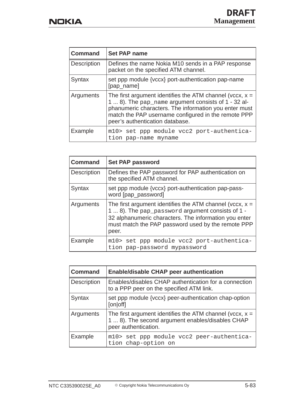| <b>Command</b> | <b>Set PAP name</b>                                                                                                                                                                                                                                                  |
|----------------|----------------------------------------------------------------------------------------------------------------------------------------------------------------------------------------------------------------------------------------------------------------------|
| Description    | Defines the name Nokia M10 sends in a PAP response<br>packet on the specified ATM channel.                                                                                                                                                                           |
| Syntax         | set ppp module {vccx} port-authentication pap-name<br>[pap_name]                                                                                                                                                                                                     |
| Arguments      | The first argument identifies the ATM channel (vccx, $x =$<br>1  8). The pap_name argument consists of 1 - 32 al-<br>phanumeric characters. The information you enter must<br>match the PAP username configured in the remote PPP<br>peer's authentication database. |
| Example        | m10> set ppp module vcc2 port-authentica-<br>tion pap-name myname                                                                                                                                                                                                    |

| <b>Command</b> | <b>Set PAP password</b>                                                                                                                                                                                                                |
|----------------|----------------------------------------------------------------------------------------------------------------------------------------------------------------------------------------------------------------------------------------|
| Description    | Defines the PAP password for PAP authentication on<br>the specified ATM channel.                                                                                                                                                       |
| Syntax         | set ppp module {vccx} port-authentication pap-pass-<br>word [pap_password]                                                                                                                                                             |
| Arguments      | The first argument identifies the ATM channel (vccx, $x =$<br>1  8). The pap_password argument consists of 1 -<br>32 alphanumeric characters. The information you enter<br>must match the PAP password used by the remote PPP<br>peer. |
| Example        | m10> set ppp module vcc2 port-authentica-<br>tion pap-password mypassword                                                                                                                                                              |

| <b>Command</b>     | <b>Enable/disable CHAP peer authentication</b>                                                                                         |
|--------------------|----------------------------------------------------------------------------------------------------------------------------------------|
| <b>Description</b> | Enables/disables CHAP authentication for a connection<br>to a PPP peer on the specified ATM link.                                      |
| Syntax             | set ppp module {vccx} peer-authentication chap-option<br>[on off]                                                                      |
| Arguments          | The first argument identifies the ATM channel (vccx, $x =$<br>1  8). The second argument enables/disables CHAP<br>peer authentication. |
| Example            | m10> set ppp module vcc2 peer-authentica-<br>tion chap-option on                                                                       |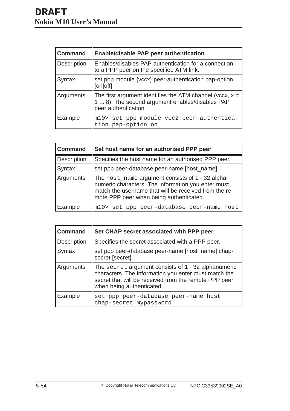| <b>Command</b>     | <b>Enable/disable PAP peer authentication</b>                                                                                         |
|--------------------|---------------------------------------------------------------------------------------------------------------------------------------|
| <b>Description</b> | Enables/disables PAP authentication for a connection<br>to a PPP peer on the specified ATM link.                                      |
| Syntax             | set ppp module {vccx} peer-authentication pap-option<br>[on off]                                                                      |
| Arguments          | The first argument identifies the ATM channel (vccx, $x =$<br>1  8). The second argument enables/disables PAP<br>peer authentication. |
| Example            | m10> set ppp module vcc2 peer-authentica-<br>tion pap-option on                                                                       |

| <b>Command</b> | Set host name for an authorised PPP peer                                                                                                                                                                   |
|----------------|------------------------------------------------------------------------------------------------------------------------------------------------------------------------------------------------------------|
| Description    | Specifies the host name for an authorised PPP peer.                                                                                                                                                        |
| Syntax         | set ppp peer-database peer-name [host_name]                                                                                                                                                                |
| Arguments      | The host_name argument consists of 1 - 32 alpha-<br>numeric characters. The information you enter must<br>match the username that will be received from the re-<br>mote PPP peer when being authenticated. |
| Example        | m10> set ppp peer-database peer-name host                                                                                                                                                                  |

| <b>Command</b> | Set CHAP secret associated with PPP peer                                                                                                                                                          |
|----------------|---------------------------------------------------------------------------------------------------------------------------------------------------------------------------------------------------|
| Description    | Specifies the secret associated with a PPP peer.                                                                                                                                                  |
| Syntax         | set ppp peer-database peer-name [host_name] chap-<br>secret [secret]                                                                                                                              |
| Arguments      | The secret argument consists of 1 - 32 alphanumeric<br>characters. The information you enter must match the<br>secret that will be received from the remote PPP peer<br>when being authenticated. |
| Example        | set ppp peer-database peer-name host<br>chap-secret mypassword                                                                                                                                    |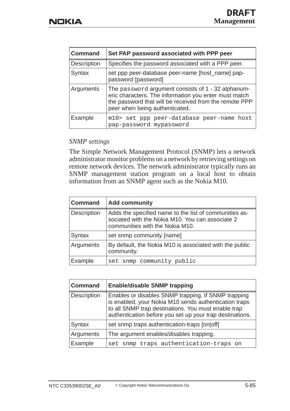| <b>Command</b>     | Set PAP password associated with PPP peer                                                                                                                                                               |
|--------------------|---------------------------------------------------------------------------------------------------------------------------------------------------------------------------------------------------------|
| <b>Description</b> | Specifies the password associated with a PPP peer.                                                                                                                                                      |
| <b>Syntax</b>      | set ppp peer-database peer-name [host_name] pap-<br>password [password]                                                                                                                                 |
| Arguments          | The password argument consists of 1 - 32 alphanum-<br>eric characters. The information you enter must match<br>the password that will be received from the remote PPP<br>peer when being authenticated. |
| Example            | m10> set ppp peer-database peer-name host<br>pap-password mypassword                                                                                                                                    |

### *SNMP settings*

The Simple Network Management Protocol (SNMP) lets a network administrator monitor problems on a network by retrieving settings on remote network devices. The network administrator typically runs an SNMP management station program on a local host to obtain information from an SNMP agent such as the Nokia M10.

| <b>Command</b> | <b>Add community</b>                                                                                                                          |
|----------------|-----------------------------------------------------------------------------------------------------------------------------------------------|
| Description    | Adds the specified name to the list of communities as-<br>sociated with the Nokia M10. You can associate 2<br>communities with the Nokia M10. |
| Syntax         | set snmp community [name]                                                                                                                     |
| Arguments      | By default, the Nokia M10 is associated with the public<br>community.                                                                         |
| Example        | set snmp community public                                                                                                                     |

| <b>Command</b>     | <b>Enable/disable SNMP trapping</b>                                                                                                                                                                                             |
|--------------------|---------------------------------------------------------------------------------------------------------------------------------------------------------------------------------------------------------------------------------|
| <b>Description</b> | Enables or disables SNMP trapping. If SNMP trapping<br>is enabled, your Nokia M10 sends authentication traps<br>to all SNMP trap destinations. You must enable trap<br>authentication before you set up your trap destinations. |
| Syntax             | set snmp traps authentication-traps [on off]                                                                                                                                                                                    |
| Arguments          | The argument enables/disables trapping.                                                                                                                                                                                         |
| Example            | snmp traps authentication-traps on<br>set                                                                                                                                                                                       |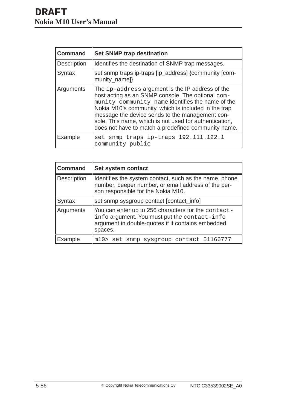| <b>Command</b> | <b>Set SNMP trap destination</b>                                                                                                                                                                                                                                                                                                                                                      |
|----------------|---------------------------------------------------------------------------------------------------------------------------------------------------------------------------------------------------------------------------------------------------------------------------------------------------------------------------------------------------------------------------------------|
| Description    | Identifies the destination of SNMP trap messages.                                                                                                                                                                                                                                                                                                                                     |
| Syntax         | set snmp traps ip-traps [ip_address] {community [com-<br>munity_name]}                                                                                                                                                                                                                                                                                                                |
| Arguments      | The ip-address argument is the IP address of the<br>host acting as an SNMP console. The optional com-<br>munity community_name identifies the name of the<br>Nokia M10's community, which is included in the trap<br>message the device sends to the management con-<br>sole. This name, which is not used for authentication,<br>does not have to match a predefined community name. |
| Example        | set snmp traps ip-traps 192.111.122.1<br>community public                                                                                                                                                                                                                                                                                                                             |

| <b>Command</b> | Set system contact                                                                                                                                                  |
|----------------|---------------------------------------------------------------------------------------------------------------------------------------------------------------------|
| Description    | Identifies the system contact, such as the name, phone<br>number, beeper number, or email address of the per-<br>son responsible for the Nokia M10.                 |
| Syntax         | set snmp sysgroup contact [contact_info]                                                                                                                            |
| Arguments      | You can enter up to 256 characters for the contact-<br>info argument. You must put the contact-info<br>argument in double-quotes if it contains embedded<br>spaces. |
| Example        | m10> set snmp sysgroup contact 51166777                                                                                                                             |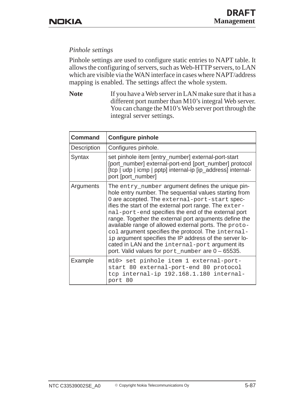## *Pinhole settings*

Pinhole settings are used to configure static entries to NAPT table. It allows the configuring of servers, such as Web-HTTP servers, to LAN which are visible via the WAN interface in cases where NAPT/address mapping is enabled. The settings affect the whole system.

Note If you have a Web server in LAN make sure that it has a different port number than M10's integral Web server. You can change the M10's Web server port through the integral server settings.

| <b>Command</b> | <b>Configure pinhole</b>                                                                                                                                                                                                                                                                                                                                                                                                                                                                                                                                                                                                 |
|----------------|--------------------------------------------------------------------------------------------------------------------------------------------------------------------------------------------------------------------------------------------------------------------------------------------------------------------------------------------------------------------------------------------------------------------------------------------------------------------------------------------------------------------------------------------------------------------------------------------------------------------------|
| Description    | Configures pinhole.                                                                                                                                                                                                                                                                                                                                                                                                                                                                                                                                                                                                      |
| Syntax         | set pinhole item [entry_number] external-port-start<br>[port_number] external-port-end [port_number] protocol<br>[tcp   udp   icmp   pptp] internal-ip [ip_address] internal-<br>port [port_number]                                                                                                                                                                                                                                                                                                                                                                                                                      |
| Arguments      | The entry_number argument defines the unique pin-<br>hole entry number. The sequential values starting from<br>O are accepted. The external-port-start spec-<br>ifies the start of the external port range. The exter-<br>nal-port-end specifies the end of the external port<br>range. Together the external port arguments define the<br>available range of allowed external ports. The proto-<br>col argument specifies the protocol. The internal-<br>ip argument specifies the IP address of the server lo-<br>cated in LAN and the internal-port argument its<br>port. Valid values for port_number are 0 - 65535. |
| Example        | m10> set pinhole item 1 external-port-<br>start 80 external-port-end 80 protocol<br>tcp internal-ip 192.168.1.180 internal-<br>port 80                                                                                                                                                                                                                                                                                                                                                                                                                                                                                   |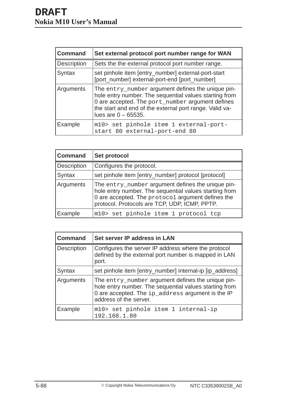| <b>Command</b>     | Set external protocol port number range for WAN                                                                                                                                                                                                      |
|--------------------|------------------------------------------------------------------------------------------------------------------------------------------------------------------------------------------------------------------------------------------------------|
| <b>Description</b> | Sets the the external protocol port number range.                                                                                                                                                                                                    |
| Syntax             | set pinhole item [entry_number] external-port-start<br>[port_number] external-port-end [port_number]                                                                                                                                                 |
| Arguments          | The entry_number argument defines the unique pin-<br>hole entry number. The sequential values starting from<br>0 are accepted. The port_number argument defines<br>the start and end of the external port range. Valid va-<br>lues are $0 - 65535$ . |
| Example            | m10> set pinhole item 1 external-port-<br>start 80 external-port-end 80                                                                                                                                                                              |

| <b>Command</b> | Set protocol                                                                                                                                                                                                      |
|----------------|-------------------------------------------------------------------------------------------------------------------------------------------------------------------------------------------------------------------|
| Description    | Configures the protocol.                                                                                                                                                                                          |
| Syntax         | set pinhole item [entry_number] protocol [protocol]                                                                                                                                                               |
| Arguments      | The entry_number argument defines the unique pin-<br>hole entry number. The sequential values starting from<br>0 are accepted. The protocol argument defines the<br>protocol. Protocols are TCP, UDP, ICMP, PPTP. |
| Example        | m10> set pinhole item 1 protocol tcp                                                                                                                                                                              |

| <b>Command</b> | Set server IP address in LAN                                                                                                                                                               |
|----------------|--------------------------------------------------------------------------------------------------------------------------------------------------------------------------------------------|
| Description    | Configures the server IP address where the protocol<br>defined by the external port number is mapped in LAN<br>port.                                                                       |
| Syntax         | set pinhole item [entry_number] internal-ip [ip_address]                                                                                                                                   |
| Arguments      | The entry_number argument defines the unique pin-<br>hole entry number. The sequential values starting from<br>0 are accepted. The ip_address argument is the IP<br>address of the server. |
| Example        | m10> set pinhole item 1 internal-ip<br>192.168.1.80                                                                                                                                        |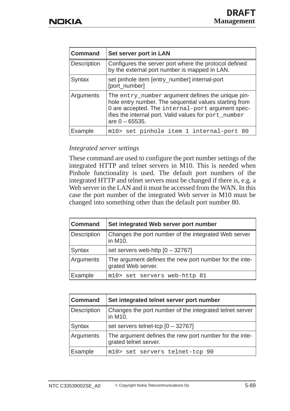| <b>Command</b> | Set server port in LAN                                                                                                                                                                                                                        |
|----------------|-----------------------------------------------------------------------------------------------------------------------------------------------------------------------------------------------------------------------------------------------|
| Description    | Configures the server port where the protocol defined<br>by the external port number is mapped in LAN.                                                                                                                                        |
| Syntax         | set pinhole item [entry_number] internal-port<br>[port_number]                                                                                                                                                                                |
| Arguments      | The entry_number argument defines the unique pin-<br>hole entry number. The sequential values starting from<br>0 are accepted. The internal-port argument spec-<br>ifies the internal port. Valid values for port_number<br>are $0 - 65535$ . |
| Example        | m10> set pinhole item 1 internal-port 80                                                                                                                                                                                                      |

### *Integrated server settings*

These command are used to configure the port number settings of the integrated HTTP and telnet servers in M10. This is needed when Pinhole functionality is used. The default port numbers of the integrated HTTP and telnet servers must be changed if there is, e.g. a Web server in the LAN and it must be accessed from the WAN. In this case the port number of the integrated Web server in M10 must be changed into something other than the default port number 80.

| <b>Command</b> | Set integrated Web server port number                                        |
|----------------|------------------------------------------------------------------------------|
| Description    | Changes the port number of the integrated Web server<br>in M10.              |
| Syntax         | set servers web-http $[0 - 32767]$                                           |
| Arguments      | The argument defines the new port number for the inte-<br>grated Web server. |
| Example        | m10> set servers web-http 81                                                 |

| <b>Command</b> | Set integrated telnet server port number                                        |
|----------------|---------------------------------------------------------------------------------|
| Description    | Changes the port number of the integrated telnet server<br>in M10.              |
| Syntax         | set servers telnet-tcp $[0 - 32767]$                                            |
| Arguments      | The argument defines the new port number for the inte-<br>grated telnet server. |
| Example        | m10> set servers telnet-tcp 90                                                  |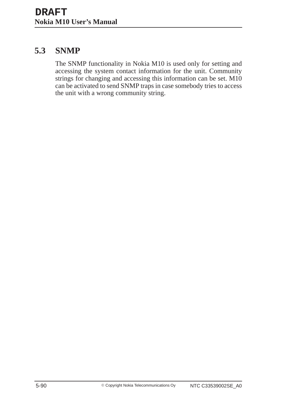# **5.3 SNMP**

The SNMP functionality in Nokia M10 is used only for setting and accessing the system contact information for the unit. Community strings for changing and accessing this information can be set. M10 can be activated to send SNMP traps in case somebody tries to access the unit with a wrong community string.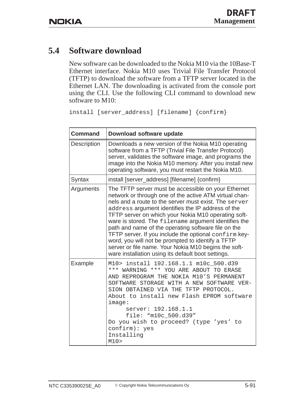# **5.4 Software download**

New software can be downloaded to the Nokia M10 via the 10Base-T Ethernet interface. Nokia M10 uses Trivial File Transfer Protocol (TFTP) to download the software from a TFTP server located in the Ethernet LAN. The downloading is activated from the console port using the CLI. Use the following CLI command to download new software to M10:

install [server\_address] [filename] {confirm}

| <b>Command</b>     | Download software update                                                                                                                                                                                                                                                                                                                                                                                                                                                                                                                                                                                                      |
|--------------------|-------------------------------------------------------------------------------------------------------------------------------------------------------------------------------------------------------------------------------------------------------------------------------------------------------------------------------------------------------------------------------------------------------------------------------------------------------------------------------------------------------------------------------------------------------------------------------------------------------------------------------|
| <b>Description</b> | Downloads a new version of the Nokia M10 operating<br>software from a TFTP (Trivial File Transfer Protocol)<br>server, validates the software image, and programs the<br>image into the Nokia M10 memory. After you install new<br>operating software, you must restart the Nokia M10.                                                                                                                                                                                                                                                                                                                                        |
| Syntax             | install [server_address] [filename] {confirm}                                                                                                                                                                                                                                                                                                                                                                                                                                                                                                                                                                                 |
| Arguments          | The TFTP server must be accessible on your Ethernet<br>network or through one of the active ATM virtual chan-<br>nels and a route to the server must exist. The server<br>address argument identifies the IP address of the<br>TFTP server on which your Nokia M10 operating soft-<br>ware is stored. The filename argument identifies the<br>path and name of the operating software file on the<br>TFTP server. If you include the optional confirm key-<br>word, you will not be prompted to identify a TFTP<br>server or file name. Your Nokia M10 begins the soft-<br>ware installation using its default boot settings. |
| Example            | M10> install 192.168.1.1 m10c_500.d39<br>*** WARNING *** YOU ARE ABOUT TO ERASE<br>AND REPROGRAM THE NOKIA M10'S PERMANENT<br>SOFTWARE STORAGE WITH A NEW SOFTWARE VER-<br>SION OBTAINED VIA THE TFTP PROTOCOL.<br>About to install new Flash EPROM software<br>image:<br>server: 192.168.1.1<br>file: "m10c_500.d39"<br>Do you wish to proceed? (type 'yes' to<br>confirm): yes<br>Installing<br>M10                                                                                                                                                                                                                         |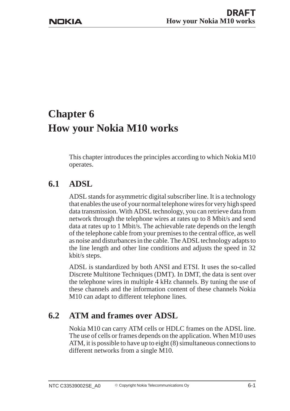# **Chapter 6 How your Nokia M10 works**

This chapter introduces the principles according to which Nokia M10 operates.

# **6.1 ADSL**

ADSL stands for asymmetric digital subscriber line. It is a technology that enables the use of your normal telephone wires for very high speed data transmission. With ADSL technology, you can retrieve data from network through the telephone wires at rates up to 8 Mbit/s and send data at rates up to 1 Mbit/s. The achievable rate depends on the length of the telephone cable from your premises to the central office, as well as noise and disturbances in the cable. The ADSL technology adapts to the line length and other line conditions and adjusts the speed in 32 kbit/s steps.

ADSL is standardized by both ANSI and ETSI. It uses the so-called Discrete Multitone Techniques (DMT). In DMT, the data is sent over the telephone wires in multiple 4 kHz channels. By tuning the use of these channels and the information content of these channels Nokia M10 can adapt to different telephone lines.

# **6.2 ATM and frames over ADSL**

Nokia M10 can carry ATM cells or HDLC frames on the ADSL line. The use of cells or frames depends on the application. When M10 uses ATM, it is possible to have up to eight (8) simultaneous connections to different networks from a single M10.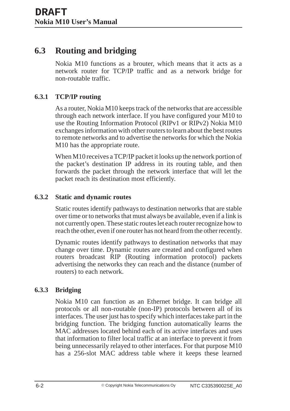# **6.3 Routing and bridging**

Nokia M10 functions as a brouter, which means that it acts as a network router for TCP/IP traffic and as a network bridge for non-routable traffic.

# **6.3.1 TCP/IP routing**

As a router, Nokia M10 keeps track of the networks that are accessible through each network interface. If you have configured your M10 to use the Routing Information Protocol (RIPv1 or RIPv2) Nokia M10 exchanges information with other routers to learn about the best routes to remote networks and to advertise the networks for which the Nokia M10 has the appropriate route.

When M10 receives a TCP/IP packet it looks up the network portion of the packet's destination IP address in its routing table, and then forwards the packet through the network interface that will let the packet reach its destination most efficiently.

## **6.3.2 Static and dynamic routes**

Static routes identify pathways to destination networks that are stable over time or to networks that must always be available, even if a link is not currently open. These static routes let each router recognize how to reach the other, even if one router has not heard from the other recently.

Dynamic routes identify pathways to destination networks that may change over time. Dynamic routes are created and configured when routers broadcast RIP (Routing information protocol) packets advertising the networks they can reach and the distance (number of routers) to each network.

## **6.3.3 Bridging**

Nokia M10 can function as an Ethernet bridge. It can bridge all protocols or all non-routable (non-IP) protocols between all of its interfaces. The user just has to specify which interfaces take part in the bridging function. The bridging function automatically learns the MAC addresses located behind each of its active interfaces and uses that information to filter local traffic at an interface to prevent it from being unnecessarily relayed to other interfaces. For that purpose M10 has a 256-slot MAC address table where it keeps these learned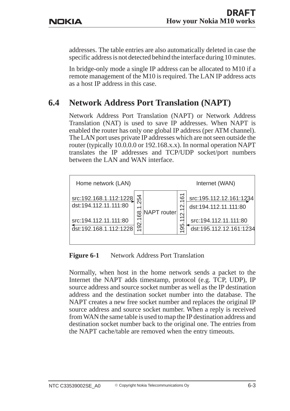addresses. The table entries are also automatically deleted in case the specific address is not detected behind the interface during 10 minutes.

In bridge-only mode a single IP address can be allocated to M10 if a remote management of the M10 is required. The LAN IP address acts as a host IP address in this case.

# **6.4 Network Address Port Translation (NAPT)**

Network Address Port Translation (NAPT) or Network Address Translation (NAT) is used to save IP addresses. When NAPT is enabled the router has only one global IP address (per ATM channel). The LAN port uses private IP addresses which are not seen outside the router (typically 10.0.0.0 or 192.168.x.x). In normal operation NAPT translates the IP addresses and TCP/UDP socket/port numbers between the LAN and WAN interface.



**Figure 6-1** Network Address Port Translation

Normally, when host in the home network sends a packet to the Internet the NAPT adds timestamp, protocol (e.g. TCP, UDP), IP source address and source socket number as well as the IP destination address and the destination socket number into the database. The NAPT creates a new free socket number and replaces the original IP source address and source socket number. When a reply is received from WAN the same table is used to map the IP destination address and destination socket number back to the original one. The entries from the NAPT cache/table are removed when the entry timeouts.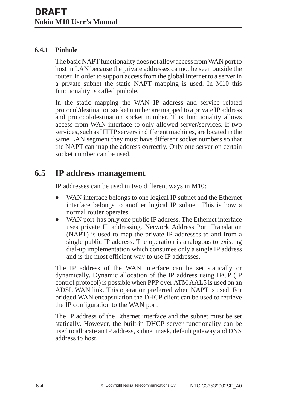## **6.4.1 Pinhole**

The basic NAPT functionality does not allow access from WAN port to host in LAN because the private addresses cannot be seen outside the router. In order to support access from the global Internet to a server in a private subnet the static NAPT mapping is used. In M10 this functionality is called pinhole.

In the static mapping the WAN IP address and service related protocol/destination socket number are mapped to a private IP address and protocol/destination socket number. This functionality allows access from WAN interface to only allowed server/services. If two services, such as HTTP servers in different machines, are located in the same LAN segment they must have different socket numbers so that the NAPT can map the address correctly. Only one server on certain socket number can be used.

# **6.5 IP address management**

IP addresses can be used in two different ways in M10:

- $\bullet$  WAN interface belongs to one logical IP subnet and the Ethernet interface belongs to another logical IP subnet. This is how a normal router operates.
- $\bullet$ WAN port has only one public IP address. The Ethernet interface uses private IP addressing. Network Address Port Translation (NAPT) is used to map the private IP addresses to and from a single public IP address. The operation is analogous to existing dial-up implementation which consumes only a single IP address and is the most efficient way to use IP addresses.

The IP address of the WAN interface can be set statically or dynamically. Dynamic allocation of the IP address using IPCP (IP control protocol) is possible when PPP over ATM AAL5 is used on an ADSL WAN link. This operation preferred when NAPT is used. For bridged WAN encapsulation the DHCP client can be used to retrieve the IP configuration to the WAN port.

The IP address of the Ethernet interface and the subnet must be set statically. However, the built-in DHCP server functionality can be used to allocate an IP address, subnet mask, default gateway and DNS address to host.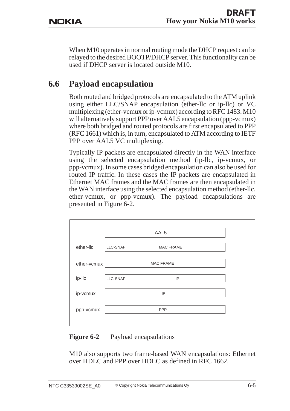When M10 operates in normal routing mode the DHCP request can be relayed to the desired BOOTP/DHCP server. This functionality can be used if DHCP server is located outside M10.

# **6.6 Payload encapsulation**

Both routed and bridged protocols are encapsulated to the ATM uplink using either LLC/SNAP encapsulation (ether-llc or ip-llc) or VC multiplexing (ether-vcmux or ip-vcmux) according to RFC 1483. M10 will alternatively support PPP over AAL5 encapsulation (ppp-vcmux) where both bridged and routed protocols are first encapsulated to PPP (RFC 1661) which is, in turn, encapsulated to ATM according to IETF PPP over AAL5 VC multiplexing.

Typically IP packets are encapsulated directly in the WAN interface using the selected encapsulation method (ip-llc, ip-vcmux, or ppp-vcmux). In some cases bridged encapsulation can also be used for routed IP traffic. In these cases the IP packets are encapsulated in Ethernet MAC frames and the MAC frames are then encapsulated in the WAN interface using the selected encapsulation method (ether-llc, ether-vcmux, or ppp-vcmux). The payload encapsulations are presented in Figure 6-2.

|             |          | AAL5             |
|-------------|----------|------------------|
|             |          |                  |
| ether-llc   | LLC-SNAP | <b>MAC FRAME</b> |
|             |          |                  |
| ether-vcmux |          | <b>MAC FRAME</b> |
|             |          |                  |
| ip-IIc      | LLC-SNAP | IP               |
| ip-vcmux    |          | IP               |
| ppp-vcmux   |          | <b>PPP</b>       |
|             |          |                  |
|             |          |                  |

#### **Figure 6-2** Payload encapsulations

M10 also supports two frame-based WAN encapsulations: Ethernet over HDLC and PPP over HDLC as defined in RFC 1662.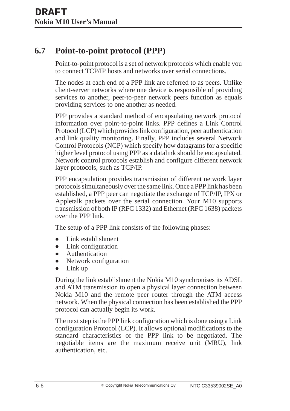# **6.7 Point-to-point protocol (PPP)**

Point-to-point protocol is a set of network protocols which enable you to connect TCP/IP hosts and networks over serial connections.

The nodes at each end of a PPP link are referred to as peers. Unlike client-server networks where one device is responsible of providing services to another, peer-to-peer network peers function as equals providing services to one another as needed.

PPP provides a standard method of encapsulating network protocol information over point-to-point links. PPP defines a Link Control Protocol (LCP) which provides link configuration, peer authentication and link quality monitoring. Finally, PPP includes several Network Control Protocols (NCP) which specify how datagrams for a specific higher level protocol using PPP as a datalink should be encapsulated. Network control protocols establish and configure different network layer protocols, such as TCP/IP.

PPP encapsulation provides transmission of different network layer protocols simultaneously over the same link. Once a PPP link has been established, a PPP peer can negotiate the exchange of TCP/IP, IPX or Appletalk packets over the serial connection. Your M10 supports transmission of both IP (RFC 1332) and Ethernet (RFC 1638) packets over the PPP link.

The setup of a PPP link consists of the following phases:

- $\bullet$ Link establishment
- $\bullet$ Link configuration
- Authentication
- $\bullet$ Network configuration
- $\bullet$ Link up

During the link establishment the Nokia M10 synchronises its ADSL and ATM transmission to open a physical layer connection between Nokia M10 and the remote peer router through the ATM access network. When the physical connection has been established the PPP protocol can actually begin its work.

The next step is the PPP link configuration which is done using a Link configuration Protocol (LCP). It allows optional modifications to the standard characteristics of the PPP link to be negotiated. The negotiable items are the maximum receive unit (MRU), link authentication, etc.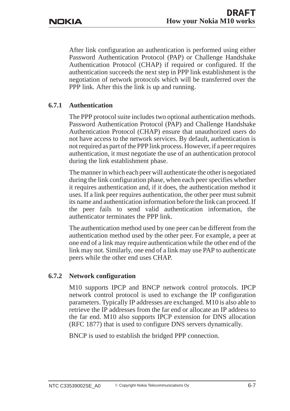After link configuration an authentication is performed using either Password Authentication Protocol (PAP) or Challenge Handshake Authentication Protocol (CHAP) if required or configured. If the authentication succeeds the next step in PPP link establishment is the negotiation of network protocols which will be transferred over the PPP link. After this the link is up and running.

#### **6.7.1 Authentication**

The PPP protocol suite includes two optional authentication methods. Password Authentication Protocol (PAP) and Challenge Handshake Authentication Protocol (CHAP) ensure that unauthorized users do not have access to the network services. By default, authentication is not required as part of the PPP link process. However, if a peer requires authentication, it must negotiate the use of an authentication protocol during the link establishment phase.

The manner in which each peer will authenticate the other is negotiated during the link configuration phase, when each peer specifies whether it requires authentication and, if it does, the authentication method it uses. If a link peer requires authentication, the other peer must submit its name and authentication information before the link can proceed. If the peer fails to send valid authentication information, the authenticator terminates the PPP link.

The authentication method used by one peer can be different from the authentication method used by the other peer. For example, a peer at one end of a link may require authentication while the other end of the link may not. Similarly, one end of a link may use PAP to authenticate peers while the other end uses CHAP.

#### **6.7.2 Network configuration**

M10 supports IPCP and BNCP network control protocols. IPCP network control protocol is used to exchange the IP configuration parameters. Typically IP addresses are exchanged. M10 is also able to retrieve the IP addresses from the far end or allocate an IP address to the far end. M10 also supports IPCP extension for DNS allocation (RFC 1877) that is used to configure DNS servers dynamically.

BNCP is used to establish the bridged PPP connection.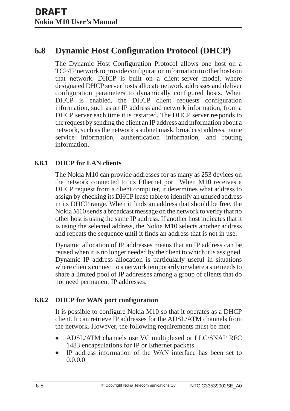# **6.8 Dynamic Host Configuration Protocol (DHCP)**

The Dynamic Host Configuration Protocol allows one host on a TCP/IP network to provide configuration information to other hosts on that network. DHCP is built on a client-server model, where designated DHCP server hosts allocate network addresses and deliver configuration parameters to dynamically configured hosts. When DHCP is enabled, the DHCP client requests configuration information, such as an IP address and network information, from a DHCP server each time it is restarted. The DHCP server responds to the request by sending the client an IP address and information about a network, such as the network's subnet mask, broadcast address, name service information, authentication information, and routing information.

#### **6.8.1 DHCP for LAN clients**

The Nokia M10 can provide addresses for as many as 253 devices on the network connected to its Ethernet port. When M10 receives a DHCP request from a client computer, it determines what address to assign by checking its DHCP lease table to identify an unused address in its DHCP range. When it finds an address that should be free, the Nokia M10 sends a broadcast message on the network to verify that no other host is using the same IP address. If another host indicates that it is using the selected address, the Nokia M10 selects another address and repeats the sequence until it finds an address that is not in use.

Dynamic allocation of IP addresses means that an IP address can be reused when it is no longer needed by the client to which it is assigned. Dynamic IP address allocation is particularly useful in situations where clients connect to a network temporarily or where a site needs to share a limited pool of IP addresses among a group of clients that do not need permanent IP addresses.

#### **6.8.2 DHCP for WAN port configuration**

It is possible to configure Nokia M10 so that it operates as a DHCP client. It can retrieve IP addresses for the ADSL/ATM channels from the network. However, the following requirements must be met:

- $\bullet$  ADSL/ATM channels use VC multiplexed or LLC/SNAP RFC 1483 encapsulations for IP or Ethernet packets.
- $\bullet$  IP address information of the WAN interface has been set to 0.0.0.0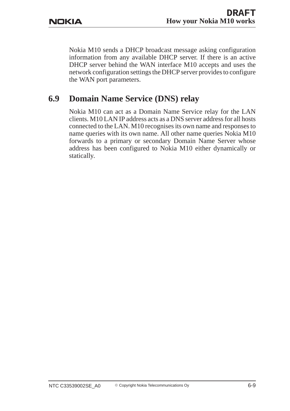Nokia M10 sends a DHCP broadcast message asking configuration information from any available DHCP server. If there is an active DHCP server behind the WAN interface M10 accepts and uses the network configuration settings the DHCP server provides to configure the WAN port parameters.

# **6.9 Domain Name Service (DNS) relay**

Nokia M10 can act as a Domain Name Service relay for the LAN clients. M10 LAN IP address acts as a DNS server address for all hosts connected to the LAN. M10 recognises its own name and responses to name queries with its own name. All other name queries Nokia M10 forwards to a primary or secondary Domain Name Server whose address has been configured to Nokia M10 either dynamically or statically.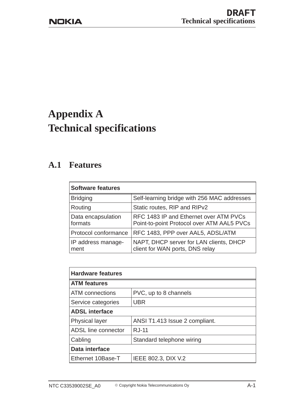# **Appendix A Technical specifications**

# **A.1 Features**

| <b>Software features</b>      |                                                                                      |  |
|-------------------------------|--------------------------------------------------------------------------------------|--|
| <b>Bridging</b>               | Self-learning bridge with 256 MAC addresses                                          |  |
| Routing                       | Static routes, RIP and RIPv2                                                         |  |
| Data encapsulation<br>formats | RFC 1483 IP and Ethernet over ATM PVCs<br>Point-to-point Protocol over ATM AAL5 PVCs |  |
| Protocol conformance          | RFC 1483, PPP over AAL5, ADSL/ATM                                                    |  |
| IP address manage-<br>ment    | NAPT, DHCP server for LAN clients, DHCP<br>client for WAN ports, DNS relay           |  |

| <b>Hardware features</b> |                                |  |
|--------------------------|--------------------------------|--|
| <b>ATM</b> features      |                                |  |
| ATM connections          | PVC, up to 8 channels          |  |
| Service categories       | <b>UBR</b>                     |  |
| <b>ADSL interface</b>    |                                |  |
| <b>Physical layer</b>    | ANSI T1.413 Issue 2 compliant. |  |
| ADSL line connector      | <b>RJ-11</b>                   |  |
| Cabling                  | Standard telephone wiring      |  |
| Data interface           |                                |  |
| Ethernet 10Base-T        | IEEE 802.3, DIX V.2            |  |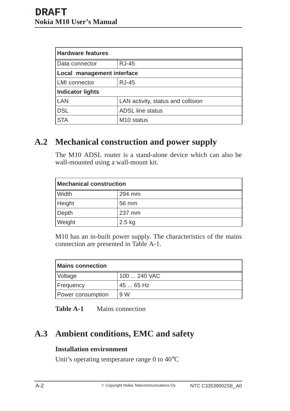| <b>Hardware features</b>   |                                    |  |
|----------------------------|------------------------------------|--|
| Data connector             | <b>RJ-45</b>                       |  |
| Local management interface |                                    |  |
| <b>LMI</b> connector       | <b>RJ-45</b>                       |  |
| <b>Indicator lights</b>    |                                    |  |
| LAN                        | LAN activity, status and collision |  |
| <b>DSL</b>                 | <b>ADSL line status</b>            |  |
| <b>STA</b>                 | M <sub>10</sub> status             |  |

# **A.2 Mechanical construction and power supply**

The M10 ADSL router is a stand-alone device which can also be wall-mounted using a wall-mount kit.

| <b>Mechanical construction</b> |          |  |
|--------------------------------|----------|--|
| Width                          | 294 mm   |  |
| Height                         | 56 mm    |  |
| Depth                          | 237 mm   |  |
| Weight                         | $2.5$ kg |  |

M10 has an in-built power supply. The characteristics of the mains connection are presented in Table A-1.

| <b>Mains connection</b> |              |
|-------------------------|--------------|
| <b>Voltage</b>          | 100  240 VAC |
| <b>Frequency</b>        | 45  65 Hz    |
| Power consumption       | 9 W          |

| <b>Table A-1</b> |  | Mains connection |
|------------------|--|------------------|
|------------------|--|------------------|

# **A.3 Ambient conditions, EMC and safety**

## **Installation environment**

Unit's operating temperature range 0 to 40°C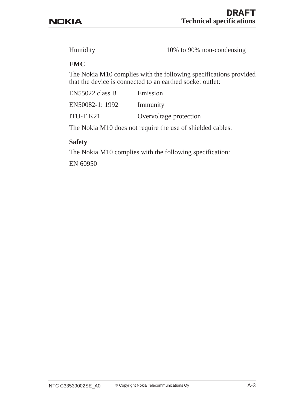Humidity 10% to 90% non-condensing

#### **EMC**

The Nokia M10 complies with the following specifications provided that the device is connected to an earthed socket outlet:

| EN55022 class B | Emission               |
|-----------------|------------------------|
| EN50082-1: 1992 | Immunity               |
| ITU-T K21       | Overvoltage protection |

The Nokia M10 does not require the use of shielded cables.

#### **Safety**

The Nokia M10 complies with the following specification:

EN 60950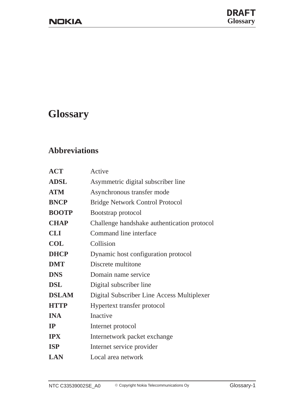# **Glossary**

# **Abbreviations**

| <b>ACT</b>   | Active                                      |
|--------------|---------------------------------------------|
| <b>ADSL</b>  | Asymmetric digital subscriber line          |
| <b>ATM</b>   | Asynchronous transfer mode                  |
| <b>BNCP</b>  | <b>Bridge Network Control Protocol</b>      |
| <b>BOOTP</b> | Bootstrap protocol                          |
| <b>CHAP</b>  | Challenge handshake authentication protocol |
| <b>CLI</b>   | Command line interface                      |
| <b>COL</b>   | Collision                                   |
| <b>DHCP</b>  | Dynamic host configuration protocol         |
| <b>DMT</b>   | Discrete multitone                          |
| <b>DNS</b>   | Domain name service                         |
| <b>DSL</b>   | Digital subscriber line                     |
| <b>DSLAM</b> | Digital Subscriber Line Access Multiplexer  |
| <b>HTTP</b>  | Hypertext transfer protocol                 |
| <b>INA</b>   | <b>Inactive</b>                             |
| IP           | Internet protocol                           |
| <b>IPX</b>   | Internetwork packet exchange                |
| <b>ISP</b>   | Internet service provider                   |
| <b>LAN</b>   | Local area network                          |
|              |                                             |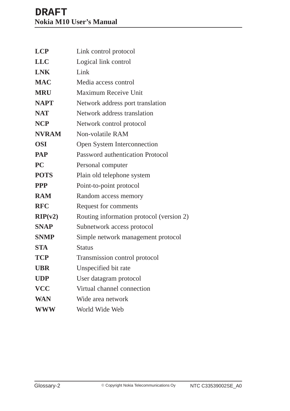| <b>LCP</b>               | Link control protocol                    |
|--------------------------|------------------------------------------|
| <b>LLC</b>               | Logical link control                     |
| <b>LNK</b>               | Link                                     |
| <b>MAC</b>               | Media access control                     |
| <b>MRU</b>               | <b>Maximum Receive Unit</b>              |
| <b>NAPT</b>              | Network address port translation         |
| <b>NAT</b>               | Network address translation              |
| <b>NCP</b>               | Network control protocol                 |
| <b>NVRAM</b>             | Non-volatile RAM                         |
| <b>OSI</b>               | Open System Interconnection              |
| <b>PAP</b>               | <b>Password authentication Protocol</b>  |
| $\overline{\mathbf{PC}}$ | Personal computer                        |
| <b>POTS</b>              | Plain old telephone system               |
| <b>PPP</b>               | Point-to-point protocol                  |
| <b>RAM</b>               | Random access memory                     |
| <b>RFC</b>               | Request for comments                     |
| RIP(v2)                  | Routing information protocol (version 2) |
| <b>SNAP</b>              | Subnetwork access protocol               |
| <b>SNMP</b>              | Simple network management protocol       |
| <b>STA</b>               | <b>Status</b>                            |
| <b>TCP</b>               | Transmission control protocol            |
| <b>UBR</b>               | Unspecified bit rate                     |
| <b>UDP</b>               | User datagram protocol                   |
| <b>VCC</b>               | Virtual channel connection               |
| <b>WAN</b>               | Wide area network                        |
| <b>WWW</b>               | World Wide Web                           |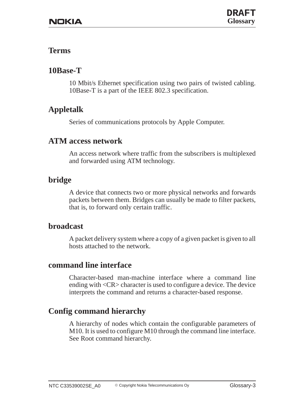# **Terms**

# **10Base-T**

10 Mbit/s Ethernet specification using two pairs of twisted cabling. 10Base-T is a part of the IEEE 802.3 specification.

# **Appletalk**

Series of communications protocols by Apple Computer.

# **ATM access network**

An access network where traffic from the subscribers is multiplexed and forwarded using ATM technology.

# **bridge**

A device that connects two or more physical networks and forwards packets between them. Bridges can usually be made to filter packets, that is, to forward only certain traffic.

# **broadcast**

A packet delivery system where a copy of a given packet is given to all hosts attached to the network.

# **command line interface**

Character-based man-machine interface where a command line ending with <CR> character is used to configure a device. The device interprets the command and returns a character-based response.

# **Config command hierarchy**

A hierarchy of nodes which contain the configurable parameters of M10. It is used to configure M10 through the command line interface. See Root command hierarchy.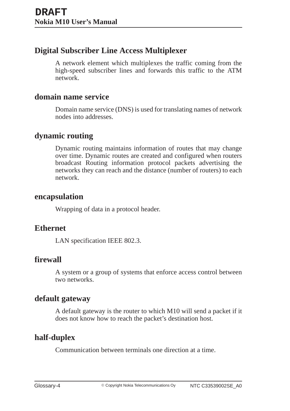# **Digital Subscriber Line Access Multiplexer**

A network element which multiplexes the traffic coming from the high-speed subscriber lines and forwards this traffic to the ATM network.

## **domain name service**

Domain name service (DNS) is used for translating names of network nodes into addresses.

# **dynamic routing**

Dynamic routing maintains information of routes that may change over time. Dynamic routes are created and configured when routers broadcast Routing information protocol packets advertising the networks they can reach and the distance (number of routers) to each network.

## **encapsulation**

Wrapping of data in a protocol header.

# **Ethernet**

LAN specification IEEE 802.3.

# **firewall**

A system or a group of systems that enforce access control between two networks.

# **default gateway**

A default gateway is the router to which M10 will send a packet if it does not know how to reach the packet's destination host.

# **half-duplex**

Communication between terminals one direction at a time.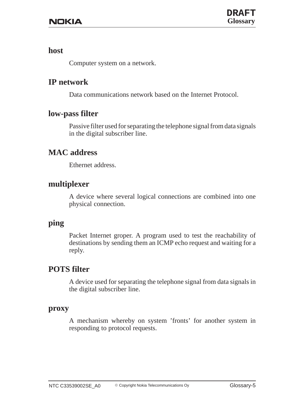### **host**

Computer system on a network.

# **IP network**

Data communications network based on the Internet Protocol.

## **low-pass filter**

Passive filter used for separating the telephone signal from data signals in the digital subscriber line.

# **MAC address**

Ethernet address.

## **multiplexer**

A device where several logical connections are combined into one physical connection.

## **ping**

Packet Internet groper. A program used to test the reachability of destinations by sending them an ICMP echo request and waiting for a reply.

# **POTS filter**

A device used for separating the telephone signal from data signals in the digital subscriber line.

#### **proxy**

A mechanism whereby on system 'fronts' for another system in responding to protocol requests.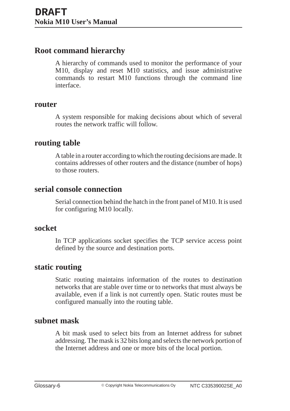# **Root command hierarchy**

A hierarchy of commands used to monitor the performance of your M10, display and reset M10 statistics, and issue administrative commands to restart M10 functions through the command line interface.

#### **router**

A system responsible for making decisions about which of several routes the network traffic will follow.

## **routing table**

A table in a router according to which the routing decisions are made. It contains addresses of other routers and the distance (number of hops) to those routers.

### **serial console connection**

Serial connection behind the hatch in the front panel of M10. It is used for configuring M10 locally.

#### **socket**

In TCP applications socket specifies the TCP service access point defined by the source and destination ports.

## **static routing**

Static routing maintains information of the routes to destination networks that are stable over time or to networks that must always be available, even if a link is not currently open. Static routes must be configured manually into the routing table.

# **subnet mask**

A bit mask used to select bits from an Internet address for subnet addressing. The mask is 32 bits long and selects the network portion of the Internet address and one or more bits of the local portion.